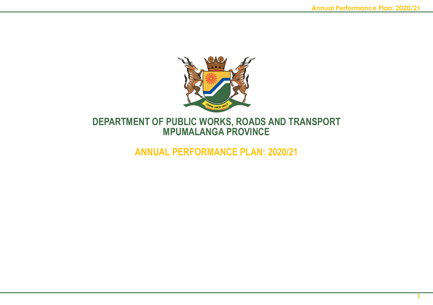**1**



#### **DEPARTMENT OF PUBLIC WORKS, ROADS AND TRANSPORT MPUMALANGA PROVINCE**

#### **ANNUAL PERFORMANCE PLAN: 2020/21**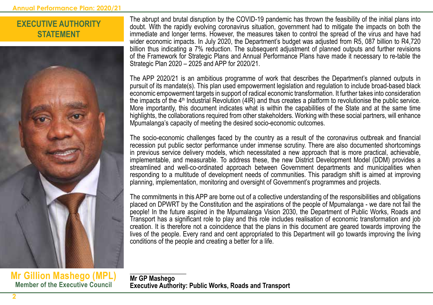#### **EXECUTIVE AUTHORITY STATEMENT**



The abrupt and brutal disruption by the COVID-19 pandemic has thrown the feasibility of the initial plans into doubt. With the rapidly evolving coronavirus situation, government had to mitigate the impacts on both the immediate and longer terms. However, the measures taken to control the spread of the virus and have had wider economic impacts. In July 2020, the Department's budget was adjusted from R5, 087 billion to R4,720 billion thus indicating a 7% reduction. The subsequent adjustment of planned outputs and further revisions of the Framework for Strategic Plans and Annual Performance Plans have made it necessary to re-table the Strategic Plan 2020 – 2025 and APP for 2020/21.

The APP 2020/21 is an ambitious programme of work that describes the Department's planned outputs in pursuit of its mandate(s). This plan used empowerment legislation and regulation to include broad-based black economic empowerment targets in support of radical economic transformation. It further takes into consideration the impacts of the 4th Industrial Revolution (4IR) and thus creates a platform to revolutionise the public service. More importantly, this document indicates what is within the capabilities of the State and at the same time highlights, the collaborations required from other stakeholders. Working with these social partners, will enhance Mpumalanga's capacity of meeting the desired socio-economic outcomes.

The socio-economic challenges faced by the country as a result of the coronavirus outbreak and financial recession put public sector performance under immense scrutiny. There are also documented shortcomings in previous service delivery models, which necessitated a new approach that is more practical, achievable, implementable, and measurable. To address these, the new District Development Model (DDM) provides a streamlined and well-co-ordinated approach between Government departments and municipalities when responding to a multitude of development needs of communities. This paradigm shift is aimed at improving planning, implementation, monitoring and oversight of Government's programmes and projects.

The commitments in this APP are borne out of a collective understanding of the responsibilities and obligations placed on DPWRT by the Constitution and the aspirations of the people of Mpumalanga - we dare not fail the people! In the future aspired in the Mpumalanga Vision 2030, the Department of Public Works, Roads and Transport has a significant role to play and this role includes realisation of economic transformation and job creation. It is therefore not a coincidence that the plans in this document are geared towards improving the lives of the people. Every rand and cent appropriated to this Department will go towards improving the living conditions of the people and creating a better for a life.

**Mr Gillion Mashego (MPL) Member of the Executive Council**

**\_\_\_\_\_\_\_\_\_\_\_\_\_\_\_\_\_ Mr GP Mashego Executive Authority: Public Works, Roads and Transport**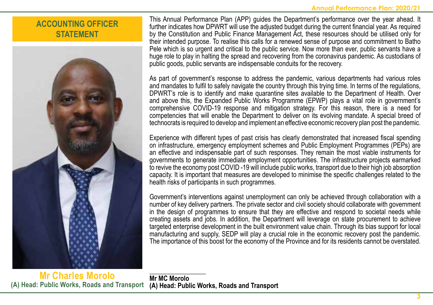#### **ACCOUNTING OFFICER STATEMENT**



This Annual Performance Plan (APP) guides the Department's performance over the year ahead. It further indicates how DPWRT will use the adjusted budget during the current financial year. As required by the Constitution and Public Finance Management Act, these resources should be utilised only for their intended purpose. To realise this calls for a renewed sense of purpose and commitment to Batho Pele which is so urgent and critical to the public service. Now more than ever, public servants have a huge role to play in halting the spread and recovering from the coronavirus pandemic. As custodians of public goods, public servants are indispensable conduits for the recovery.

As part of government's response to address the pandemic, various departments had various roles and mandates to fulfil to safely navigate the country through this trying time. In terms of the regulations, DPWRT's role is to identify and make quarantine sites available to the Department of Health. Over and above this, the Expanded Public Works Programme (EPWP) plays a vital role in government's comprehensive COVID-19 response and mitigation strategy. For this reason, there is a need for competencies that will enable the Department to deliver on its evolving mandate. A special breed of technocrats is required to develop and implement an effective economic recovery plan post the pandemic.

Experience with different types of past crisis has clearly demonstrated that increased fiscal spending on infrastructure, emergency employment schemes and Public Employment Programmes (PEPs) are an effective and indispensable part of such responses. They remain the most viable instruments for governments to generate immediate employment opportunities. The infrastructure projects earmarked to revive the economy post COVID -19 will include public works, transport due to their high job absorption capacity. It is important that measures are developed to minimise the specific challenges related to the health risks of participants in such programmes.

Government's interventions against unemployment can only be achieved through collaboration with a number of key delivery partners. The private sector and civil society should collaborate with government in the design of programmes to ensure that they are effective and respond to societal needs while creating assets and jobs. In addition, the Department will leverage on state procurement to achieve targeted enterprise development in the built environment value chain. Through its bias support for local manufacturing and supply, SEDP will play a crucial role in the economic recovery post the pandemic. The importance of this boost for the economy of the Province and for its residents cannot be overstated.

**\_\_\_\_\_\_\_\_\_\_\_\_\_\_\_\_\_ Mr MC Morolo (A) Head: Public Works, Roads and Transport Mr Charles Morolo (A) Head: Public Works, Roads and Transport**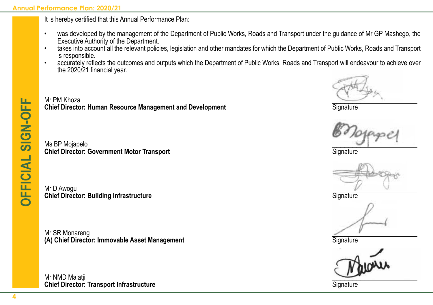It is hereby certified that this Annual Performance Plan:

- was developed by the management of the Department of Public Works, Roads and Transport under the guidance of Mr GP Mashego, the
- takes into account all the relevant policies, legislation and other mandates for which the Department of Public Works, Roads and Transport is responsible.
- \* accurately reflects the outcomes and outputs which the Department of Public Works, Roads and Transport will endeavour to achieve over the 2020/21 financial year.





 $\blacksquare$  Mr PM Khoza  $\blacksquare$ **Chief Director: Human Resource Management and Development <b>Signature Signature** 

Ms BP Mojapelo<br>
Chief Director: Government Motor Transport<br>
Chief Director: Government Motor Transport **Chief Director: Government Motor Transport** 

Mr D Awogu  $\hspace{1.6cm}$   $\hspace{1.6cm}$   $\hspace{1.6cm}$   $\hspace{1.6cm}$   $\hspace{1.6cm}$   $\hspace{1.6cm}$   $\hspace{1.6cm}$   $\hspace{1.6cm}$   $\hspace{1.6cm}$   $\hspace{1.6cm}$   $\hspace{1.6cm}$   $\hspace{1.6cm}$   $\hspace{1.6cm}$   $\hspace{1.6cm}$   $\hspace{1.6cm}$   $\hspace{1.6cm}$   $\hspace{1.6cm}$   $\hspace{1$ **Chief Director: Building Infrastructure** *Signature**Signature* **<b>Signature Signature** 

Mr SR Monareng \_\_\_\_\_\_\_\_\_\_\_\_\_\_\_\_\_\_\_\_\_ **(A) Chief Director: Immovable Asset Management** Signature

Mr NMD Malatji **Chief Director: Transport Infrastructure Chief Director: Transport Infrastructure Chief Director: Transport Infrastructure Signature** 

ட **OFFICIAL SIGN-OFFDFFICIAL SIGN-OF** 

**4**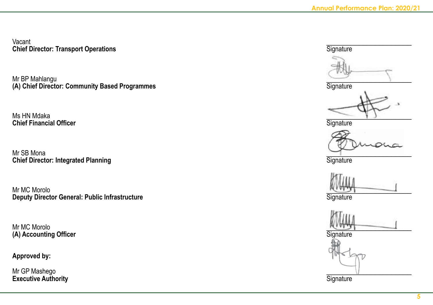Vacant \_\_\_\_\_\_\_\_\_\_\_\_\_\_\_\_\_\_\_\_\_ **Chief Director: Transport Operations Chief Director: Transport Operations** 

Mr BP Mahlangu<br>
(A) Chief Director: Community Based Programmes<br>
Gignature (A) Chief Director: Community Based Programmes

Ms HN Mdaka \_\_\_\_\_\_\_\_\_\_\_\_\_\_\_\_\_\_\_\_\_ **Chief Financial Officer** Signature

Mr SB Mona **Chief Director: Integrated Planning <b>Chief Director: Integrated Planning Chief Director: Integrated Planning** 

Mr MC Morolo **Number of Automatic Infrastructure Deputy Director General: Public Infrastructure Signature Deputy Director General: Public Infrastructure** 

Mr MC Morolo **Accounting Officer Contract Contract Contract Contract Contract Contract Contract Contract Contract Contract Contract Contract Contract Contract Contract Contract Contract Contract Contract Contract Contrac** 

**Approved by:** 

Mr GP Mashego \_\_\_\_\_\_\_\_\_\_\_\_\_\_\_\_\_\_\_\_\_ **Executive Authority Signature** 













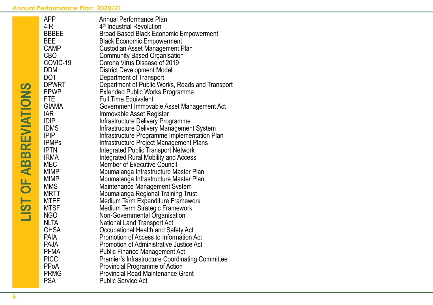| APP          | : Annual Performance Plan                         |
|--------------|---------------------------------------------------|
| 4IR          | ∶ 4 <sup>th</sup> Industrial Revolution           |
| <b>BBBEE</b> | : Broad Based Black Economic Empowerment          |
| BEE          | : Black Economic Empowerment                      |
| CAMP         | : Custodian Asset Management Plan                 |
| <b>CBO</b>   | : Community Based Organisation                    |
| COVID-19     | : Corona Virus Disease of 2019                    |
| DDM          | : District Development Model                      |
| DOT          | : Department of Transport                         |
| DPWRT        | : Department of Public Works, Roads and Transport |
| <b>EPWP</b>  | : Extended Public Works Programme                 |
| FTE          | : Full Time Equivalent                            |
| GIAMA        | : Government Immovable Asset Management Act       |
| IAR          | : Immovable Asset Register                        |
| <b>IDIP</b>  | : Infrastructure Delivery Programme               |
| <b>IDMS</b>  | : Infrastructure Delivery Management System       |
| <b>IPIP</b>  | : Infrastructure Programme Implementation Plan    |
| <b>IPMPs</b> | : Infrastructure Project Management Plans         |
| <b>IPTN</b>  | : Integrated Public Transport Network             |
| <b>IRMA</b>  | : Integrated Rural Mobility and Access            |
| MEC          | : Member of Executive Council                     |
| MIMP         | : Mpumalanga Infrastructure Master Plan           |
| MIMP         | : Mpumalanga Infrastructure Master Plan           |
| MMS          | : Maintenance Management System                   |
| MRTT         | : Mpumalanga Regional Training Trust              |
| MTEF         | : Medium Term Expenditure Framework               |
| <b>MTSF</b>  | : Medium Term Strategic Framework                 |
| NGO          | : Non-Governmental Organisation                   |
| <b>NLTA</b>  | : National Land Transport Act                     |
| OHSA         | : Occupational Health and Safety Act              |
| PAIA         | : Promotion of Access to Information Act          |
| PAJA         | : Promotion of Administrative Justice Act         |
| <b>PFMA</b>  | : Public Finance Management Act                   |
| <b>PICC</b>  | : Premier's Infrastructure Coordinating Committee |
| PPoA         | : Provincial Programme of Action                  |
| <b>PRMG</b>  | : Provincial Road Maintenance Grant               |
| PSA          | : Public Service Act                              |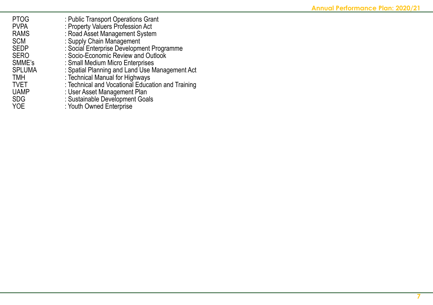PTOG : Public Transport Operations Grant<br>PVPA : Property Valuers Profession Act PVPA : Property Valuers Profession Act<br>RAMS : Road Asset Management Syster RAMS : Road Asset Management System<br>
SCM : Supply Chain Management<br>
SEDP : Social Enterprise Development Pro SCM : Supply Chain Management SEDP : Social Enterprise Development Programme SERO : Socio-Economic Review and Outlook<br>
SMME's : Small Medium Micro Enterprises SMME's : Small Medium Micro Enterprises<br>SPLUMA : Spatial Planning and Land Use M SPLUMA : Spatial Planning and Land Use Management Act<br>TMH : Technical Manual for Highways TMH : Technical Manual for Highways TVET : Technical and Vocational Education and Training UAMP : User Asset Management Plan<br>
SDG : Sustainable Development Goa SDG : Sustainable Development Goals<br>
YOE : Youth Owned Enterprise : Youth Owned Enterprise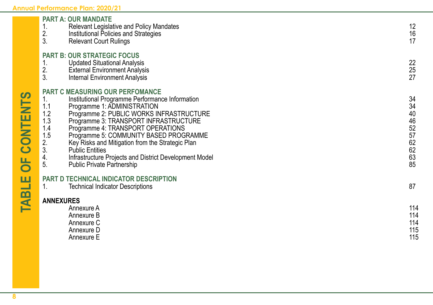| <b>PART A: OUR MANDATE</b><br>$\mathbf{1}$ .<br>Relevant Legislative and Policy Mandates<br>2.<br>Institutional Policies and Strategies<br>3.<br><b>Relevant Court Rulings</b><br><b>PART B: OUR STRATEGIC FOCUS</b><br>1.<br><b>Updated Situational Analysis</b><br>2.<br><b>External Environment Analysis</b><br>3.<br><b>Internal Environment Analysis</b><br><b>PART C MEASURING OUR PERFOMANCE</b><br>1.                                                                       | 12<br>16<br>17<br>22<br>25<br>27                         |
|-------------------------------------------------------------------------------------------------------------------------------------------------------------------------------------------------------------------------------------------------------------------------------------------------------------------------------------------------------------------------------------------------------------------------------------------------------------------------------------|----------------------------------------------------------|
| Institutional Programme Performance Information<br>1.1<br>Programme 1: ADMINISTRATION<br>1.2<br>Programme 2: PUBLIC WORKS INFRASTRUCTURE<br>1.3<br>Programme 3: TRANSPORT INFRASTRUCTURE<br>1.4<br>Programme 4: TRANSPORT OPERATIONS<br>1.5<br>Programme 5: COMMUNITY BASED PROGRAMME<br>2.<br>Key Risks and Mitigation from the Strategic Plan<br>3.<br><b>Public Entities</b><br>4.<br>Infrastructure Projects and District Development Model<br>5.<br>Public Private Partnership | 34<br>34<br>40<br>46<br>52<br>57<br>62<br>62<br>63<br>85 |
| <b>PART D TECHNICAL INDICATOR DESCRIPTION</b><br>$1_{-}$<br><b>Technical Indicator Descriptions</b>                                                                                                                                                                                                                                                                                                                                                                                 | 87                                                       |
| <b>ANNEXURES</b><br>Annexure A<br>Annexure B<br>Annexure C<br>Annexure D<br>Annexure E                                                                                                                                                                                                                                                                                                                                                                                              | 114<br>114<br>114<br>115<br>115                          |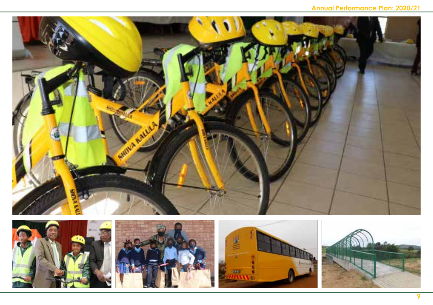







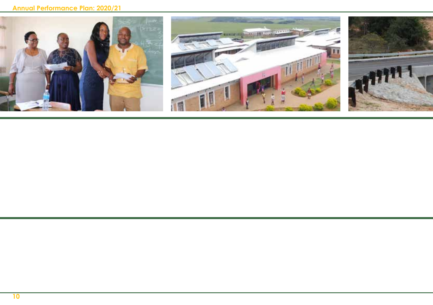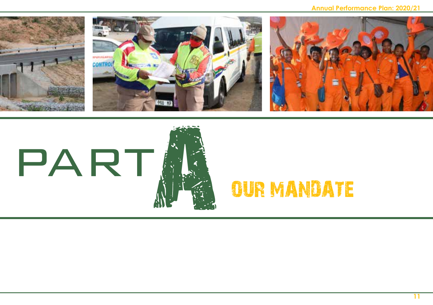

# PART

# OUR MANDATE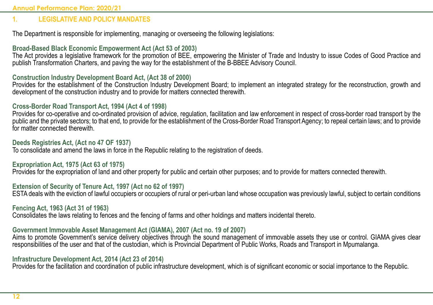#### **1. LEGISLATIVE AND POLICY MANDATES**

The Department is responsible for implementing, managing or overseeing the following legislations:

#### **Broad-Based Black Economic Empowerment Act (Act 53 of 2003)**

The Act provides a legislative framework for the promotion of BEE, empowering the Minister of Trade and Industry to issue Codes of Good Practice and publish Transformation Charters, and paving the way for the establishment of the B-BBEE Advisory Council.

#### **Construction Industry Development Board Act, (Act 38 of 2000)**

Provides for the establishment of the Construction Industry Development Board; to implement an integrated strategy for the reconstruction, growth and development of the construction industry and to provide for matters connected therewith.

#### **Cross-Border Road Transport Act, 1994 (Act 4 of 1998)**

Provides for co-operative and co-ordinated provision of advice, regulation, facilitation and law enforcement in respect of cross-border road transport by the public and the private sectors; to that end, to provide for the establishment of the Cross-Border Road Transport Agency; to repeal certain laws; and to provide for matter connected therewith.

#### **Deeds Registries Act, (Act no 47 OF 1937)**

To consolidate and amend the laws in force in the Republic relating to the registration of deeds.

#### **Expropriation Act, 1975 (Act 63 of 1975)**

Provides for the expropriation of land and other property for public and certain other purposes; and to provide for matters connected therewith.

#### **Extension of Security of Tenure Act, 1997 (Act no 62 of 1997)**

ESTA deals with the eviction of lawful occupiers or occupiers of rural or peri-urban land whose occupation was previously lawful, subject to certain conditions

#### **Fencing Act, 1963 (Act 31 of 1963)**

Consolidates the laws relating to fences and the fencing of farms and other holdings and matters incidental thereto.

#### **Government Immovable Asset Management Act (GIAMA), 2007 (Act no. 19 of 2007)**

Aims to promote Government's service delivery objectives through the sound management of immovable assets they use or control. GIAMA gives clear responsibilities of the user and that of the custodian, which is Provincial Department of Public Works, Roads and Transport in Mpumalanga.

#### **Infrastructure Development Act, 2014 (Act 23 of 2014)**

Provides for the facilitation and coordination of public infrastructure development, which is of significant economic or social importance to the Republic.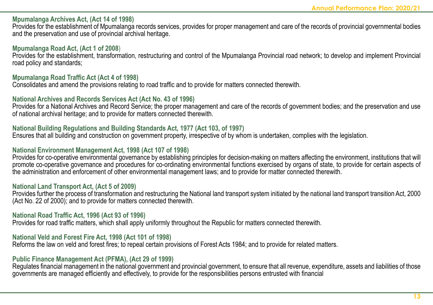#### **Mpumalanga Archives Act, (Act 14 of 1998)**

Provides for the establishment of Mpumalanga records services, provides for proper management and care of the records of provincial governmental bodies and the preservation and use of provincial archival heritage.

#### **Mpumalanga Road Act, (Act 1 of 2008**)

Provides for the establishment, transformation, restructuring and control of the Mpumalanga Provincial road network; to develop and implement Provincial road policy and standards;

#### **Mpumalanga Road Traffic Act (Act 4 of 1998)**

Consolidates and amend the provisions relating to road traffic and to provide for matters connected therewith.

#### **National Archives and Records Services Act (Act No. 43 of 1996)**

Provides for a National Archives and Record Service; the proper management and care of the records of government bodies; and the preservation and use of national archival heritage; and to provide for matters connected therewith.

#### **National Building Regulations and Building Standards Act, 1977 (Act 103, of 1997)**

Ensures that all building and construction on government property, irrespective of by whom is undertaken, complies with the legislation.

#### **National Environment Management Act, 1998 (Act 107 of 1998)**

Provides for co-operative environmental governance by establishing principles for decision-making on matters affecting the environment, institutions that will promote co-operative governance and procedures for co-ordinating environmental functions exercised by organs of state, to provide for certain aspects of the administration and enforcement of other environmental management laws; and to provide for matter connected therewith.

#### **National Land Transport Act, (Act 5 of 2009)**

Provides further the process of transformation and restructuring the National land transport system initiated by the national land transport transition Act, 2000 (Act No. 22 of 2000); and to provide for matters connected therewith.

#### **National Road Traffic Act, 1996 (Act 93 of 1996)**

Provides for road traffic matters, which shall apply uniformly throughout the Republic for matters connected therewith.

#### **National Veld and Forest Fire Act, 1998 (Act 101 of 1998)**

Reforms the law on veld and forest fires; to repeal certain provisions of Forest Acts 1984; and to provide for related matters.

#### **Public Finance Management Act (PFMA), (Act 29 of 1999)**

Regulates financial management in the national government and provincial government, to ensure that all revenue, expenditure, assets and liabilities of those governments are managed efficiently and effectively, to provide for the responsibilities persons entrusted with financial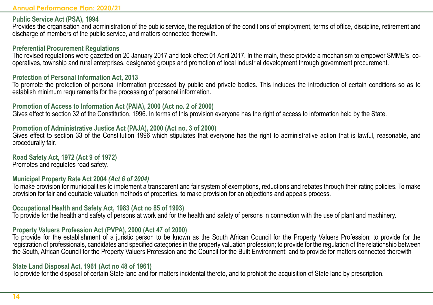#### **Public Service Act (PSA), 1994**

Provides the organisation and administration of the public service, the regulation of the conditions of employment, terms of office, discipline, retirement and discharge of members of the public service, and matters connected therewith.

#### **Preferential Procurement Regulations**

The revised regulations were gazetted on 20 January 2017 and took effect 01 April 2017. In the main, these provide a mechanism to empower SMME's, cooperatives, township and rural enterprises, designated groups and promotion of local industrial development through government procurement.

#### **Protection of Personal Information Act, 2013**

To promote the protection of personal information processed by public and private bodies. This includes the introduction of certain conditions so as to establish minimum requirements for the processing of personal information.

#### **Promotion of Access to Information Act (PAIA), 2000 (Act no. 2 of 2000)**

Gives effect to section 32 of the Constitution, 1996. In terms of this provision everyone has the right of access to information held by the State.

#### **Promotion of Administrative Justice Act (PAJA), 2000 (Act no. 3 of 2000)**

Gives effect to section 33 of the Constitution 1996 which stipulates that everyone has the right to administrative action that is lawful, reasonable, and procedurally fair.

#### **Road Safety Act, 1972 (Act 9 of 1972)**

Promotes and regulates road safety.

#### **Municipal Property Rate Act 2004** *(Act 6 of 2004)*

To make provision for municipalities to implement a transparent and fair system of exemptions, reductions and rebates through their rating policies. To make provision for fair and equitable valuation methods of properties, to make provision for an objections and appeals process.

#### **Occupational Health and Safety Act, 1983 (Act no 85 of 1993)**

To provide for the health and safety of persons at work and for the health and safety of persons in connection with the use of plant and machinery.

#### **Property Valuers Profession Act (PVPA), 2000 (Act 47 of 2000)**

To provide for the establishment of a juristic person to be known as the South African Council for the Property Valuers Profession; to provide for the registration of professionals, candidates and specified categories in the property valuation profession; to provide for the regulation of the relationship between the South, African Council for the Property Valuers Profession and the Council for the Built Environment; and to provide for matters connected therewith

#### **State Land Disposal Act, 1961 (Act no 48 of 1961)**

To provide for the disposal of certain State land and for matters incidental thereto, and to prohibit the acquisition of State land by prescription.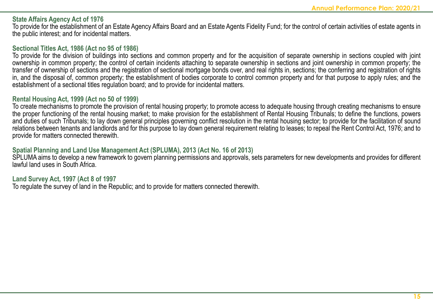#### **State Affairs Agency Act of 1976**

To provide for the establishment of an Estate Agency Affairs Board and an Estate Agents Fidelity Fund; for the control of certain activities of estate agents in the public interest; and for incidental matters.

#### **Sectional Titles Act, 1986 (Act no 95 of 1986)**

To provide for the division of buildings into sections and common property and for the acquisition of separate ownership in sections coupled with joint ownership in common property; the control of certain incidents attaching to separate ownership in sections and joint ownership in common property; the transfer of ownership of sections and the registration of sectional mortgage bonds over, and real rights in, sections; the conferring and registration of rights in, and the disposal of, common property; the establishment of bodies corporate to control common property and for that purpose to apply rules; and the establishment of a sectional titles regulation board; and to provide for incidental matters.

#### **Rental Housing Act, 1999 (Act no 50 of 1999)**

To create mechanisms to promote the provision of rental housing property; to promote access to adequate housing through creating mechanisms to ensure the proper functioning of the rental housing market; to make provision for the establishment of Rental Housing Tribunals; to define the functions, powers and duties of such Tribunals; to lay down general principles governing conflict resolution in the rental housing sector; to provide for the facilitation of sound relations between tenants and landlords and for this purpose to lay down general requirement relating to leases; to repeal the Rent Control Act, 1976; and to provide for matters connected therewith.

#### **Spatial Planning and Land Use Management Act (SPLUMA), 2013 (Act No. 16 of 2013)**

SPLUMA aims to develop a new framework to govern planning permissions and approvals, sets parameters for new developments and provides for different lawful land uses in South Africa.

#### **Land Survey Act, 1997 (Act 8 of 1997**

To regulate the survey of land in the Republic; and to provide for matters connected therewith.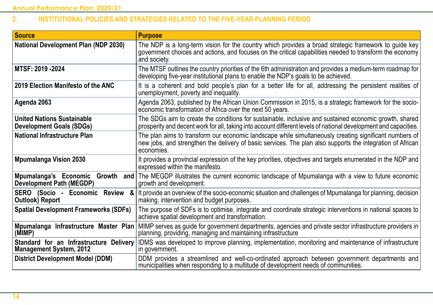#### **2. INSTITUTIONAL POLICIES AND STRATEGIES RELATED TO THE FIVE-YEAR PLANNING PERIOD**

| Source                                                                    | <b>Purpose</b>                                                                                                                                                                                                                     |
|---------------------------------------------------------------------------|------------------------------------------------------------------------------------------------------------------------------------------------------------------------------------------------------------------------------------|
| National Development Plan (NDP 2030)                                      | The NDP is a long-term vision for the country which provides a broad strategic framework to guide key<br>government choices and actions, and focuses on the critical capabilities needed to transform the economy<br>and society.  |
| MTSF: 2019 -2024                                                          | The MTSF outlines the country priorities of the 6th administration and provides a medium-term roadmap for<br>developing five-year institutional plans to enable the NDP's goals to be achieved.                                    |
| 2019 Election Manifesto of the ANC                                        | It is a coherent and bold people's plan for a better life for all, addressing the persistent realities of<br>unemployment, poverty and inequality.                                                                                 |
| Agenda 2063                                                               | Agenda 2063, published by the African Union Commission in 2015, is a strategic framework for the socio-<br>economic transformation of Africa over the next 50 years.                                                               |
| <b>United Nations Sustainable</b><br><b>Development Goals (SDGs)</b>      | The SDGs aim to create the conditions for sustainable, inclusive and sustained economic growth, shared<br>prosperity and decent work for all, taking into account different levels of national development and capacities.         |
| National Infrastructure Plan                                              | The plan aims to transform our economic landscape while simultaneously creating significant numbers of<br>new jobs, and strengthen the delivery of basic services. The plan also supports the integration of African<br>economies. |
| <b>Mpumalanga Vision 2030</b>                                             | It provides a provincial expression of the key priorities, objectives and targets enumerated in the NDP and<br>expressed within the manifesto.                                                                                     |
| Mpumalanga's Economic Growth and<br>Development Path (MEGDP)              | The MEGDP illustrates the current economic landscape of Mpumalanga with a view to future economic<br>growth and development.                                                                                                       |
| SERO (Socio -<br>Economic Review &<br><b>Outlook) Report</b>              | It provide an overview of the socio-economic situation and challenges of Mpumalanga for planning, decision<br>making, intervention and budget purposes.                                                                            |
| <b>Spatial Development Frameworks (SDFs)</b>                              | The purpose of SDFs is to optimise, integrate and coordinate strategic interventions in national spaces to<br>achieve spatial development and transformation.                                                                      |
| Mpumalanga Infrastructure Master Plan<br>(MIMP)                           | MIMP serves as guide for government departments, agencies and private sector infrastructure providers in<br>planning, providing, managing and maintaining infrastructure                                                           |
| Standard for an Infrastructure Delivery<br><b>Management System, 2012</b> | IDMS was developed to improve planning, implementation, monitoring and maintenance of infrastructure<br>in government.                                                                                                             |
| <b>District Development Model (DDM)</b>                                   | DDM provides a streamlined and well-co-ordinated approach between government departments and<br>municipalities when responding to a multitude of development needs of communities.                                                 |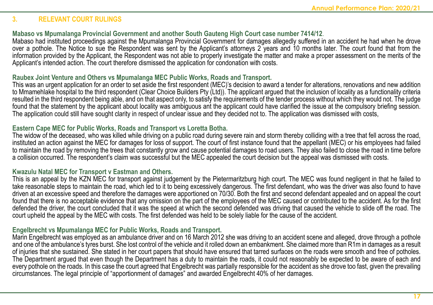#### **3. RELEVANT COURT RULINGS**

Mabaso vs Mpumalanga Provincial Government and another South Gauteng High Court case number 7414/12.<br>Mabaso had instituted proceedings against the Mpumalanga Provincial Government for damages allegedly suffered in an accid over a pothole. The Notice to sue the Respondent was sent by the Applicant's attorneys 2 years and 10 months later. The court found that from the information provided by the Applicant, the Respondent was not able to properly investigate the matter and make a proper assessment on the merits of the Applicant's intended action. The court therefore dismissed the application for condonation with costs.

#### **Raubex Joint Venture and Others vs Mpumalanga MEC Public Works, Roads and Transport.**

This was an urgent application for an order to set aside the first respondent (MEC)'s decision to award a tender for alterations, renovations and new addition to Mmamehlake hospital to the third respondent (Clear Choice Builders Pty (Ltd)). The applicant argued that the inclusion of locality as a functionality criteria resulted in the third respondent being able, and on that aspect only, to satisfy the requirements of the tender process without which they would not. The judge found that the statement by the applicant about locality was ambiguous ant the applicant could have clarified the issue at the compulsory briefing session. The application could still have sought clarity in respect of unclear issue and they decided not to. The application was dismissed with costs,

#### **Eastern Cape MEC for Public Works, Roads and Transport vs Loretta Botha.**

The widow of the deceased, who was killed while driving on a public road during severe rain and storm thereby colliding with a tree that fell across the road, instituted an action against the MEC for damages for loss of support. The court of first instance found that the appellant (MEC) or his employees had failed to maintain the road by removing the trees that constantly grow and cause potential damages to road users. They also failed to close the road in time before a collision occurred. The respondent's claim was successful but the MEC appealed the court decision but the appeal was dismissed with costs.

#### **Kwazulu Natal MEC for Transport v Eastman and Others.**

This is an appeal by the KZN MEC for transport against judgement by the Pietermaritzburg high court. The MEC was found negligent in that he failed to take reasonable steps to maintain the road, which led to it to being excessively dangerous. The first defendant, who was the driver was also found to have driven at an excessive speed and therefore the damages were apportioned on 70/30. Both the first and second defendant appealed and on appeal the court found that there is no acceptable evidence that any omission on the part of the employees of the MEC caused or contributed to the accident. As for the first defended the driver, the court concluded that it was the speed at which the second defended was driving that caused the vehicle to slide off the road. The court upheld the appeal by the MEC with costs. The first defended was held to be solely liable for the cause of the accident.

#### **Engelbrecht vs Mpumalanga MEC for Public Works, Roads and Transport.**

Marin Engelbrecht was employed as an ambulance driver and on 16 March 2012 she was driving to an accident scene and alleged, drove through a pothole and one of the ambulance's tyres burst. She lost control of the vehicle and it rolled down an embankment. She claimed more than R1m in damages as a result of injuries that she sustained. She stated in her court papers that should have ensured that tarred surfaces on the roads were smooth and free of potholes. The Department argued that even though the Department has a duty to maintain the roads, it could not reasonably be expected to be aware of each and every pothole on the roads. In this case the court agreed that Engelbrecht was partially responsible for the accident as she drove too fast, given the prevailing circumstances. The legal principle of "apportionment of damages" and awarded Engelbrecht 40% of her damages.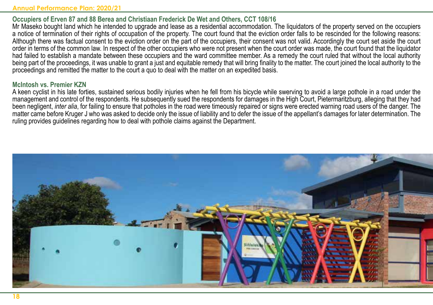#### **Occupiers of Erven 87 and 88 Berea and Christiaan Frederick De Wet and Others, CCT 108/16**

Mr Maseko bought land which he intended to upgrade and lease as a residential accommodation. The liquidators of the property served on the occupiers a notice of termination of their rights of occupation of the property. The court found that the eviction order falls to be rescinded for the following reasons: Although there was factual consent to the eviction order on the part of the occupiers, their consent was not valid. Accordingly the court set aside the court order in terms of the common law. In respect of the other occupiers who were not present when the court order was made, the court found that the liquidator had failed to establish a mandate between these occupiers and the ward committee member. As a remedy the court ruled that without the local authority being part of the proceedings, it was unable to grant a just and equitable remedy that will bring finality to the matter. The court joined the local authority to the proceedings and remitted the matter to the court a quo to deal with the matter on an expedited basis.

#### **McIntosh vs. Premier KZN**

A keen cyclist in his late forties, sustained serious bodily injuries when he fell from his bicycle while swerving to avoid a large pothole in a road under the management and control of the respondents. He subsequently sued the respondents for damages in the High Court, Pietermaritzburg, alleging that they had been negligent, *inter alia*, for failing to ensure that potholes in the road were timeously repaired or signs were erected warning road users of the danger. The matter came before Kruger J who was asked to decide only the issue of liability and to defer the issue of the appellant's damages for later determination. The ruling provides guidelines regarding how to deal with pothole claims against the Department.

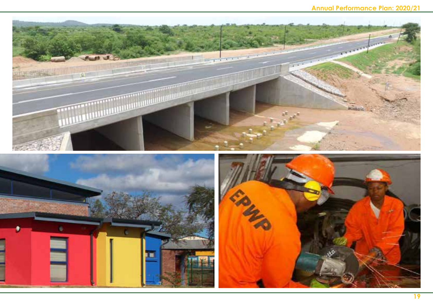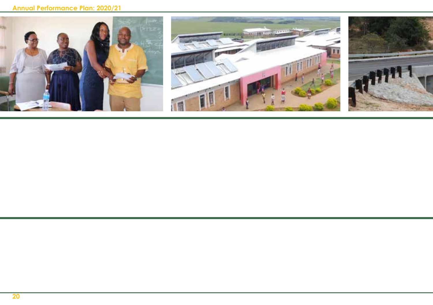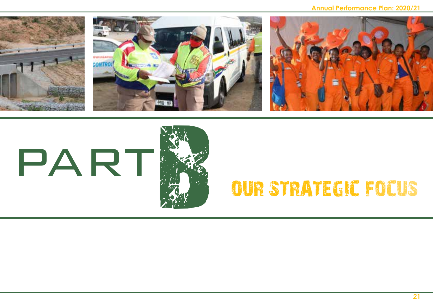

# PART



# OUR STRATEGIC FOCUS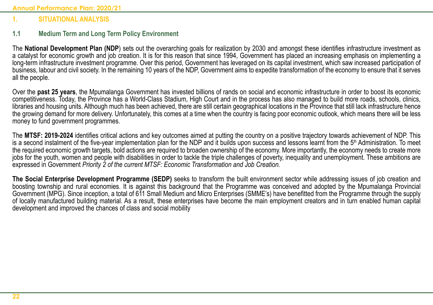#### **1. SITUATIONAL ANALYSIS**

#### **1.1 Medium Term and Long Term Policy Environment**

The **National Development Plan (NDP**) sets out the overarching goals for realization by 2030 and amongst these identifies infrastructure investment as a catalyst for economic growth and job creation. It is for this reason that since 1994, Government has placed an increasing emphasis on implementing a long-term infrastructure investment programme. Over this period, Government has leveraged on its capital investment, which saw increased participation of business, labour and civil society. In the remaining 10 years of the NDP, Government aims to expedite transformation of the economy to ensure that it serves all the people.

Over the **past 25 years**, the Mpumalanga Government has invested billions of rands on social and economic infrastructure in order to boost its economic competitiveness. Today, the Province has a World-Class Stadium, High Court and in the process has also managed to build more roads, schools, clinics, libraries and housing units. Although much has been achieved, there are still certain geographical locations in the Province that still lack infrastructure hence the growing demand for more delivery. Unfortunately, this comes at a time when the country is facing poor economic outlook, which means there will be less money to fund government programmes.

The **MTSF: 2019-2024** identifies critical actions and key outcomes aimed at putting the country on a positive trajectory towards achievement of NDP. This is a second instalment of the five-year implementation plan for the NDP and it builds upon success and lessons learnt from the 5<sup>th</sup> Administration. To meet the required economic growth targets, bold actions are required to broaden ownership of the economy. More importantly, the economy needs to create more jobs for the youth, women and people with disabilities in order to tackle the triple challenges of poverty, inequality and unemployment. These ambitions are expressed in Government *Priority 2 of the current MTSF: Economic Transformation and Job Creation.*

**The Social Enterprise Development Programme (SEDP)** seeks to transform the built environment sector while addressing issues of job creation and boosting township and rural economies. It is against this background that the Programme was conceived and adopted by the Mpumalanga Provincial Government (MPG). Since inception, a total of 611 Small Medium and Micro Enterprises (SMME's) have benefitted from the Programme through the supply of locally manufactured building material. As a result, these enterprises have become the main employment creators and in turn enabled human capital development and improved the chances of class and social mobility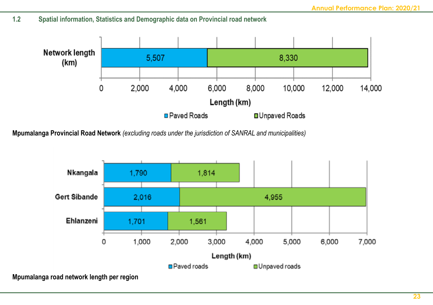#### **1.2 Spatial information, Statistics and Demographic data on Provincial road network**



**Mpumalanga Provincial Road Network** *(excluding roads under the jurisdiction of SANRAL and municipalities)*

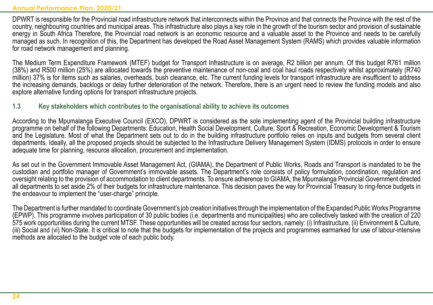DPWRT is responsible for the Provincial road infrastructure network that interconnects within the Province and that connects the Province with the rest of the country, neighbouring countries and municipal areas. This infrastructure also plays a key role in the growth of the tourism sector and provision of sustainable energy in South Africa Therefore, the Provincial road network is an economic resource and a valuable asset to the Province and needs to be carefully managed as such. In recognition of this, the Department has developed the Road Asset Management System (RAMS) which provides valuable information for road network management and planning.

The Medium Term Expenditure Framework (MTEF) budget for Transport Infrastructure is on average, R2 billion per annum. Of this budget R761 million (38%) and R500 million (25%) are allocated towards the preventive maintenance of non-coal and coal haul roads respectively whilst approximately (R740 million) 37% is for items such as salaries, overheads, bush clearance, etc. The current funding levels for transport infrastructure are insufficient to address the increasing demands, backlogs or delay further deterioration of the network. Therefore, there is an urgent need to review the funding models and also explore alternative funding options for transport infrastructure projects.

#### **1.3 Key stakeholders which contributes to the organisational ability to achieve its outcomes**

According to the Mpumalanga Executive Council (EXCO), DPWRT is considered as the sole implementing agent of the Provincial building infrastructure programme on behalf of the following Departments: Education, Health Social Development, Culture, Sport & Recreation, Economic Development & Tourism and the Legislature. Most of what the Department sets out to do in the building infrastructure portfolio relies on inputs and budgets from several client departments. Ideally, all the proposed projects should be subjected to the Infrastructure Delivery Management System (IDMS) protocols in order to ensure adequate time for planning, resource allocation, procurement and implementation.

As set out in the Government Immovable Asset Management Act, (GIAMA), the Department of Public Works, Roads and Transport is mandated to be the custodian and portfolio manager of Government's immovable assets. The Department's role consists of policy formulation, coordination, regulation and oversight relating to the provision of accommodation to client departments. To ensure adherence to GIAMA, the Mpumalanga Provincial Government directed all departments to set aside 2% of their budgets for infrastructure maintenance. This decision paves the way for Provincial Treasury to ring-fence budgets in the endeavour to implement the "user-charge" principle.

The Department is further mandated to coordinate Government's job creation initiatives through the implementation of the Expanded Public Works Programme (EPWP). This programme involves participation of 30 public bodies (i.e. departments and municipalities) who are collectively tasked with the creation of 220 575 work opportunities during the current MTSF. These opportunities will be created across four sectors, namely: (i) Infrastructure, (ii) Environment & Culture, (iii) Social and (vi) Non-State. It is critical to note that the budgets for implementation of the projects and programmes earmarked for use of labour-intensive methods are allocated to the budget vote of each public body.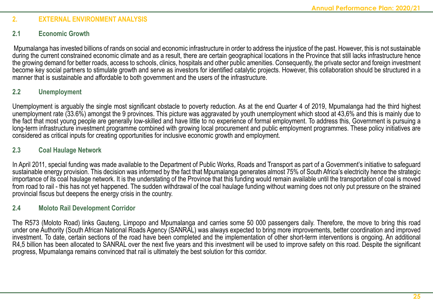#### **2. EXTERNAL ENVIRONMENT ANALYSIS**

#### **2.1 Economic Growth**

 Mpumalanga has invested billions of rands on social and economic infrastructure in order to address the injustice of the past. However, this is not sustainable during the current constrained economic climate and as a result, there are certain geographical locations in the Province that still lacks infrastructure hence the growing demand for better roads, access to schools, clinics, hospitals and other public amenities. Consequently, the private sector and foreign investment become key social partners to stimulate growth and serve as investors for identified catalytic projects. However, this collaboration should be structured in a manner that is sustainable and affordable to both government and the users of the infrastructure.

#### **2.2 Unemployment**

Unemployment is arguably the single most significant obstacle to poverty reduction. As at the end Quarter 4 of 2019, Mpumalanga had the third highest unemployment rate (33.6%) amongst the 9 provinces. This picture was aggravated by youth unemployment which stood at 43,6% and this is mainly due to the fact that most young people are generally low-skilled and have little to no experience of formal employment. To address this, Government is pursuing a long-term infrastructure investment programme combined with growing local procurement and public employment programmes. These policy initiatives are considered as critical inputs for creating opportunities for inclusive economic growth and employment.

#### **2.3 Coal Haulage Network**

In April 2011, special funding was made available to the Department of Public Works, Roads and Transport as part of a Government's initiative to safeguard sustainable energy provision. This decision was informed by the fact that Mpumalanga generates almost 75% of South Africa's electricity hence the strategic importance of its coal haulage network. It is the understating of the Province that this funding would remain available until the transportation of coal is moved from road to rail - this has not yet happened. The sudden withdrawal of the coal haulage funding without warning does not only put pressure on the strained provincial fiscus but deepens the energy crisis in the country.

#### **2.4 Moloto Rail Development Corridor**

The R573 (Moloto Road) links Gauteng, Limpopo and Mpumalanga and carries some 50 000 passengers daily. Therefore, the move to bring this road under one Authority (South African National Roads Agency (SANRAL) was always expected to bring more improvements, better coordination and improved investment. To date, certain sections of the road have been completed and the implementation of other short-term interventions is ongoing. An additional R4,5 billion has been allocated to SANRAL over the next five years and this investment will be used to improve safety on this road. Despite the significant progress, Mpumalanga remains convinced that rail is ultimately the best solution for this corridor.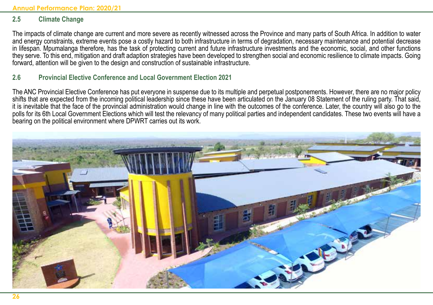#### **2.5 Climate Change**

The impacts of climate change are current and more severe as recently witnessed across the Province and many parts of South Africa. In addition to water and energy constraints, extreme events pose a costly hazard to both infrastructure in terms of degradation, necessary maintenance and potential decrease in lifespan. Mpumalanga therefore, has the task of protecting current and future infrastructure investments and the economic, social, and other functions they serve. To this end, mitigation and draft adaption strategies have been developed to strengthen social and economic resilience to climate impacts. Going forward, attention will be given to the design and construction of sustainable infrastructure.

#### **2.6 Provincial Elective Conference and Local Government Election 2021**

The ANC Provincial Elective Conference has put everyone in suspense due to its multiple and perpetual postponements. However, there are no major policy shifts that are expected from the incoming political leadership since these have been articulated on the January 08 Statement of the ruling party. That said, it is inevitable that the face of the provincial administration would change in line with the outcomes of the conference. Later, the country will also go to the polls for its 6th Local Government Elections which will test the relevancy of many political parties and independent candidates. These two events will have a bearing on the political environment where DPWRT carries out its work.

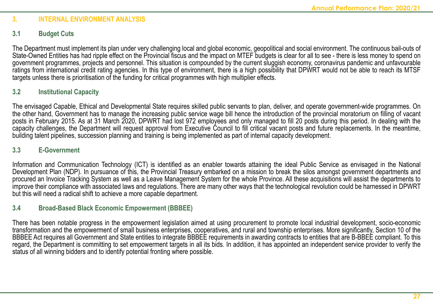#### **3. INTERNAL ENVIRONMENT ANALYSIS**

#### **3.1 Budget Cuts**

The Department must implement its plan under very challenging local and global economic, geopolitical and social environment. The continuous bail-outs of State-Owned Entities has had ripple effect on the Provincial fiscus and the impact on MTEF budgets is clear for all to see - there is less money to spend on government programmes, projects and personnel. This situation is compounded by the current sluggish economy, coronavirus pandemic and unfavourable ratings from international credit rating agencies. In this type of environment, there is a high possibility that DPWRT would not be able to reach its MTSF targets unless there is prioritisation of the funding for critical programmes with high multiplier effects.

#### **3.2 Institutional Capacity**

The envisaged Capable, Ethical and Developmental State requires skilled public servants to plan, deliver, and operate government-wide programmes. On the other hand, Government has to manage the increasing public service wage bill hence the introduction of the provincial moratorium on filling of vacant posts in February 2015. As at 31 March 2020, DPWRT had lost 972 employees and only managed to fill 20 posts during this period. In dealing with the capacity challenges, the Department will request approval from Executive Council to fill critical vacant posts and future replacements. In the meantime, building talent pipelines, succession planning and training is being implemented as part of internal capacity development.

#### **3.3 E-Government**

Information and Communication Technology (ICT) is identified as an enabler towards attaining the ideal Public Service as envisaged in the National Development Plan (NDP). In pursuance of this, the Provincial Treasury embarked on a mission to break the silos amongst government departments and procured an Invoice Tracking System as well as a Leave Management System for the whole Province. All these acquisitions will assist the departments to improve their compliance with associated laws and regulations. There are many other ways that the technological revolution could be harnessed in DPWRT but this will need a radical shift to achieve a more capable department.

#### **3.4 Broad-Based Black Economic Empowerment (BBBEE)**

There has been notable progress in the empowerment legislation aimed at using procurement to promote local industrial development, socio-economic transformation and the empowerment of small business enterprises, cooperatives, and rural and township enterprises. More significantly, Section 10 of the BBBEE Act requires all Government and State entities to integrate BBBEE requirements in awarding contracts to entities that are B-BBEE compliant. To this regard, the Department is committing to set empowerment targets in all its bids. In addition, it has appointed an independent service provider to verify the status of all winning bidders and to identify potential fronting where possible.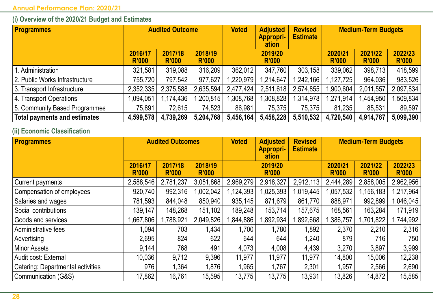#### **(i) Overview of the 2020/21 Budget and Estimates**

| <b>Programmes</b>                   | <b>Audited Outcome</b>  |                  | <b>Voted</b>     | <b>Adjusted</b><br><b>Revised</b><br><b>Estimate</b><br><b>Appropri-</b><br>ation |                  | <b>Medium-Term Budgets</b> |                         |                  |                  |
|-------------------------------------|-------------------------|------------------|------------------|-----------------------------------------------------------------------------------|------------------|----------------------------|-------------------------|------------------|------------------|
|                                     | 2016/17<br><b>R'000</b> | 2017/18<br>R'000 | 2018/19<br>R'000 |                                                                                   | 2019/20<br>R'000 |                            | 2020/21<br><b>R'000</b> | 2021/22<br>R'000 | 2022/23<br>R'000 |
| . Administration                    | 321,581                 | 319,088          | 316,209          | 362,012                                                                           | 347,760          | 303,158                    | 339,062                 | 398,713          | 418,599          |
| 2. Public Works Infrastructure      | 755,720                 | 797.542          | 977,627          | .220,979                                                                          | 1,214,647        | .242,166                   | 1,127,725               | 964,036          | 983,526          |
| 3. Transport Infrastructure         | 2,352,335               | 2,375,588        | 2,635,594        | 2,477,424                                                                         | 2,511,618        | 2,574,855                  | 900,604                 | 2,011,557        | 2,097,834        |
| 4. Transport Operations             | .094,051                | .174,436         | ,200,815         | ,308,768                                                                          | 1,308,828        | 1,314,978                  | 1,271,914               | ,454,950         | ,509,834         |
| 5. Community Based Programmes       | 75,891                  | 72,615           | 74,523           | 86,981                                                                            | 75,375           | 75,375                     | 81,235                  | 85,531           | 89,597           |
| <b>Total payments and estimates</b> | 4,599,578               | 4.739.269        | 5,204,768        | 5,456,164                                                                         | 5,458,228        | 5,510,532                  | 4.720.540               | 4,914,787        | 5,099,390        |

#### **(ii) Economic Classification**

| <b>Programmes</b>                 |                  | <b>Audited Outcomes</b> |                         | <b>Adjusted</b><br><b>Voted</b><br><b>Revised</b><br><b>Estimate</b><br><b>Appropri-</b><br>ation |                  | <b>Medium-Term Budgets</b> |                  |                  |                  |
|-----------------------------------|------------------|-------------------------|-------------------------|---------------------------------------------------------------------------------------------------|------------------|----------------------------|------------------|------------------|------------------|
|                                   | 2016/17<br>R'000 | 2017/18<br>R'000        | 2018/19<br><b>R'000</b> |                                                                                                   | 2019/20<br>R'000 |                            | 2020/21<br>R'000 | 2021/22<br>R'000 | 2022/23<br>R'000 |
| Current payments                  | 2,588,546        | 2,781,237               | 3,051,868               | 2,969,279                                                                                         | 2,918,327        | 2,912,113                  | 2,444,289        | 2,858,005        | 2,962,956        |
| Compensation of employees         | 920,740          | 992,316                 | 1,002,042               | 1,124,393                                                                                         | 1,025,393        | 1,019,445                  | ,057,532         | 1,156,183        | 1,217,964        |
| Salaries and wages                | 781,593          | 844,048                 | 850,940                 | 935,145                                                                                           | 871,679          | 861,770                    | 888,971          | 992,899          | 1,046,045        |
| Social contributions              | 139,147          | 148,268                 | 151,102                 | 189,248                                                                                           | 153,714          | 157,675                    | 168,561          | 163,284          | 171,919          |
| Goods and services                | ,667,806         | 1,788,921               | 2,049,826               | ,844,886                                                                                          | ,892,934         | ,892,668                   | 1,386,757        | 1,701,822        | ,744,992         |
| Administrative fees               | 1,094            | 703                     | 1,434                   | 1,700                                                                                             | 1,780            | 1,892                      | 2,370            | 2,210            | 2,316            |
| Advertising                       | 2,695            | 824                     | 622                     | 644                                                                                               | 644              | 1,240                      | 879              | 716              | 750              |
| <b>Minor Assets</b>               | 9,144            | 768                     | 491                     | 4,073                                                                                             | 4,008            | 4,439                      | 3,270            | 3,897            | 3,999            |
| Audit cost: External              | 10,036           | 9,712                   | 9,396                   | 11,977                                                                                            | 11,977           | 11,977                     | 14,800           | 15,006           | 12,238           |
| Catering: Departmental activities | 976              | 1,364                   | 1,876                   | 1,965                                                                                             | 1,767            | 2,301                      | 1,957            | 2,566            | 2,690            |
| Communication (G&S)               | 17,862           | 16,761                  | 15,595                  | 13,775                                                                                            | 13,775           | 13,931                     | 13,826           | 14,872           | 15,585           |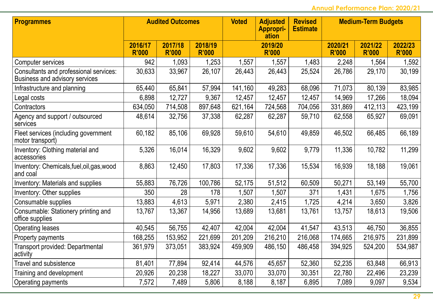| Programmes                                                               | <b>Audited Outcomes</b> |                         | <b>Voted</b><br><b>Revised</b><br><b>Adjusted</b><br><b>Estimate</b><br><b>Appropri-</b><br>ation |         |                         | <b>Medium-Term Budgets</b> |                         |                         |                         |
|--------------------------------------------------------------------------|-------------------------|-------------------------|---------------------------------------------------------------------------------------------------|---------|-------------------------|----------------------------|-------------------------|-------------------------|-------------------------|
|                                                                          | 2016/17<br><b>R'000</b> | 2017/18<br><b>R'000</b> | 2018/19<br><b>R'000</b>                                                                           |         | 2019/20<br><b>R'000</b> |                            | 2020/21<br><b>R'000</b> | 2021/22<br><b>R'000</b> | 2022/23<br><b>R'000</b> |
| Computer services                                                        | 942                     | 1,093                   | 1,253                                                                                             | 1,557   | 1,557                   | 1,483                      | 2,248                   | 1,564                   | 1,592                   |
| Consultants and professional services:<br>Business and advisory services | 30,633                  | 33,967                  | 26,107                                                                                            | 26,443  | 26,443                  | 25,524                     | 26,786                  | 29,170                  | 30,199                  |
| Infrastructure and planning                                              | 65,440                  | 65,841                  | 57,994                                                                                            | 141,160 | 49,283                  | 68,096                     | 71,073                  | 80,139                  | 83,985                  |
| Legal costs                                                              | 6,898                   | 12,727                  | 9,367                                                                                             | 12,457  | 12,457                  | 12,457                     | 14,969                  | 17,266                  | 18,094                  |
| Contractors                                                              | 634,050                 | 714,508                 | 897,648                                                                                           | 621,164 | 724,568                 | 704,056                    | 331,869                 | 412,113                 | 423,199                 |
| Agency and support / outsourced<br>services                              | 48,614                  | 32,756                  | 37,338                                                                                            | 62,287  | 62,287                  | 59,710                     | 62,558                  | 65,927                  | 69,091                  |
| Fleet services (including government<br>motor transport)                 | 60,182                  | 85,106                  | 69,928                                                                                            | 59,610  | 54,610                  | 49,859                     | 46,502                  | 66,485                  | 66,189                  |
| Inventory: Clothing material and<br>accessories                          | 5,326                   | 16,014                  | 16,329                                                                                            | 9,602   | 9,602                   | 9,779                      | 11,336                  | 10,782                  | 11,299                  |
| Inventory: Chemicals, fuel, oil, gas, wood<br>and coal                   | 8,863                   | 12,450                  | 17,803                                                                                            | 17,336  | 17,336                  | 15,534                     | 16,939                  | 18,188                  | 19,061                  |
| Inventory: Materials and supplies                                        | 55,883                  | 76,726                  | 100,786                                                                                           | 52,175  | 51,512                  | 60,509                     | 50,271                  | 53,149                  | 55,700                  |
| Inventory: Other supplies                                                | 350                     | 28                      | 178                                                                                               | 1,507   | 1,507                   | 371                        | 1,431                   | 1,675                   | 1,756                   |
| Consumable supplies                                                      | 13,883                  | 4,613                   | 5,971                                                                                             | 2,380   | 2,415                   | 1,725                      | 4,214                   | 3,650                   | 3,826                   |
| Consumable: Stationery printing and<br>office supplies                   | 13,767                  | 13,367                  | 14,956                                                                                            | 13,689  | 13,681                  | 13,761                     | 13,757                  | 18,613                  | 19,506                  |
| Operating leases                                                         | 40,545                  | 56,755                  | 42,407                                                                                            | 42,004  | 42,004                  | 41,547                     | 43,513                  | 46,750                  | 36,855                  |
| Property payments                                                        | 168,255                 | 153,952                 | 221,699                                                                                           | 201,209 | 216,210                 | 216,068                    | 174,665                 | 216,975                 | 231,899                 |
| Transport provided: Departmental<br>activity                             | 361,979                 | 373,051                 | 383,924                                                                                           | 459,909 | 486,150                 | 486,458                    | 394,925                 | 524,200                 | 534,987                 |
| Travel and subsistence                                                   | 81,401                  | 77,894                  | 92,414                                                                                            | 44,576  | 45,657                  | 52,360                     | 52,235                  | 63,848                  | 66,913                  |
| Training and development                                                 | 20,926                  | 20,238                  | 18,227                                                                                            | 33,070  | 33,070                  | 30,351                     | 22,780                  | 22,496                  | 23,239                  |
| Operating payments                                                       | 7,572                   | 7,489                   | 5,806                                                                                             | 8,188   | 8,187                   | 6,895                      | 7,089                   | 9,097                   | 9,534                   |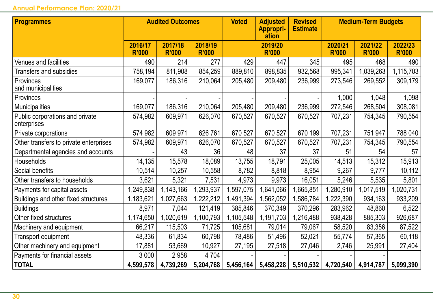| <b>Programmes</b>                              | <b>Audited Outcomes</b> |                         |                         | <b>Voted</b><br><b>Revised</b><br><b>Adjusted</b><br><b>Estimate</b><br><b>Appropri-</b><br>ation |                         |           | <b>Medium-Term Budgets</b> |                  |                         |  |
|------------------------------------------------|-------------------------|-------------------------|-------------------------|---------------------------------------------------------------------------------------------------|-------------------------|-----------|----------------------------|------------------|-------------------------|--|
|                                                | 2016/17<br><b>R'000</b> | 2017/18<br><b>R'000</b> | 2018/19<br><b>R'000</b> |                                                                                                   | 2019/20<br><b>R'000</b> |           | 2020/21<br>R'000           | 2021/22<br>R'000 | 2022/23<br><b>R'000</b> |  |
| Venues and facilities                          | 490                     | 214                     | 277                     | 429                                                                                               | 447                     | 345       | 495                        | 468              | 490                     |  |
| Transfers and subsidies                        | 758,194                 | 811,908                 | 854,259                 | 889,810                                                                                           | 898,835                 | 932,568   | 995,341                    | 1,039,263        | 1,115,703               |  |
| Provinces<br>and municipalities                | 169,077                 | 186,316                 | 210,064                 | 205,480                                                                                           | 209,480                 | 236,999   | 273,546                    | 269,552          | 309,179                 |  |
| Provinces                                      |                         |                         |                         |                                                                                                   |                         |           | 1,000                      | 1,048            | 1,098                   |  |
| Municipalities                                 | 169,077                 | 186,316                 | 210,064                 | 205,480                                                                                           | 209,480                 | 236,999   | 272,546                    | 268,504          | 308,081                 |  |
| Public corporations and private<br>enterprises | 574,982                 | 609,971                 | 626,070                 | 670,527                                                                                           | 670,527                 | 670,527   | 707,231                    | 754,345          | 790,554                 |  |
| Private corporations                           | 574 982                 | 609 971                 | 626 761                 | 670 527                                                                                           | 670 527                 | 670 199   | 707,231                    | 751 947          | 788 040                 |  |
| Other transfers to private enterprises         | 574,982                 | 609,971                 | 626,070                 | 670,527                                                                                           | 670,527                 | 670,527   | 707,231                    | 754,345          | 790,554                 |  |
| Departmental agencies and accounts             |                         | 43                      | 36                      | 48                                                                                                | 37                      | 37        | 51                         | 54               | 57                      |  |
| Households                                     | 14,135                  | 15,578                  | 18,089                  | 13,755                                                                                            | 18,791                  | 25,005    | 14,513                     | 15,312           | 15,913                  |  |
| Social benefits                                | 10,514                  | 10,257                  | 10,558                  | 8,782                                                                                             | 8,818                   | 8,954     | 9,267                      | 9,777            | 10,112                  |  |
| Other transfers to households                  | 3,621                   | 5,321                   | 7,531                   | 4,973                                                                                             | 9,973                   | 16,051    | 5,246                      | 5,535            | 5,801                   |  |
| Payments for capital assets                    | ,249,838                | 1,143,166               | 1,293,937               | 1,597,075                                                                                         | 1,641,066               | ,665,851  | 1,280,910                  | 1,017,519        | 1,020,731               |  |
| Buildings and other fixed structures           | 1,183,621               | 1,027,663               | ,222,212                | 1,491,394                                                                                         | 1,562,052               | 1,586,784 | 1,222,390                  | 934,163          | 933,209                 |  |
| <b>Buildings</b>                               | 8,971                   | 7,044                   | 121,419                 | 385,846                                                                                           | 370,349                 | 370,296   | 283,962                    | 48,860           | 6,522                   |  |
| Other fixed structures                         | 1,174,650               | 1,020,619               | 1,100,793               | 1,105,548                                                                                         | 1,191,703               | 1,216,488 | 938,428                    | 885,303          | 926,687                 |  |
| Machinery and equipment                        | 66,217                  | 115,503                 | 71,725                  | 105,681                                                                                           | 79,014                  | 79,067    | 58,520                     | 83,356           | 87,522                  |  |
| Transport equipment                            | 48,336                  | 61,834                  | 60,798                  | 78,486                                                                                            | 51,496                  | 52,021    | 55,774                     | 57,365           | 60,118                  |  |
| Other machinery and equipment                  | 17,881                  | 53,669                  | 10,927                  | 27,195                                                                                            | 27,518                  | 27,046    | 2,746                      | 25,991           | 27,404                  |  |
| Payments for financial assets                  | 3 0 0 0                 | 2958                    | 4 704                   |                                                                                                   |                         |           |                            |                  |                         |  |
| <b>TOTAL</b>                                   | 4,599,578               | 4,739,269               | 5,204,768               | 5,456,164                                                                                         | 5,458,228               | 5,510,532 | 4,720,540                  | 4,914,787        | 5,099,390               |  |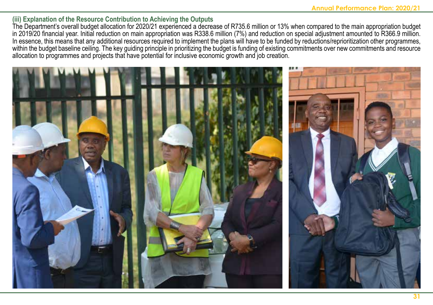#### **(iii) Explanation of the Resource Contribution to Achieving the Outputs**

The Department's overall budget allocation for 2020/21 experienced a decrease of R735.6 million or 13% when compared to the main appropriation budget in 2019/20 financial year. Initial reduction on main appropriation was R338.6 million (7%) and reduction on special adjustment amounted to R366.9 million. In essence, this means that any additional resources required to implement the plans will have to be funded by reductions/reprioritization other programmes, within the budget baseline ceiling. The key guiding principle in prioritizing the budget is funding of existing commitments over new commitments and resource allocation to programmes and projects that have potential for inclusive economic growth and job creation.

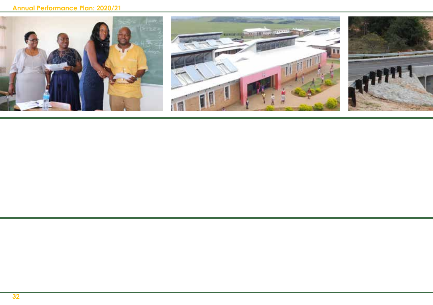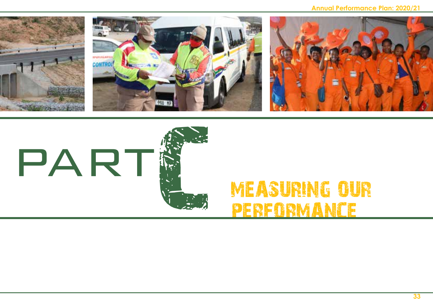



### MEASURING OUR **PERFORMANCE**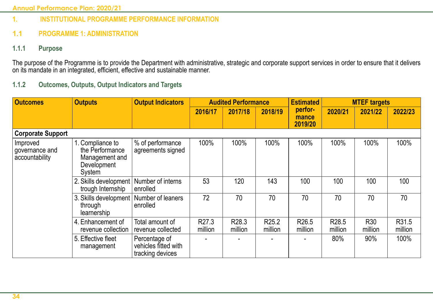- **1. INSTITUTIONAL PROGRAMME PERFORMANCE INFORMATION**
- **1.1 PROGRAMME 1: ADMINISTRATION**

#### **1.1.1 Purpose**

The purpose of the Programme is to provide the Department with administrative, strategic and corporate support services in order to ensure that it delivers on its mandate in an integrated, efficient, effective and sustainable manner.

#### **1.1.2 Outcomes, Outputs, Output Indicators and Targets**

| <b>Outcomes</b>                              | <b>Outputs</b>                                                                 | <b>Output Indicators</b>                                  |                  | <b>Audited Performance</b>   |                              | <b>Estimated</b>             |                              | <b>MTEF targets</b> |                  |
|----------------------------------------------|--------------------------------------------------------------------------------|-----------------------------------------------------------|------------------|------------------------------|------------------------------|------------------------------|------------------------------|---------------------|------------------|
|                                              |                                                                                |                                                           | 2016/17          | 2017/18                      | 2018/19                      | perfor-<br>mance<br>2019/20  | 2020/21                      | 2021/22             | 2022/23          |
| <b>Corporate Support</b>                     |                                                                                |                                                           |                  |                              |                              |                              |                              |                     |                  |
| Improved<br>governance and<br>accountability | 1. Compliance to<br>the Performance<br>Management and<br>Development<br>System | % of performance<br>agreements signed                     | 100%             | 100%                         | 100%                         | 100%                         | 100%                         | 100%                | 100%             |
|                                              | 2. Skills development   Number of interns<br>trough Internship                 | enrolled                                                  | 53               | 120                          | 143                          | 100                          | 100                          | 100                 | 100              |
|                                              | 3. Skills development   Number of leaners<br>through<br>learnership            | enrolled                                                  | 72               | 70                           | 70                           | 70                           | 70                           | 70                  | 70               |
|                                              | 4. Enhancement of<br>revenue collection                                        | Total amount of<br>revenue collected                      | R27.3<br>million | R <sub>28.3</sub><br>million | R <sub>25.2</sub><br>million | R <sub>26.5</sub><br>million | R <sub>28.5</sub><br>million | R30<br>million      | R31.5<br>million |
|                                              | 5. Effective fleet<br>management                                               | Percentage of<br>vehicles fitted with<br>tracking devices |                  |                              |                              |                              | 80%                          | 90%                 | 100%             |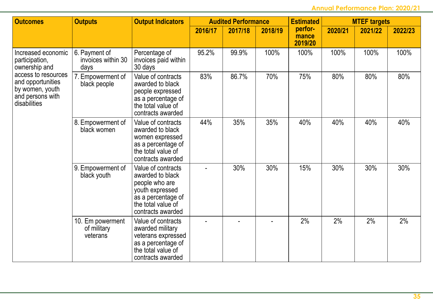| <b>Outcomes</b>                                                                                                                                          | <b>Outputs</b>                              | <b>Output Indicators</b>                                                                                                                     | <b>Audited Performance</b> |         |         | <b>Estimated</b>            | <b>MTEF targets</b> |         |         |
|----------------------------------------------------------------------------------------------------------------------------------------------------------|---------------------------------------------|----------------------------------------------------------------------------------------------------------------------------------------------|----------------------------|---------|---------|-----------------------------|---------------------|---------|---------|
|                                                                                                                                                          |                                             |                                                                                                                                              | 2016/17                    | 2017/18 | 2018/19 | perfor-<br>mance<br>2019/20 | 2020/21             | 2021/22 | 2022/23 |
| Increased economic<br>participation,<br>ownership and<br>access to resources<br>and opportunities<br>by women, youth<br>and persons with<br>disabilities | 6. Payment of<br>invoices within 30<br>days | Percentage of<br>invoices paid within<br>30 days                                                                                             | 95.2%                      | 99.9%   | 100%    | 100%                        | 100%                | 100%    | 100%    |
|                                                                                                                                                          | Empowerment of<br>black people              | Value of contracts<br>awarded to black<br>people expressed<br>as a percentage of<br>the total value of<br>contracts awarded                  | 83%                        | 86.7%   | 70%     | 75%                         | 80%                 | 80%     | 80%     |
|                                                                                                                                                          | 8. Empowerment of<br>black women            | Value of contracts<br>awarded to black<br>women expressed<br>as a percentage of<br>the total value of<br>contracts awarded                   | 44%                        | 35%     | 35%     | 40%                         | 40%                 | 40%     | 40%     |
|                                                                                                                                                          | 9. Empowerment of<br>black youth            | Value of contracts<br>awarded to black<br>people who are<br>youth expressed<br>as a percentage of<br>the total value of<br>contracts awarded |                            | 30%     | 30%     | 15%                         | 30%                 | 30%     | 30%     |
|                                                                                                                                                          | 10. Em powerment<br>of military<br>veterans | Value of contracts<br>awarded military<br>veterans expressed<br>as a percentage of<br>the total value of<br>contracts awarded                |                            |         |         | 2%                          | 2%                  | 2%      | 2%      |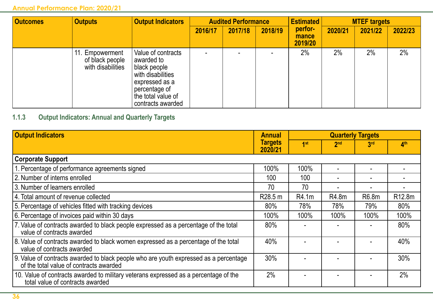| <b>Outcomes</b> | <b>Output Indicators</b><br><b>Outputs</b>              |                                                                                                                                                     |         |         | <b>Estimated</b><br><b>Audited Performance</b> |                             |         | <b>MTEF targets</b> |         |
|-----------------|---------------------------------------------------------|-----------------------------------------------------------------------------------------------------------------------------------------------------|---------|---------|------------------------------------------------|-----------------------------|---------|---------------------|---------|
|                 |                                                         |                                                                                                                                                     | 2016/17 | 2017/18 | 2018/19                                        | perfor-<br>mance<br>2019/20 | 2020/21 | 2021/22             | 2022/23 |
|                 | 11. Empowerment<br>of black people<br>with disabilities | Value of contracts<br>awarded to<br>black people<br>with disabilities<br>expressed as a<br>percentage of<br>the total value of<br>contracts awarded |         |         |                                                | 2%                          | 2%      | 2%                  | 2%      |

#### **1.1.3 Output Indicators: Annual and Quarterly Targets**

| <b>Output Indicators</b>                                                                                                         | <b>Annual</b>             | <b>Quarterly Targets</b> |                 |                 |                          |
|----------------------------------------------------------------------------------------------------------------------------------|---------------------------|--------------------------|-----------------|-----------------|--------------------------|
|                                                                                                                                  | <b>Targets</b><br>2020/21 | 1 <sub>st</sub>          | 2 <sub>nd</sub> | 3 <sub>rd</sub> | $\mathbf{A}^{\text{th}}$ |
| <b>Corporate Support</b>                                                                                                         |                           |                          |                 |                 |                          |
| 1. Percentage of performance agreements signed                                                                                   | 100%                      | 100%                     |                 |                 |                          |
| 2. Number of interns enrolled                                                                                                    | 100                       | 100                      |                 |                 |                          |
| 3. Number of learners enrolled                                                                                                   | 70                        | 70                       |                 |                 |                          |
| 4. Total amount of revenue collected                                                                                             | R28.5 m                   | R4.1m                    | R4.8m           | R6.8m           | R <sub>12.8</sub> m      |
| 5. Percentage of vehicles fitted with tracking devices                                                                           | 80%                       | 78%                      | 78%             | 79%             | 80%                      |
| 6. Percentage of invoices paid within 30 days                                                                                    | 100%                      | 100%                     | 100%            | 100%            | 100%                     |
| 7. Value of contracts awarded to black people expressed as a percentage of the total<br>value of contracts awarded               | 80%                       |                          |                 |                 | 80%                      |
| 8. Value of contracts awarded to black women expressed as a percentage of the total<br>value of contracts awarded                | 40%                       |                          |                 |                 | 40%                      |
| 9. Value of contracts awarded to black people who are youth expressed as a percentage<br>of the total value of contracts awarded | 30%                       |                          |                 |                 | 30%                      |
| 10. Value of contracts awarded to military veterans expressed as a percentage of the<br>total value of contracts awarded         | 2%                        |                          |                 |                 | 2%                       |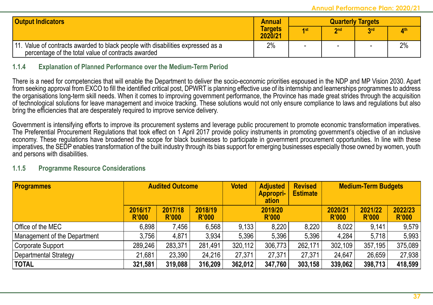| <b>Output Indicators</b>                                                                                                          | Annual             |            |     | <b>Quarterly Targets</b> |    |
|-----------------------------------------------------------------------------------------------------------------------------------|--------------------|------------|-----|--------------------------|----|
|                                                                                                                                   | Targets<br>2020/21 | <b>4st</b> | 2nd | 2rd                      | 41 |
| Value of contracts awarded to black people with disabilities expressed as a<br>percentage of the total value of contracts awarded | 2%                 |            |     |                          | 2% |

### **1.1.4 Explanation of Planned Performance over the Medium-Term Period**

There is a need for competencies that will enable the Department to deliver the socio-economic priorities espoused in the NDP and MP Vision 2030. Apart from seeking approval from EXCO to fill the identified critical post, DPWRT is planning effective use of its internship and learnerships programmes to address the organisations long-term skill needs. When it comes to improving government performance, the Province has made great strides through the acquisition of technological solutions for leave management and invoice tracking. These solutions would not only ensure compliance to laws and regulations but also bring the efficiencies that are desperately required to improve service delivery.

Government is intensifying efforts to improve its procurement systems and leverage public procurement to promote economic transformation imperatives. The Preferential Procurement Regulations that took effect on 1 April 2017 provide policy instruments in promoting government's objective of an inclusive economy. These regulations have broadened the scope for black businesses to participate in government procurement opportunities. In line with these imperatives, the SEDP enables transformation of the built industry through its bias support for emerging businesses especially those owned by women, youth and persons with disabilities.

| 1.1.5 |  |  | <b>Programme Resource Considerations</b> |
|-------|--|--|------------------------------------------|
|-------|--|--|------------------------------------------|

| <b>Programmes</b>            | <b>Audited Outcome</b> |                         |                  | <b>Voted</b><br><b>Adjusted</b><br><b>Revised</b><br><b>Estimate</b><br><b>Appropri-</b><br>ation |                  |         | <b>Medium-Term Budgets</b> |                  |                  |  |
|------------------------------|------------------------|-------------------------|------------------|---------------------------------------------------------------------------------------------------|------------------|---------|----------------------------|------------------|------------------|--|
|                              | 2016/17<br>R'000       | 2017/18<br><b>R'000</b> | 2018/19<br>R'000 |                                                                                                   | 2019/20<br>R'000 |         | 2020/21<br>R'000           | 2021/22<br>R'000 | 2022/23<br>R'000 |  |
| Office of the MEC            | 6,898                  | 7.456                   | 6,568            | 9,133                                                                                             | 8,220            | 8,220   | 8,022                      | 9,141            | 9,579            |  |
| Management of the Department | 3,756                  | 4,871                   | 3,934            | 5,396                                                                                             | 5,396            | 5,396   | 4,284                      | 5,718            | 5,993            |  |
| Corporate Support            | 289,246                | 283,371                 | 281,491          | 320,112                                                                                           | 306,773          | 262,171 | 302,109                    | 357,195          | 375,089          |  |
| Departmental Strategy        | 21,681                 | 23,390                  | 24,216           | 27,371                                                                                            | 27,371           | 27,371  | 24,647                     | 26,659           | 27,938           |  |
| <b>TOTAL</b>                 | 321,581                | 319,088                 | 316,209          | 362,012                                                                                           | 347,760          | 303,158 | 339,062                    | 398,713          | 418,599          |  |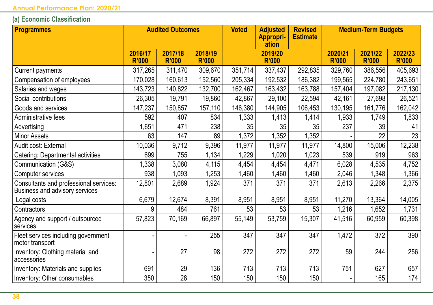# **(a) Economic Classification**

| <b>Programmes</b>                                                        |                  | <b>Audited Outcomes</b> |                         | <b>Revised</b><br><b>Voted</b><br><b>Adjusted</b><br><b>Estimate</b><br><b>Appropri-</b><br>ation |                         |         | <b>Medium-Term Budgets</b> |                         |                         |
|--------------------------------------------------------------------------|------------------|-------------------------|-------------------------|---------------------------------------------------------------------------------------------------|-------------------------|---------|----------------------------|-------------------------|-------------------------|
|                                                                          | 2016/17<br>R'000 | 2017/18<br><b>R'000</b> | 2018/19<br><b>R'000</b> |                                                                                                   | 2019/20<br><b>R'000</b> |         | 2020/21<br><b>R'000</b>    | 2021/22<br><b>R'000</b> | 2022/23<br><b>R'000</b> |
| Current payments                                                         | 317,265          | 311,470                 | 309,670                 | 351,714                                                                                           | 337,437                 | 292,835 | 329,760                    | 386,556                 | 405,693                 |
| Compensation of employees                                                | 170,028          | 160,613                 | 152,560                 | 205,334                                                                                           | 192,532                 | 186,382 | 199,565                    | 224,780                 | 243,651                 |
| Salaries and wages                                                       | 143,723          | 140,822                 | 132,700                 | 162,467                                                                                           | 163,432                 | 163,788 | 157,404                    | 197,082                 | 217,130                 |
| Social contributions                                                     | 26,305           | 19,791                  | 19,860                  | 42,867                                                                                            | 29,100                  | 22,594  | 42,161                     | 27,698                  | 26,521                  |
| Goods and services                                                       | 147,237          | 150,857                 | 157,110                 | 146,380                                                                                           | 144,905                 | 106,453 | 130,195                    | 161,776                 | 162,042                 |
| Administrative fees                                                      | 592              | 407                     | 834                     | 1,333                                                                                             | 1,413                   | 1,414   | 1,933                      | 1,749                   | 1,833                   |
| Advertising                                                              | 1,651            | 471                     | 238                     | 35                                                                                                | 35                      | 35      | 237                        | 39                      | 41                      |
| <b>Minor Assets</b>                                                      | 63               | 147                     | 89                      | 1,372                                                                                             | 1,352                   | 1,352   |                            | 22                      | 23                      |
| Audit cost: External                                                     | 10,036           | 9,712                   | 9,396                   | 11,977                                                                                            | 11,977                  | 11,977  | 14,800                     | 15,006                  | 12,238                  |
| Catering: Departmental activities                                        | 699              | 755                     | 1,134                   | 1,229                                                                                             | 1,020                   | 1,023   | 539                        | 919                     | 963                     |
| Communication (G&S)                                                      | 1,338            | 3,080                   | 4,115                   | 4,454                                                                                             | 4,454                   | 4,471   | 6,028                      | 4,535                   | 4,752                   |
| Computer services                                                        | 938              | 1,093                   | 1,253                   | 1,460                                                                                             | 1,460                   | 1,460   | 2,046                      | 1,348                   | 1,366                   |
| Consultants and professional services:<br>Business and advisory services | 12,801           | 2,689                   | 1,924                   | 371                                                                                               | 371                     | 371     | 2,613                      | 2,266                   | 2,375                   |
| Legal costs                                                              | 6,679            | 12,674                  | 8,391                   | 8,951                                                                                             | 8,951                   | 8,951   | 11,270                     | 13,364                  | 14,005                  |
| Contractors                                                              | 9                | 484                     | 761                     | 53                                                                                                | 53                      | 53      | 1,216                      | 1,652                   | 1,731                   |
| Agency and support / outsourced<br>services                              | 57,823           | 70,169                  | 66,897                  | 55,149                                                                                            | 53,759                  | 15,307  | 41,516                     | 60,959                  | 60,398                  |
| Fleet services including government<br>motor transport                   |                  |                         | 255                     | 347                                                                                               | 347                     | 347     | 1,472                      | 372                     | 390                     |
| Inventory: Clothing material and<br>accessories                          |                  | 27                      | 98                      | 272                                                                                               | 272                     | 272     | 59                         | 244                     | 256                     |
| Inventory: Materials and supplies                                        | 691              | 29                      | 136                     | 713                                                                                               | 713                     | 713     | 751                        | 627                     | 657                     |
| Inventory: Other consumables                                             | 350              | 28                      | 150                     | 150                                                                                               | 150                     | 150     |                            | 165                     | 174                     |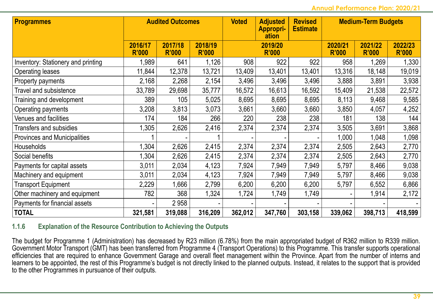| <b>Programmes</b>                  |                         | <b>Audited Outcomes</b><br><b>Voted</b><br><b>Adjusted</b><br><b>Revised</b><br><b>Medium-Term Budgets</b><br><b>Estimate</b><br><b>Appropri-</b><br>ation |                  |         |                         |         |                  |                  |                  |
|------------------------------------|-------------------------|------------------------------------------------------------------------------------------------------------------------------------------------------------|------------------|---------|-------------------------|---------|------------------|------------------|------------------|
|                                    | 2016/17<br><b>R'000</b> | 2017/18<br><b>R'000</b>                                                                                                                                    | 2018/19<br>R'000 |         | 2019/20<br><b>R'000</b> |         | 2020/21<br>R'000 | 2021/22<br>R'000 | 2022/23<br>R'000 |
| Inventory: Stationery and printing | 1,989                   | 641                                                                                                                                                        | 1,126            | 908     | 922                     | 922     | 958              | 1,269            | 1,330            |
| Operating leases                   | 11,844                  | 12,378                                                                                                                                                     | 13,721           | 13,409  | 13,401                  | 13,401  | 13,316           | 18,148           | 19,019           |
| Property payments                  | 2,168                   | 2,268                                                                                                                                                      | 2,154            | 3,496   | 3,496                   | 3,496   | 3,888            | 3,891            | 3,938            |
| Travel and subsistence             | 33,789                  | 29,698                                                                                                                                                     | 35,777           | 16,572  | 16,613                  | 16,592  | 15,409           | 21,538           | 22,572           |
| Training and development           | 389                     | 105                                                                                                                                                        | 5,025            | 8,695   | 8,695                   | 8,695   | 8,113            | 9,468            | 9,585            |
| Operating payments                 | 3,208                   | 3,813                                                                                                                                                      | 3,073            | 3,661   | 3,660                   | 3,660   | 3,850            | 4,057            | 4,252            |
| Venues and facilities              | 174                     | 184                                                                                                                                                        | 266              | 220     | 238                     | 238     | 181              | 138              | 144              |
| Transfers and subsidies            | 1,305                   | 2,626                                                                                                                                                      | 2,416            | 2,374   | 2,374                   | 2,374   | 3,505            | 3,691            | 3,868            |
| Provinces and Municipalities       |                         |                                                                                                                                                            |                  |         |                         |         | 1,000            | 1,048            | 1,098            |
| Households                         | ,304                    | 2,626                                                                                                                                                      | 2,415            | 2,374   | 2,374                   | 2,374   | 2,505            | 2,643            | 2,770            |
| Social benefits                    | 1,304                   | 2,626                                                                                                                                                      | 2,415            | 2,374   | 2,374                   | 2,374   | 2,505            | 2,643            | 2,770            |
| Payments for capital assets        | 3,011                   | 2,034                                                                                                                                                      | 4,123            | 7,924   | 7,949                   | 7,949   | 5,797            | 8,466            | 9,038            |
| Machinery and equipment            | 3,011                   | 2,034                                                                                                                                                      | 4,123            | 7,924   | 7,949                   | 7,949   | 5,797            | 8,466            | 9,038            |
| <b>Transport Equipment</b>         | 2,229                   | 1,666                                                                                                                                                      | 2,799            | 6,200   | 6,200                   | 6,200   | 5,797            | 6,552            | 6,866            |
| Other machinery and equipment      | 782                     | 368                                                                                                                                                        | 1,324            | 1,724   | 1,749                   | 1,749   |                  | 1,914            | 2,172            |
| Payments for financial assets      |                         | 2958                                                                                                                                                       |                  |         |                         |         |                  |                  |                  |
| <b>TOTAL</b>                       | 321,581                 | 319,088                                                                                                                                                    | 316,209          | 362,012 | 347,760                 | 303,158 | 339,062          | 398,713          | 418,599          |

## **1.1.6 Explanation of the Resource Contribution to Achieving the Outputs**

The budget for Programme 1 (Administration) has decreased by R23 million (6.78%) from the main appropriated budget of R362 million to R339 million. Government Motor Transport (GMT) has been transferred from Programme 4 (Transport Operations) to this Programme. This transfer supports operational efficiencies that are required to enhance Government Garage and overall fleet management within the Province. Apart from the number of interns and learners to be appointed, the rest of this Programme's budget is not directly linked to the planned outputs. Instead, it relates to the support that is provided to the other Programmes in pursuance of their outputs.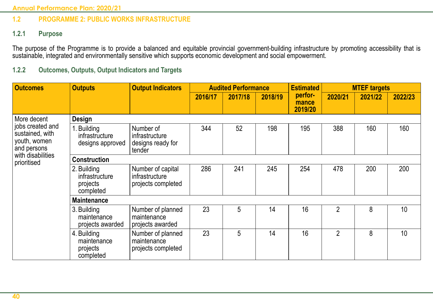## **1.2 PROGRAMME 2: PUBLIC WORKS INFRASTRUCTURE**

## **1.2.1 Purpose**

The purpose of the Programme is to provide a balanced and equitable provincial government-building infrastructure by promoting accessibility that is sustainable, integrated and environmentally sensitive which supports economic development and social empowerment.

## **1.2.2 Outcomes, Outputs, Output Indicators and Targets**

| <b>Outcomes</b>                                                    | <b>Outputs</b>                                         | <b>Output Indicators</b>                                   |         | <b>Audited Performance</b> |         | <b>Estimated</b>            |                | <b>MTEF targets</b> |         |
|--------------------------------------------------------------------|--------------------------------------------------------|------------------------------------------------------------|---------|----------------------------|---------|-----------------------------|----------------|---------------------|---------|
|                                                                    |                                                        |                                                            | 2016/17 | 2017/18                    | 2018/19 | perfor-<br>mance<br>2019/20 | 2020/21        | 2021/22             | 2022/23 |
| More decent                                                        | Design                                                 |                                                            |         |                            |         |                             |                |                     |         |
| jobs created and<br>sustained, with<br>youth, women<br>and persons | 1. Building<br>infrastructure<br>designs approved      | Number of<br>infrastructure<br>designs ready for<br>tender | 344     | 52                         | 198     | 195                         | 388            | 160                 | 160     |
| with disabilities<br>prioritised                                   | <b>Construction</b>                                    |                                                            |         |                            |         |                             |                |                     |         |
|                                                                    | 2. Building<br>infrastructure<br>projects<br>completed | Number of capital<br>infrastructure<br>projects completed  | 286     | 241                        | 245     | 254                         | 478            | 200                 | 200     |
|                                                                    | Maintenance                                            |                                                            |         |                            |         |                             |                |                     |         |
|                                                                    | 3. Building<br>maintenance<br>projects awarded         | Number of planned<br>maintenance<br>projects awarded       | 23      | 5                          | 14      | 16                          | $\overline{2}$ | 8                   | 10      |
|                                                                    | 4. Building<br>maintenance<br>projects<br>completed    | Number of planned<br>maintenance<br>projects completed     | 23      | 5                          | 14      | 16                          | $\mathfrak{p}$ | 8                   | 10      |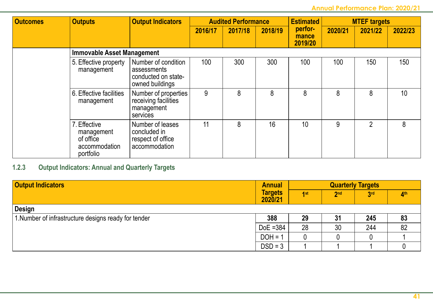| <b>Outcomes</b> | <b>Outputs</b>                                                        | <b>Output Indicators</b>                                                     |         | <b>Audited Performance</b> |         | <b>Estimated</b>            |         | <b>MTEF targets</b> |         |
|-----------------|-----------------------------------------------------------------------|------------------------------------------------------------------------------|---------|----------------------------|---------|-----------------------------|---------|---------------------|---------|
|                 |                                                                       |                                                                              | 2016/17 | 2017/18                    | 2018/19 | perfor-<br>mance<br>2019/20 | 2020/21 | 2021/22             | 2022/23 |
|                 | <b>Immovable Asset Management</b>                                     |                                                                              |         |                            |         |                             |         |                     |         |
|                 | 5. Effective property<br>management                                   | Number of condition<br>assessments<br>conducted on state-<br>owned buildings | 100     | 300                        | 300     | 100                         | 100     | 150                 | 150     |
|                 | 6. Effective facilities<br>management                                 | Number of properties<br>receiving facilities<br>management<br>services       | 9       | 8                          | 8       | 8                           | 8       | 8                   | 10      |
|                 | 7. Effective<br>management<br>of office<br>accommodation<br>portfolio | Number of leases<br>concluded in<br>respect of office<br>accommodation       | 11      | 8                          | 16      | 10                          | 9       | 2                   | 8       |

# **1.2.3 Output Indicators: Annual and Quarterly Targets**

| <b>Output Indicators</b>                             | <b>Annual</b>             | <b>Quarterly Targets</b> |                 |                 |                 |
|------------------------------------------------------|---------------------------|--------------------------|-----------------|-----------------|-----------------|
|                                                      | <b>Targets</b><br>2020/21 | 1st                      | 2 <sub>nd</sub> | 3 <sub>rd</sub> | 4 <sup>th</sup> |
| Design                                               |                           |                          |                 |                 |                 |
| 1. Number of infrastructure designs ready for tender | 388                       | 29                       | 31              | 245             | 83              |
|                                                      | DoE =384                  | 28                       | 30              | 244             | 82              |
|                                                      | $DOH = 1$                 |                          |                 |                 |                 |
|                                                      | $DSD = 3$                 |                          |                 |                 |                 |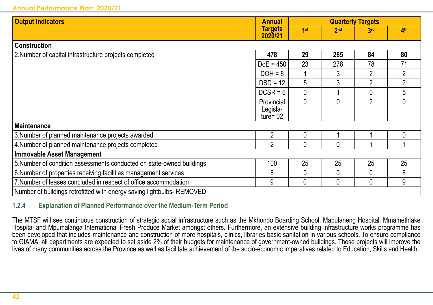**Annual Performance Plan: 2020/21**

| <b>Output Indicators</b>                                               | <b>Annual</b>                        |          |                 | <b>Quarterly Targets</b> |                 |
|------------------------------------------------------------------------|--------------------------------------|----------|-----------------|--------------------------|-----------------|
|                                                                        | <b>Targets</b><br>2020/21            | 1st      | 2 <sub>nd</sub> | 3 <sub>rd</sub>          | 4 <sup>th</sup> |
| <b>Construction</b>                                                    |                                      |          |                 |                          |                 |
| 2. Number of capital infrastructure projects completed                 | 478                                  | 29       | 285             | 84                       | 80              |
|                                                                        | $DoE = 450$                          | 23       | 278             | 78                       | 71              |
|                                                                        | $DOH = 8$                            |          | 3               | 2                        | 2               |
|                                                                        | $DSD = 12$                           | 5        | 3               | 2                        | 2               |
|                                                                        | $DCSR = 6$                           | $\Omega$ |                 | 0                        | 5               |
|                                                                        | Provincial<br>Legisla-<br>ture= $02$ | $\Omega$ | $\Omega$        | 2                        | 0               |
| Maintenance                                                            |                                      |          |                 |                          |                 |
| 3. Number of planned maintenance projects awarded                      | 2                                    | 0        |                 |                          | 0               |
| 4. Number of planned maintenance projects completed                    | 2                                    | 0        | 0               |                          |                 |
| <b>Immovable Asset Management</b>                                      |                                      |          |                 |                          |                 |
| 5. Number of condition assessments conducted on state-owned buildings  | 100                                  | 25       | 25              | 25                       | 25              |
| 6. Number of properties receiving facilities management services       | 8                                    | 0        | 0               | 0                        | 8               |
| 7. Number of leases concluded in respect of office accommodation       | 9                                    | 0        | 0               | 0                        | 9               |
| Number of buildings retrofitted with energy saving lightbulbs- REMOVED |                                      |          |                 |                          |                 |

### **1.2.4 Explanation of Planned Performance over the Medium-Term Period**

The MTSF will see continuous construction of strategic social infrastructure such as the Mkhondo Boarding School, Mapulaneng Hospital, Mmamethlake Hospital and Mpumalanga International Fresh Produce Market amongst others. Furthermore, an extensive building infrastructure works programme has been developed that includes maintenance and construction of more hospitals, clinics, libraries basic sanitation in various schools. To ensure compliance to GIAMA, all departments are expected to set aside 2% of their budgets for maintenance of government-owned buildings. These projects will improve the lives of many communities across the Province as well as facilitate achievement of the socio-economic imperatives related to Education, Skills and Health.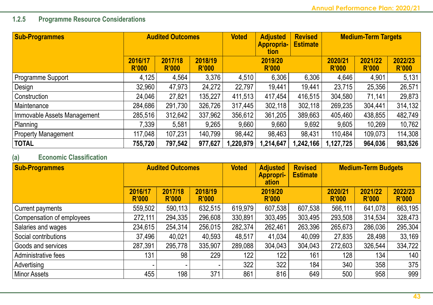# **1.2.5 Programme Resource Considerations**

| <b>Sub-Programmes</b>       |                  | <b>Audited Outcomes</b> |                  | <b>Voted</b><br><b>Adjusted</b><br><b>Appropria-</b><br>tion |                  | <b>Revised</b><br><b>Estimate</b> |                         | <b>Medium-Term Targets</b> |                  |
|-----------------------------|------------------|-------------------------|------------------|--------------------------------------------------------------|------------------|-----------------------------------|-------------------------|----------------------------|------------------|
|                             | 2016/17<br>R'000 | 2017/18<br>R'000        | 2018/19<br>R'000 |                                                              | 2019/20<br>R'000 |                                   | 2020/21<br><b>R'000</b> | 2021/22<br>R'000           | 2022/23<br>R'000 |
| Programme Support           | 4,125            | 4,564                   | 3,376            | 4,510                                                        | 6,306            | 6,306                             | 4,646                   | 4,901                      | 5,131            |
| Design                      | 32,960           | 47,973                  | 24,272           | 22,797                                                       | 19,441           | 19,441                            | 23,715                  | 25,356                     | 26,571           |
| Construction                | 24,046           | 27,821                  | 135,227          | 411,513                                                      | 417,454          | 416,515                           | 304,580                 | 71,141                     | 29,873           |
| Maintenance                 | 284,686          | 291,730                 | 326,726          | 317,445                                                      | 302,118          | 302,118                           | 269,235                 | 304,441                    | 314,132          |
| Immovable Assets Management | 285,516          | 312,642                 | 337,962          | 356,612                                                      | 361,205          | 389,663                           | 405,460                 | 438,855                    | 482,749          |
| Planning                    | 7,339            | 5,581                   | 9,265            | 9,660                                                        | 9,660            | 9,692                             | 9,605                   | 10,269                     | 10,762           |
| Property Management         | 117,048          | 107,231                 | 140.799          | 98,442                                                       | 98,463           | 98,431                            | 110,484                 | 109,073                    | 114,308          |
| <b>TOTAL</b>                | 755,720          | 797,542                 | 977,627          | 1,220,979                                                    | 1,214,647        | 1,242,166                         | 1,127,725               | 964,036                    | 983,526          |

# **(a) Economic Classification**

| <b>Sub-Programmes</b>     |                  | <b>Audited Outcomes</b> |                  | <b>Adjusted</b><br><b>Voted</b><br>Appropri-<br>ation |                  | <b>Revised</b><br><b>Estimate</b> |                  | <b>Medium-Term Budgets</b> |                  |
|---------------------------|------------------|-------------------------|------------------|-------------------------------------------------------|------------------|-----------------------------------|------------------|----------------------------|------------------|
|                           | 2016/17<br>R'000 | 2017/18<br>R'000        | 2018/19<br>R'000 |                                                       | 2019/20<br>R'000 |                                   | 2020/21<br>R'000 | 2021/22<br>R'000           | 2022/23<br>R'000 |
| Current payments          | 559,502          | 590,113                 | 632,515          | 619,979                                               | 607,538          | 607,538                           | 566,111          | 641,078                    | 663,195          |
| Compensation of employees | 272,111          | 294,335                 | 296,608          | 330,891                                               | 303,495          | 303,495                           | 293,508          | 314,534                    | 328,473          |
| Salaries and wages        | 234,615          | 254,314                 | 256,015          | 282,374                                               | 262,461          | 263,396                           | 265,673          | 286,036                    | 295,304          |
| Social contributions      | 37,496           | 40,021                  | 40,593           | 48,517                                                | 41,034           | 40,099                            | 27,835           | 28,498                     | 33,169           |
| Goods and services        | 287,391          | 295,778                 | 335,907          | 289,088                                               | 304,043          | 304,043                           | 272,603          | 326,544                    | 334,722          |
| Administrative fees       | 131              | 98                      | 229              | 122                                                   | 122              | 161                               | 128              | 134                        | 140              |
| Advertising               |                  |                         |                  | 322                                                   | 322              | 184                               | 340              | 358                        | 375              |
| Minor Assets              | 455              | 198                     | 371              | 861                                                   | 816              | 649                               | 500              | 958                        | 999              |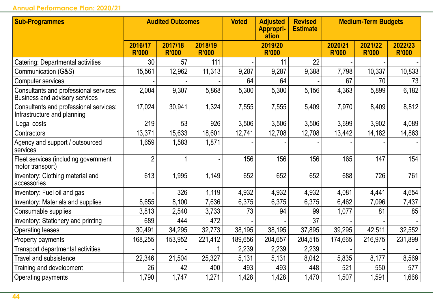| <b>Sub-Programmes</b>                                                    | <b>Voted</b><br><b>Audited Outcomes</b><br><b>Revised</b><br><b>Adjusted</b><br><b>Estimate</b><br><b>Appropri-</b><br>ation |                         |                         |         |                         | <b>Medium-Term Budgets</b> |                         |                         |                         |
|--------------------------------------------------------------------------|------------------------------------------------------------------------------------------------------------------------------|-------------------------|-------------------------|---------|-------------------------|----------------------------|-------------------------|-------------------------|-------------------------|
|                                                                          | 2016/17<br><b>R'000</b>                                                                                                      | 2017/18<br><b>R'000</b> | 2018/19<br><b>R'000</b> |         | 2019/20<br><b>R'000</b> |                            | 2020/21<br><b>R'000</b> | 2021/22<br><b>R'000</b> | 2022/23<br><b>R'000</b> |
| Catering: Departmental activities                                        | 30                                                                                                                           | 57                      | 111                     |         | 11                      | 22                         |                         |                         |                         |
| Communication (G&S)                                                      | 15,561                                                                                                                       | 12,962                  | 11,313                  | 9,287   | 9,287                   | 9,388                      | 7,798                   | 10,337                  | 10,833                  |
| Computer services                                                        |                                                                                                                              |                         |                         | 64      | 64                      |                            | 67                      | 70                      | 73                      |
| Consultants and professional services:<br>Business and advisory services | 2,004                                                                                                                        | 9,307                   | 5,868                   | 5,300   | 5,300                   | 5,156                      | 4,363                   | 5,899                   | 6,182                   |
| Consultants and professional services:<br>Infrastructure and planning    | 17,024                                                                                                                       | 30,941                  | 1,324                   | 7,555   | 7,555                   | 5,409                      | 7,970                   | 8,409                   | 8,812                   |
| Legal costs                                                              | 219                                                                                                                          | 53                      | 926                     | 3,506   | 3,506                   | 3,506                      | 3,699                   | 3,902                   | 4,089                   |
| Contractors                                                              | 13,371                                                                                                                       | 15,633                  | 18,601                  | 12,741  | 12,708                  | 12,708                     | 13,442                  | 14,182                  | 14,863                  |
| Agency and support / outsourced<br>services                              | 1,659                                                                                                                        | 1,583                   | 1,871                   |         |                         |                            |                         |                         |                         |
| Fleet services (including government<br>motor transport)                 | $\overline{2}$                                                                                                               |                         |                         | 156     | 156                     | 156                        | 165                     | 147                     | 154                     |
| Inventory: Clothing material and<br>accessories                          | 613                                                                                                                          | 1,995                   | 1,149                   | 652     | 652                     | 652                        | 688                     | 726                     | 761                     |
| Inventory: Fuel oil and gas                                              |                                                                                                                              | 326                     | 1,119                   | 4,932   | 4,932                   | 4,932                      | 4,081                   | 4,441                   | 4,654                   |
| Inventory: Materials and supplies                                        | 8,655                                                                                                                        | 8,100                   | 7,636                   | 6,375   | 6,375                   | 6,375                      | 6,462                   | 7,096                   | 7,437                   |
| Consumable supplies                                                      | 3,813                                                                                                                        | 2,540                   | 3,733                   | 73      | 94                      | 99                         | 1,077                   | 81                      | 85                      |
| Inventory: Stationery and printing                                       | 689                                                                                                                          | 444                     | 472                     |         |                         | 37                         |                         |                         |                         |
| Operating leases                                                         | 30,491                                                                                                                       | 34,295                  | 32,773                  | 38,195  | 38,195                  | 37,895                     | 39,295                  | 42,511                  | 32,552                  |
| Property payments                                                        | 168,255                                                                                                                      | 153,952                 | 221,412                 | 189,656 | 204,657                 | 204,515                    | 174,665                 | 216,975                 | 231,899                 |
| Transport departmental activities                                        |                                                                                                                              |                         |                         | 2,239   | 2,239                   | 2,239                      |                         |                         |                         |
| Travel and subsistence                                                   | 22,346                                                                                                                       | 21,504                  | 25,327                  | 5,131   | 5,131                   | 8,042                      | 5,835                   | 8,177                   | 8,569                   |
| Training and development                                                 | 26                                                                                                                           | 42                      | 400                     | 493     | 493                     | 448                        | 521                     | 550                     | 577                     |
| Operating payments                                                       | 1,790                                                                                                                        | 1,747                   | 1,271                   | 1,428   | 1,428                   | 1,470                      | 1,507                   | 1,591                   | 1,668                   |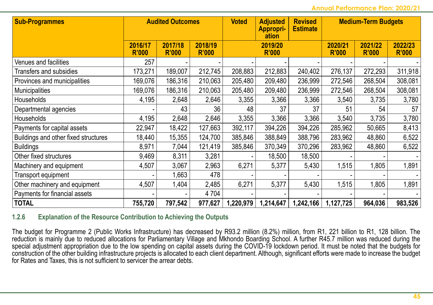| <b>Sub-Programmes</b>                | <b>Audited Outcomes</b> |                         |                         | <b>Voted</b> | <b>Adjusted</b><br><b>Revised</b><br><b>Appropri-</b><br><b>Estimate</b><br>ation |           |                  | <b>Medium-Term Budgets</b> |                         |  |
|--------------------------------------|-------------------------|-------------------------|-------------------------|--------------|-----------------------------------------------------------------------------------|-----------|------------------|----------------------------|-------------------------|--|
|                                      | 2016/17<br><b>R'000</b> | 2017/18<br><b>R'000</b> | 2018/19<br><b>R'000</b> |              | 2019/20<br><b>R'000</b>                                                           |           | 2020/21<br>R'000 | 2021/22<br>R'000           | 2022/23<br><b>R'000</b> |  |
| Venues and facilities                | 257                     |                         |                         |              |                                                                                   |           |                  |                            |                         |  |
| Transfers and subsidies              | 173,271                 | 189,007                 | 212,745                 | 208,883      | 212,883                                                                           | 240,402   | 276,137          | 272,293                    | 311,918                 |  |
| Provinces and municipalities         | 169,076                 | 186,316                 | 210,063                 | 205,480      | 209,480                                                                           | 236,999   | 272,546          | 268,504                    | 308,081                 |  |
| <b>Municipalities</b>                | 169,076                 | 186,316                 | 210,063                 | 205,480      | 209,480                                                                           | 236,999   | 272,546          | 268,504                    | 308,081                 |  |
| Households                           | 4,195                   | 2,648                   | 2,646                   | 3,355        | 3,366                                                                             | 3,366     | 3,540            | 3,735                      | 3,780                   |  |
| Departmental agencies                |                         | 43                      | 36                      | 48           | 37                                                                                | 37        | 51               | 54                         | 57                      |  |
| Households                           | 4,195                   | 2,648                   | 2,646                   | 3,355        | 3,366                                                                             | 3,366     | 3,540            | 3,735                      | 3,780                   |  |
| Payments for capital assets          | 22,947                  | 18,422                  | 127,663                 | 392,117      | 394,226                                                                           | 394,226   | 285,962          | 50,665                     | 8,413                   |  |
| Buildings and other fixed structures | 18,440                  | 15,355                  | 124,700                 | 385,846      | 388,849                                                                           | 388,796   | 283,962          | 48,860                     | 6,522                   |  |
| <b>Buildings</b>                     | 8,971                   | 7,044                   | 121,419                 | 385,846      | 370,349                                                                           | 370,296   | 283,962          | 48,860                     | 6,522                   |  |
| Other fixed structures               | 9,469                   | 8,311                   | 3,281                   |              | 18,500                                                                            | 18,500    |                  |                            |                         |  |
| Machinery and equipment              | 4,507                   | 3,067                   | 2,963                   | 6,271        | 5,377                                                                             | 5,430     | 1,515            | 1,805                      | 1,891                   |  |
| Transport equipment                  |                         | 1,663                   | 478                     |              |                                                                                   |           |                  |                            |                         |  |
| Other machinery and equipment        | 4,507                   | 1,404                   | 2,485                   | 6,271        | 5,377                                                                             | 5,430     | 1,515            | 1,805                      | 1,891                   |  |
| Payments for financial assets        |                         |                         | 4 7 0 4                 |              |                                                                                   |           |                  |                            |                         |  |
| <b>TOTAL</b>                         | 755,720                 | 797,542                 | 977,627                 | 1,220,979    | 1,214,647                                                                         | 1,242,166 | 1,127,725        | 964,036                    | 983,526                 |  |

### **1.2.6 Explanation of the Resource Contribution to Achieving the Outputs**

The budget for Programme 2 (Public Works Infrastructure) has decreased by R93.2 million (8.2%) million, from R1, 221 billion to R1, 128 billion. The reduction is mainly due to reduced allocations for Parliamentary Village and Mkhondo Boarding School. A further R45.7 million was reduced during the special adjustment appropriation due to the low spending on capital assets during the COVID-19 lockdown period. It must be noted that the budgets for construction of the other building infrastructure projects is allocated to each client department. Although, significant efforts were made to increase the budget for Rates and Taxes, this is not sufficient to servicer the arrear debts.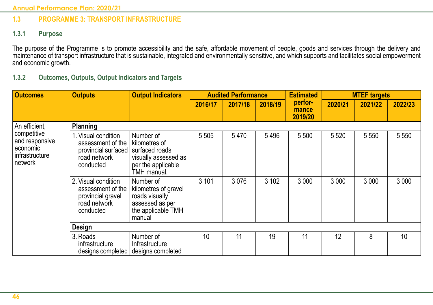## **1.3 PROGRAMME 3: TRANSPORT INFRASTRUCTURE**

### **1.3.1 Purpose**

The purpose of the Programme is to promote accessibility and the safe, affordable movement of people, goods and services through the delivery and maintenance of transport infrastructure that is sustainable, integrated and environmentally sensitive, and which supports and facilitates social empowerment and economic growth.

## **1.3.2 Outcomes, Outputs, Output Indicators and Targets**

| <b>Outcomes</b>                                                                            | <b>Outputs</b>                                                                                      | <b>Output Indicators</b>                                                                                  |         | <b>Audited Performance</b> |         |                             | <b>MTEF targets</b> |         |         |  |  |  |  |
|--------------------------------------------------------------------------------------------|-----------------------------------------------------------------------------------------------------|-----------------------------------------------------------------------------------------------------------|---------|----------------------------|---------|-----------------------------|---------------------|---------|---------|--|--|--|--|
|                                                                                            |                                                                                                     |                                                                                                           | 2016/17 | 2017/18                    | 2018/19 | perfor-<br>mance<br>2019/20 | 2020/21             | 2021/22 | 2022/23 |  |  |  |  |
| An efficient,<br>competitive<br>and responsive<br>economic<br>infrastructure<br>network    | <b>Planning</b>                                                                                     |                                                                                                           |         |                            |         |                             |                     |         |         |  |  |  |  |
|                                                                                            | 1. Visual condition<br>assessment of the<br>provincial surfaced<br>road network<br>conducted        | Number of<br>kilometres of<br>surfaced roads<br>visually assessed as<br>per the applicable<br>TMH manual. | 5 5 0 5 | 5470                       | 5496    | 5 5 0 0                     | 5 5 20              | 5 5 5 0 | 5 5 5 0 |  |  |  |  |
| 2. Visual condition<br>assessment of the<br>provincial gravel<br>road network<br>conducted |                                                                                                     | Number of<br>kilometres of gravel<br>roads visually<br>assessed as per<br>the applicable TMH<br>manual    | 3 1 0 1 | 3076                       | 3 1 0 2 | 3 0 0 0                     | 3 0 0 0             | 3 0 0 0 | 3 0 0 0 |  |  |  |  |
|                                                                                            | Design                                                                                              |                                                                                                           |         |                            |         |                             |                     |         |         |  |  |  |  |
|                                                                                            | Number of<br>3. Roads<br>Infrastructure<br>infrastructure<br>designs completed<br>designs completed |                                                                                                           | 10      | 11                         | 19      | 11                          | 12                  | 8       | 10      |  |  |  |  |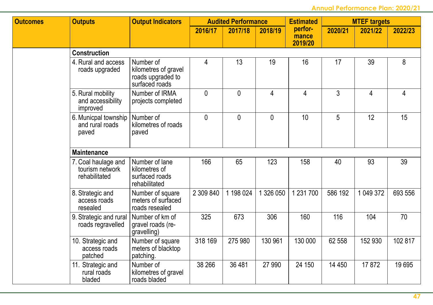| <b>Outcomes</b> | <b>Outputs</b>                                                                                                    | <b>Output Indicators</b>                                           |              | <b>Audited Performance</b> |              | <b>Estimated</b>            |         | <b>MTEF targets</b> |         |  |  |
|-----------------|-------------------------------------------------------------------------------------------------------------------|--------------------------------------------------------------------|--------------|----------------------------|--------------|-----------------------------|---------|---------------------|---------|--|--|
|                 |                                                                                                                   |                                                                    | 2016/17      | 2017/18                    | 2018/19      | perfor-<br>mance<br>2019/20 | 2020/21 | 2021/22             | 2022/23 |  |  |
|                 | <b>Construction</b>                                                                                               |                                                                    |              |                            |              |                             |         |                     |         |  |  |
|                 | 4. Rural and access<br>Number of<br>kilometres of gravel<br>roads upgraded<br>roads upgraded to<br>surfaced roads |                                                                    | 4            | 13                         | 19           | 16                          | 17      | 39                  | 8       |  |  |
|                 | 5. Rural mobility<br>and accessibility<br>improved                                                                | Number of IRMA<br>projects completed                               | 0            | 0                          | 4            | 4                           | 3       | 4                   | 4       |  |  |
|                 | 6. Municpal township<br>and rural roads<br>paved                                                                  | Number of<br>kilometres of roads<br>paved                          | $\mathbf{0}$ | $\mathbf{0}$               | $\mathbf{0}$ | 10                          | 5       | 12                  | 15      |  |  |
|                 | <b>Maintenance</b>                                                                                                |                                                                    |              |                            |              |                             |         |                     |         |  |  |
|                 | 7. Coal haulage and<br>tourism network<br>rehabilitated                                                           | Number of lane<br>kilometres of<br>surfaced roads<br>rehabilitated | 166          | 65                         | 123          | 158                         | 40      | 93                  | 39      |  |  |
|                 | 8. Strategic and<br>access roads<br>resealed                                                                      | Number of square<br>meters of surfaced<br>roads resealed           | 2 309 840    | 1 198 024                  | 1 326 050    | 1 231 700                   | 586 192 | 1 049 372           | 693 556 |  |  |
|                 | 9. Strategic and rural<br>roads regravelled                                                                       | Number of km of<br>gravel roads (re-<br>gravelling)                | 325          | 673                        | 306          | 160                         | 116     | 104                 | 70      |  |  |
|                 | 10. Strategic and<br>access roads<br>patched                                                                      | Number of square<br>meters of blacktop<br>patching.                | 318 169      | 275 980                    | 130 961      | 130 000                     | 62 558  | 152 930             | 102 817 |  |  |
|                 | 11. Strategic and<br>rural roads<br>bladed                                                                        | Number of<br>kilometres of gravel<br>roads bladed                  | 38 266       | 36 481                     | 27 990       | 24 150                      | 14 450  | 17872               | 19 695  |  |  |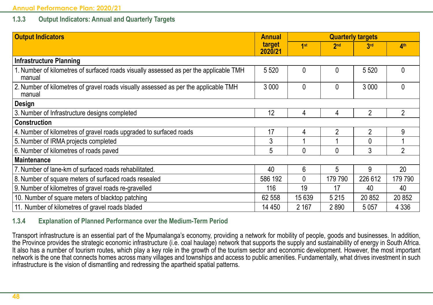### **1.3.3 Output Indicators: Annual and Quarterly Targets**

| <b>Output Indicators</b>                                                                        | <b>Annual</b>     |              |                 | <b>Quarterly targets</b> |                 |
|-------------------------------------------------------------------------------------------------|-------------------|--------------|-----------------|--------------------------|-----------------|
|                                                                                                 | target<br>2020/21 | 1st          | 2 <sub>nd</sub> | 3 <sub>rd</sub>          | 4 <sup>th</sup> |
| <b>Infrastructure Planning</b>                                                                  |                   |              |                 |                          |                 |
| 1. Number of kilometres of surfaced roads visually assessed as per the applicable TMH<br>manual | 5 5 20            | $\mathbf{0}$ | 0               | 5 5 20                   | 0               |
| 2. Number of kilometres of gravel roads visually assessed as per the applicable TMH<br>manual   | 3 0 0 0           | $\mathbf{0}$ | $\Omega$        | 3 0 0 0                  | $\Omega$        |
| Design                                                                                          |                   |              |                 |                          |                 |
| 3. Number of Infrastructure designs completed                                                   | 12                | 4            | 4               | 2                        | $\overline{2}$  |
| <b>Construction</b>                                                                             |                   |              |                 |                          |                 |
| 4. Number of kilometres of gravel roads upgraded to surfaced roads                              | 17                | 4            | 2               | 2                        | 9               |
| 5. Number of IRMA projects completed                                                            | 3                 |              |                 | 0                        |                 |
| 6. Number of kilometres of roads paved                                                          | 5                 | $\mathbf{0}$ | $\mathbf{0}$    | 3                        | 2               |
| <b>Maintenance</b>                                                                              |                   |              |                 |                          |                 |
| 7. Number of lane-km of surfaced roads rehabilitated.                                           | 40                | 6            | 5               | 9                        | 20              |
| 8. Number of square meters of surfaced roads resealed                                           | 586 192           | 0            | 179 790         | 226 612                  | 179 790         |
| 9. Number of kilometres of gravel roads re-gravelled                                            | 116               | 19           | 17              | 40                       | 40              |
| 10. Number of square meters of blacktop patching                                                | 62 558            | 15 639       | 5 2 1 5         | 20 852                   | 20 852          |
| 11. Number of kilometres of gravel roads bladed                                                 | 14 4 50           | 2 1 6 7      | 2890            | 5 0 5 7                  | 4 3 3 6         |

### **1.3.4 Explanation of Planned Performance over the Medium-Term Period**

Transport infrastructure is an essential part of the Mpumalanga's economy, providing a network for mobility of people, goods and businesses. In addition, the Province provides the strategic economic infrastructure (i.e. coal haulage) network that supports the supply and sustainability of energy in South Africa. It also has a number of tourism routes, which play a key role in the growth of the tourism sector and economic development. However, the most important network is the one that connects homes across many villages and townships and access to public amenities. Fundamentally, what drives investment in such infrastructure is the vision of dismantling and redressing the apartheid spatial patterns.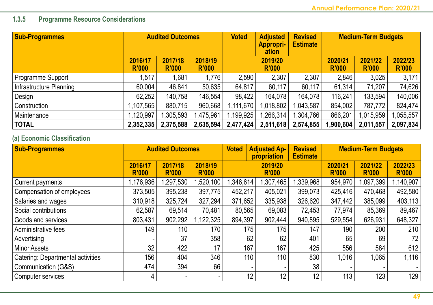# **1.3.5 Programme Resource Considerations**

| <b>Sub-Programmes</b>   | <b>Audited Outcomes</b> |                  |                  | <b>Voted</b> | <b>Adjusted</b><br><b>Appropri-</b><br>ation | <b>Revised</b><br><b>Estimate</b> |                  | <b>Medium-Term Budgets</b> |                  |
|-------------------------|-------------------------|------------------|------------------|--------------|----------------------------------------------|-----------------------------------|------------------|----------------------------|------------------|
|                         | 2016/17<br>R'000        | 2017/18<br>R'000 | 2018/19<br>R'000 |              | 2019/20<br>R'000                             |                                   | 2020/21<br>R'000 | 2021/22<br>R'000           | 2022/23<br>R'000 |
| Programme Support       | .517                    | 1.681            | 1,776            | 2,590        | 2,307                                        | 2,307                             | 2,846            | 3,025                      | 3,171            |
| Infrastructure Planning | 60,004                  | 46,841           | 50,635           | 64,817       | 60,117                                       | 60,117                            | 61,314           | 71,207                     | 74,626           |
| Design                  | 62,252                  | 140,758          | 146.554          | 98,422       | 164,078                                      | 164,078                           | 116,241          | 133,594                    | 140,006          |
| Construction            | .107,565                | 880,715          | 960,668          | 1,111,670    | ,018,802                                     | ,043,587                          | 854,002          | 787,772                    | 824,474          |
| Maintenance             | .120,997                | ,305,593         | 1,475,961        | ,199,925     | .266,314                                     | ,304,766                          | 866,201          | 1,015,959                  | ,055,557         |
| <b>TOTAL</b>            | 2,352,335               | 2,375,588        | 2,635,594        | 2,477,424    | 2,511,618                                    | 2,574,855                         | ,900,604         | 2,011,557                  | 2,097,834        |

# **(a) Economic Classification**

| <b>Sub-Programmes</b>             |                  | <b>Audited Outcomes</b>  |                  | <b>Voted</b><br><b>Adjusted Ap-</b><br>propriation |                  | <b>Revised</b><br><b>Estimate</b> | <b>Medium-Term Budgets</b> |                  |                  |
|-----------------------------------|------------------|--------------------------|------------------|----------------------------------------------------|------------------|-----------------------------------|----------------------------|------------------|------------------|
|                                   | 2016/17<br>R'000 | 2017/18<br>R'000         | 2018/19<br>R'000 |                                                    | 2019/20<br>R'000 |                                   | 2020/21<br>R'000           | 2021/22<br>R'000 | 2022/23<br>R'000 |
| Current payments                  | ,176,936         | ,297,530                 | ,520,100         | ,346,614                                           | ,307,465         | ,339,968                          | 954,970                    | ,097,399         | 1,140,907        |
| Compensation of employees         | 373,505          | 395,238                  | 397,775          | 452,217                                            | 405,021          | 399,073                           | 425,416                    | 470,468          | 492,580          |
| Salaries and wages                | 310,918          | 325,724                  | 327,294          | 371,652                                            | 335,938          | 326,620                           | 347,442                    | 385,099          | 403,113          |
| Social contributions              | 62,587           | 69,514                   | 70,481           | 80,565                                             | 69,083           | 72,453                            | 77,974                     | 85,369           | 89,467           |
| Goods and services                | 803,431          | 902,292                  | 1,122,325        | 894,397                                            | 902,444          | 940,895                           | 529,554                    | 626,931          | 648,327          |
| Administrative fees               | 149              | 110                      | 170              | 175                                                | 175              | 147                               | 190                        | 200              | 210              |
| Advertising                       |                  | 37                       | 358              | 62                                                 | 62               | 401                               | 65                         | 69               | 72               |
| <b>Minor Assets</b>               | 32               | 422                      | 17               | 167                                                | 167              | 425                               | 556                        | 584              | 612              |
| Catering: Departmental activities | 156              | 404                      | 346              | 110                                                | 110              | 830                               | 1,016                      | 1,065            | 1,116            |
| Communication (G&S)               | 474              | 394                      | 66               |                                                    |                  | 38                                |                            |                  |                  |
| Computer services                 | 4                | $\overline{\phantom{0}}$ |                  | 12                                                 | 12               | 12                                | 113                        | 123              | 129              |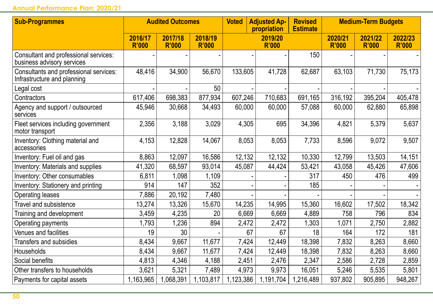| <b>Sub-Programmes</b>                                                 |                         | <b>Audited Outcomes</b> |                         | <b>Voted</b> | <b>Adjusted Ap-</b><br>propriation | <b>Revised</b><br><b>Estimate</b> | <b>Medium-Term Budgets</b> |                         |                         |
|-----------------------------------------------------------------------|-------------------------|-------------------------|-------------------------|--------------|------------------------------------|-----------------------------------|----------------------------|-------------------------|-------------------------|
|                                                                       | 2016/17<br><b>R'000</b> | 2017/18<br><b>R'000</b> | 2018/19<br><b>R'000</b> |              | 2019/20<br><b>R'000</b>            |                                   | 2020/21<br><b>R'000</b>    | 2021/22<br><b>R'000</b> | 2022/23<br><b>R'000</b> |
| Consultant and professional services:<br>business advisory services   |                         |                         |                         |              |                                    | 150                               |                            |                         |                         |
| Consultants and professional services:<br>Infrastructure and planning | 48,416                  | 34,900                  | 56,670                  | 133,605      | 41,728                             | 62,687                            | 63,103                     | 71,730                  | 75,173                  |
| Legal cost                                                            |                         |                         | 50                      |              |                                    |                                   |                            |                         |                         |
| Contractors                                                           | 617,406                 | 698,383                 | 877,934                 | 607,246      | 710,683                            | 691,165                           | 316,192                    | 395,204                 | 405,478                 |
| Agency and support / outsourced<br>services                           | 45,946                  | 30,668                  | 34,493                  | 60,000       | 60,000                             | 57,088                            | 60,000                     | 62,880                  | 65,898                  |
| Fleet services including government<br>motor transport                | 2,356                   | 3,188                   | 3,029                   | 4,305        | 695                                | 34,396                            | 4,821                      | 5,379                   | 5,637                   |
| Inventory: Clothing material and<br>accessories                       | 4,153                   | 12,828                  | 14,067                  | 8,053        | 8,053                              | 7,733                             | 8,596                      | 9,072                   | 9,507                   |
| Inventory: Fuel oil and gas                                           | 8,863                   | 12,097                  | 16,586                  | 12,132       | 12,132                             | 10,330                            | 12,799                     | 13,503                  | 14,151                  |
| Inventory: Materials and supplies                                     | 41,320                  | 68,597                  | 93,014                  | 45,087       | 44,424                             | 53,421                            | 43,058                     | 45,426                  | 47,606                  |
| Inventory: Other consumables                                          | 6,811                   | 1,098                   | 1,109                   |              |                                    | 317                               | 450                        | 476                     | 499                     |
| Inventory: Stationery and printing                                    | 914                     | 147                     | 352                     |              |                                    | 185                               |                            |                         |                         |
| Operating leases                                                      | 7,886                   | 20,192                  | 7,480                   |              |                                    |                                   |                            |                         |                         |
| Travel and subsistence                                                | 13,274                  | 13,326                  | 15,670                  | 14,235       | 14,995                             | 15,360                            | 16,602                     | 17,502                  | 18,342                  |
| Training and development                                              | 3,459                   | 4,235                   | 20                      | 6,669        | 6,669                              | 4,889                             | 758                        | 796                     | 834                     |
| Operating payments                                                    | 1,793                   | 1,236                   | 894                     | 2,472        | 2,472                              | 1,303                             | 1,071                      | 2,750                   | 2,882                   |
| Venues and facilities                                                 | 19                      | 30                      |                         | 67           | 67                                 | 18                                | 164                        | 172                     | 181                     |
| <b>Transfers and subsidies</b>                                        | 8,434                   | 9,667                   | 11,677                  | 7,424        | 12,449                             | 18,398                            | 7,832                      | 8,263                   | 8,660                   |
| Households                                                            | 8,434                   | 9,667                   | 11,677                  | 7,424        | 12,449                             | 18,398                            | 7,832                      | 8,263                   | 8,660                   |
| Social benefits                                                       | 4,813                   | 4,346                   | 4,188                   | 2,451        | 2,476                              | 2,347                             | 2,586                      | 2,728                   | 2,859                   |
| Other transfers to households                                         | 3,621                   | 5,321                   | 7,489                   | 4,973        | 9,973                              | 16,051                            | 5,246                      | 5,535                   | 5,801                   |
| Payments for capital assets                                           | 1,163,965               | 1,068,391               | 1,103,817               | 1,123,386    | 1,191,704                          | ,216,489                          | 937,802                    | 905,895                 | 948,267                 |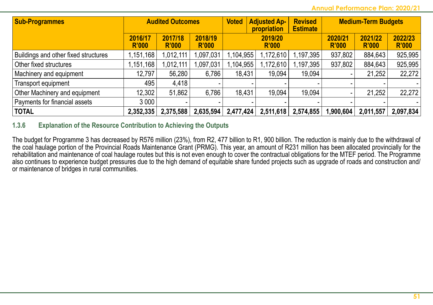| <b>Sub-Programmes</b>                |                  | <b>Audited Outcomes</b> |                  | <b>Voted</b> | <b>Adjusted Ap-</b><br>propriation | <b>Revised</b><br><b>Estimate</b> | <b>Medium-Term Budgets</b> |                  |                  |
|--------------------------------------|------------------|-------------------------|------------------|--------------|------------------------------------|-----------------------------------|----------------------------|------------------|------------------|
|                                      | 2016/17<br>R'000 | 2017/18<br>R'000        | 2018/19<br>R'000 |              | 2019/20<br>R'000                   |                                   | 2020/21<br>R'000           | 2021/22<br>R'000 | 2022/23<br>R'000 |
| Buildings and other fixed structures | ,151,168         | 1,012,111               | ,097,031         | 1,104,955    | 1,172,610                          | ,197,395                          | 937,802                    | 884,643          | 925,995          |
| Other fixed structures               | .151.168         | .012.111                | .097.031         | l.104.955    | .172,610                           | .197.395                          | 937,802                    | 884,643          | 925,995          |
| Machinery and equipment              | 12,797           | 56,280                  | 6,786            | 18,431       | 19,094                             | 19,094                            |                            | 21,252           | 22,272           |
| Transport equipment                  | 495              | 4,418                   |                  |              |                                    |                                   |                            |                  |                  |
| Other Machinery and equipment        | 12,302           | 51,862                  | 6,786            | 18,431       | 19,094                             | 19,094                            |                            | 21,252           | 22,272           |
| Payments for financial assets        | 3 0 0 0          |                         |                  |              |                                    |                                   |                            |                  |                  |
| <b>TOTAL</b>                         | 2,352,335        | 2,375,588               | 2,635,594        | 2,477,424    | 2,511,618                          | 2,574,855                         | 1,900,604                  | 2,011,557        | 2,097,834        |

### **1.3.6 Explanation of the Resource Contribution to Achieving the Outputs**

The budget for Programme 3 has decreased by R576 million (23%), from R2, 477 billion to R1, 900 billion. The reduction is mainly due to the withdrawal of the coal haulage portion of the Provincial Roads Maintenance Grant (PRMG). This year, an amount of R231 million has been allocated provincially for the rehabilitation and maintenance of coal haulage routes but this is not even enough to cover the contractual obligations for the MTEF period. The Programme also continues to experience budget pressures due to the high demand of equitable share funded projects such as upgrade of roads and construction and/ or maintenance of bridges in rural communities.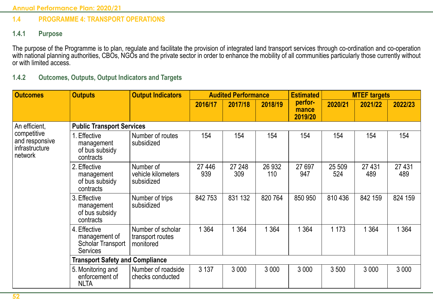## **1.4 PROGRAMME 4: TRANSPORT OPERATIONS**

### **1.4.1 Purpose**

The purpose of the Programme is to plan, regulate and facilitate the provision of integrated land transport services through co-ordination and co-operation with national planning authorities, CBOs, NGOs and the private sector in order to enhance the mobility of all communities particularly those currently without or with limited access.

## **1.4.2 Outcomes, Outputs, Output Indicators and Targets**

| <b>Outcomes</b>                                                                                                                                                                                                                                                                                                     | <b>Outputs</b>                                     | <b>Output Indicators</b>                      |               | <b>Audited Performance</b> |               | <b>Estimated</b>            | <b>MTEF targets</b> |               |               |  |  |  |
|---------------------------------------------------------------------------------------------------------------------------------------------------------------------------------------------------------------------------------------------------------------------------------------------------------------------|----------------------------------------------------|-----------------------------------------------|---------------|----------------------------|---------------|-----------------------------|---------------------|---------------|---------------|--|--|--|
|                                                                                                                                                                                                                                                                                                                     |                                                    |                                               | 2016/17       | 2017/18                    | 2018/19       | perfor-<br>mance<br>2019/20 | 2020/21             | 2021/22       | 2022/23       |  |  |  |
| An efficient,                                                                                                                                                                                                                                                                                                       | <b>Public Transport Services</b>                   |                                               |               |                            |               |                             |                     |               |               |  |  |  |
| competitive<br>1. Effective<br>and responsive<br>management<br>infrastructure<br>of bus subsidy<br>network<br>contracts<br>2. Effective<br>management<br>of bus subsidy<br>contracts<br>3. Effective<br>management<br>of bus subsidy<br>contracts<br>4. Effective<br>management of<br>Scholar Transport<br>Services |                                                    | Number of routes<br>subsidized                | 154           | 154                        | 154           | 154                         | 154                 | 154           | 154           |  |  |  |
|                                                                                                                                                                                                                                                                                                                     |                                                    | Number of<br>vehicle kilometers<br>subsidized | 27 446<br>939 | 27 248<br>309              | 26 932<br>110 | 27 697<br>947               | 25 509<br>524       | 27 431<br>489 | 27 431<br>489 |  |  |  |
|                                                                                                                                                                                                                                                                                                                     |                                                    | Number of trips<br>subsidized                 | 842 753       | 831 132                    | 820 764       | 850 950                     | 810 436             | 842 159       | 824 159       |  |  |  |
|                                                                                                                                                                                                                                                                                                                     | Number of scholar<br>transport routes<br>monitored | 1 3 6 4                                       | 1 3 6 4       | 1 3 6 4                    | 1 3 6 4       | 1 1 7 3                     | 1 364               | 1 3 6 4       |               |  |  |  |
|                                                                                                                                                                                                                                                                                                                     | <b>Transport Safety and Compliance</b>             |                                               |               |                            |               |                             |                     |               |               |  |  |  |
| 5. Monitoring and<br>enforcement of<br><b>NLTA</b>                                                                                                                                                                                                                                                                  |                                                    | Number of roadside<br>checks conducted        | 3 1 3 7       | 3 0 0 0                    | 3 0 0 0       | 3 0 0 0                     | 3500                | 3 0 0 0       | 3 0 0 0       |  |  |  |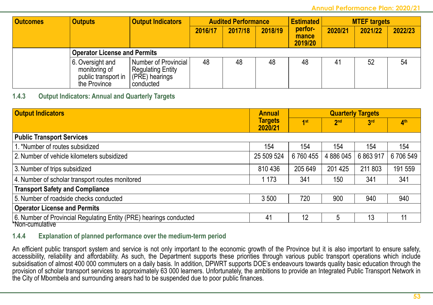| <b>Outcomes</b> | <b>Outputs</b>                                                           | <b>Output Indicators</b>                                                          | <b>Audited Performance</b> |         |         | <b>Estimated</b>            |         | <b>MTEF targets</b> |         |  |  |
|-----------------|--------------------------------------------------------------------------|-----------------------------------------------------------------------------------|----------------------------|---------|---------|-----------------------------|---------|---------------------|---------|--|--|
|                 |                                                                          |                                                                                   | 2016/17                    | 2017/18 | 2018/19 | perfor-<br>mance<br>2019/20 | 2020/21 | 2021/22             | 2022/23 |  |  |
|                 | <b>Operator License and Permits</b>                                      |                                                                                   |                            |         |         |                             |         |                     |         |  |  |
|                 | 6. Oversight and<br>monitoring of<br>public transport in<br>the Province | Number of Provincial<br><b>Regulating Entity</b><br>  (PRE) hearings<br>conducted | 48                         | 48      | 48      | 48                          | 41      | 52                  | 54      |  |  |

### **1.4.3 Output Indicators: Annual and Quarterly Targets**

| <b>Output Indicators</b>                                           | <b>Annual</b>             | <b>Quarterly Targets</b> |                 |                 |                 |  |
|--------------------------------------------------------------------|---------------------------|--------------------------|-----------------|-----------------|-----------------|--|
|                                                                    | <b>Targets</b><br>2020/21 | 4st                      | 2 <sub>nd</sub> | 3 <sub>rd</sub> | 4 <sup>th</sup> |  |
| <b>Public Transport Services</b>                                   |                           |                          |                 |                 |                 |  |
| 1. *Number of routes subsidized                                    | 154                       | 154                      | 154             | 154             | 154             |  |
| 2. Number of vehicle kilometers subsidized                         | 25 509 524                | 6760455                  | 4 886 045       | 6863917         | 6706549         |  |
| 3. Number of trips subsidized                                      | 810 436                   | 205 649                  | 201 425         | 211 803         | 191 559         |  |
| 4. Number of scholar transport routes monitored                    | 1 1 7 3                   | 341                      | 150             | 341             | 341             |  |
| <b>Transport Safety and Compliance</b>                             |                           |                          |                 |                 |                 |  |
| 5. Number of roadside checks conducted                             | 3 500                     | 720                      | 900             | 940             | 940             |  |
| <b>Operator License and Permits</b>                                |                           |                          |                 |                 |                 |  |
| 6. Number of Provincial Regulating Entity (PRE) hearings conducted | 41                        | 12                       | 5               | 13              | 11              |  |
| *Non-cumulative                                                    |                           |                          |                 |                 |                 |  |

### **1.4.4 Explanation of planned performance over the medium-term period**

An efficient public transport system and service is not only important to the economic growth of the Province but it is also important to ensure safety, accessibility, reliability and affordability. As such, the Department supports these priorities through various public transport operations which include subsidisation of almost 400 000 commuters on a daily basis. In addition, DPWRT supports DOE's endeavours towards quality basic education through the provision of scholar transport services to approximately 63 000 learners. Unfortunately, the ambitions to provide an Integrated Public Transport Network in the City of Mbombela and surrounding arears had to be suspended due to poor public finances.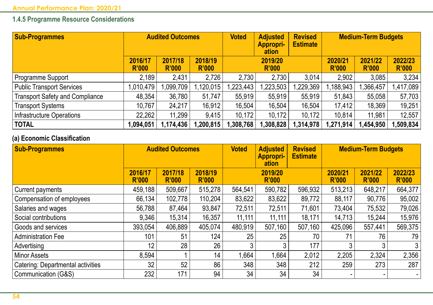# **1.4.5 Programme Resource Considerations**

| <b>Sub-Programmes</b>                  | <b>Audited Outcomes</b> |                         | <b>Voted</b>     | <b>Adjusted</b><br><b>Appropri-</b><br>ation | <b>Revised</b><br><b>Estimate</b> |           | <b>Medium-Term Budgets</b> |                  |                  |
|----------------------------------------|-------------------------|-------------------------|------------------|----------------------------------------------|-----------------------------------|-----------|----------------------------|------------------|------------------|
|                                        | 2016/17<br><b>R'000</b> | 2017/18<br><b>R'000</b> | 2018/19<br>R'000 |                                              | 2019/20<br>R'000                  |           | 2020/21<br>R'000           | 2021/22<br>R'000 | 2022/23<br>R'000 |
| Programme Support                      | 2,189                   | 2,431                   | 2,726            | 2,730                                        | 2,730                             | 3,014     | 2,902                      | 3,085            | 3,234            |
| Public Transport Services              | .010.479                | .099,709                | ,120,015         | ,223,443                                     | ,223,503                          | ,229,369  | 188,943                    | ,366,457         | 417,089          |
| <b>Transport Safety and Compliance</b> | 48,354                  | 36,780                  | 51,747           | 55,919                                       | 55,919                            | 55,919    | 51,843                     | 55,058           | 57,703           |
| <b>Transport Systems</b>               | 10,767                  | 24,217                  | 16,912           | 16,504                                       | 16,504                            | 16,504    | 17,412                     | 18,369           | 19,251           |
| Infrastructure Operations              | 22,262                  | 11,299                  | 9,415            | 10,172                                       | 10,172                            | 10,172    | 10,814                     | 11,981           | 12,557           |
| <b>TOTAL</b>                           | 1,094,051               | ,174,436                | 1,200,815        | 1,308,768                                    | 1,308,828                         | 1,314,978 | 1,271,914                  | 1,454,950        | ,509,834         |

# **(a) Economic Classification**

| <b>Sub-Programmes</b>             |                  | <b>Audited Outcomes</b> |                  | <b>Adjusted</b><br><b>Voted</b><br><b>Appropri-</b><br>ation |                  | <b>Revised</b><br><b>Estimate</b> | <b>Medium-Term Budgets</b> |                          |                  |
|-----------------------------------|------------------|-------------------------|------------------|--------------------------------------------------------------|------------------|-----------------------------------|----------------------------|--------------------------|------------------|
|                                   | 2016/17<br>R'000 | 2017/18<br>R'000        | 2018/19<br>R'000 |                                                              | 2019/20<br>R'000 |                                   | 2020/21<br>R'000           | 2021/22<br>R'000         | 2022/23<br>R'000 |
| Current payments                  | 459,188          | 509,667                 | 515,278          | 564,541                                                      | 590,782          | 596,932                           | 513,213                    | 648,217                  | 664,377          |
| Compensation of employees         | 66,134           | 102,778                 | 110,204          | 83,622                                                       | 83,622           | 89,772                            | 88,117                     | 90,776                   | 95,002           |
| Salaries and wages                | 56,788           | 87,464                  | 93,847           | 72,511                                                       | 72,511           | 71,601                            | 73,404                     | 75,532                   | 79,026           |
| Social contributions              | 9,346            | 15,314                  | 16,357           | 11,111                                                       | 11,111           | 18,171                            | 14,713                     | 15,244                   | 15,976           |
| Goods and services                | 393,054          | 406,889                 | 405,074          | 480,919                                                      | 507,160          | 507,160                           | 425,096                    | 557,441                  | 569,375          |
| <b>Administration Fee</b>         | 101              | 51                      | 124              | 25                                                           | 25               | 70                                | 71                         | 76                       | 79               |
| Advertising                       | 12               | 28                      | 26               |                                                              | 3                | 177                               | 3                          | 3                        | 3                |
| Minor Assets                      | 8,594            |                         | 14               | 1,664                                                        | 1,664            | 2,012                             | 2,205                      | 2,324                    | 2,356            |
| Catering: Departmental activities | 32               | 52                      | 86               | 348                                                          | 348              | 212                               | 259                        | 273                      | 287              |
| Communication (G&S)               | 232              | 171                     | 94               | 34                                                           | 34               | 34                                | $\overline{\phantom{0}}$   | $\overline{\phantom{0}}$ |                  |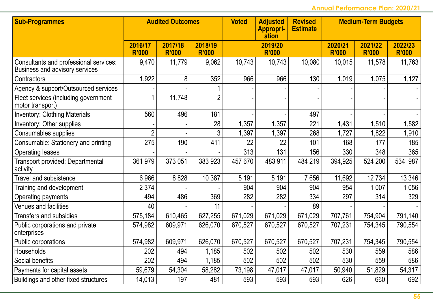| <b>Sub-Programmes</b>                                                    | <b>Audited Outcomes</b> |                         |                         | <b>Voted</b>     | <b>Adjusted</b><br><b>Appropri-</b><br>ation | <b>Revised</b><br><b>Estimate</b> | <b>Medium-Term Budgets</b> |                         |                         |  |
|--------------------------------------------------------------------------|-------------------------|-------------------------|-------------------------|------------------|----------------------------------------------|-----------------------------------|----------------------------|-------------------------|-------------------------|--|
|                                                                          | 2016/17<br><b>R'000</b> | 2017/18<br><b>R'000</b> | 2018/19<br><b>R'000</b> | 2019/20<br>R'000 |                                              |                                   | 2020/21<br><b>R'000</b>    | 2021/22<br><b>R'000</b> | 2022/23<br><b>R'000</b> |  |
| Consultants and professional services:<br>Business and advisory services | 9,470                   | 11,779                  | 9,062                   | 10,743           | 10,743                                       | 10,080                            | 10,015                     | 11,578                  | 11,763                  |  |
| Contractors                                                              | 1,922                   | 8                       | 352                     | 966              | 966                                          | 130                               | 1,019                      | 1,075                   | 1,127                   |  |
| Agency & support/Outsourced services                                     |                         |                         |                         |                  |                                              |                                   |                            |                         |                         |  |
| Fleet services (including government<br>motor transport)                 |                         | 11,748                  | $\overline{2}$          |                  |                                              |                                   |                            |                         |                         |  |
| Inventory: Clothing Materials                                            | 560                     | 496                     | 181                     |                  |                                              | 497                               |                            |                         |                         |  |
| Inventory: Other supplies                                                |                         |                         | 28                      | 1,357            | 1,357                                        | 221                               | 1,431                      | 1,510                   | 1,582                   |  |
| Consumables supplies                                                     | $\overline{2}$          |                         | 3                       | 1,397            | 1,397                                        | 268                               | 1,727                      | 1,822                   | 1,910                   |  |
| Consumable: Stationery and printing                                      | 275                     | 190                     | 411                     | 22               | 22                                           | 101                               | 168                        | 177                     | 185                     |  |
| Operating leases                                                         |                         |                         |                         | 313              | 131                                          | 156                               | 330                        | 348                     | 365                     |  |
| Transport provided: Departmental<br>activity                             | 361 979                 | 373 051                 | 383 923                 | 457 670          | 483 911                                      | 484 219                           | 394,925                    | 524 200                 | 987<br>534              |  |
| Travel and subsistence                                                   | 6966                    | 8828                    | 10 387                  | 5 1 9 1          | 5 1 9 1                                      | 7656                              | 11,692                     | 12734                   | 13 346                  |  |
| Training and development                                                 | 2 3 7 4                 |                         |                         | 904              | 904                                          | 904                               | 954                        | 1 0 0 7                 | 1056                    |  |
| Operating payments                                                       | 494                     | 486                     | 369                     | 282              | 282                                          | 334                               | 297                        | 314                     | 329                     |  |
| Venues and facilities                                                    | 40                      |                         | 11                      |                  |                                              | 89                                |                            |                         |                         |  |
| <b>Transfers and subsidies</b>                                           | 575,184                 | 610,465                 | 627,255                 | 671,029          | 671,029                                      | 671,029                           | 707,761                    | 754,904                 | 791,140                 |  |
| Public corporations and private<br>enterprises                           | 574,982                 | 609,971                 | 626,070                 | 670,527          | 670,527                                      | 670,527                           | 707,231                    | 754,345                 | 790,554                 |  |
| Public corporations                                                      | 574,982                 | 609,971                 | 626,070                 | 670,527          | 670,527                                      | 670,527                           | 707,231                    | 754,345                 | 790,554                 |  |
| Households                                                               | 202                     | 494                     | 1,185                   | 502              | 502                                          | 502                               | 530                        | 559                     | 586                     |  |
| Social benefits                                                          | 202                     | 494                     | 1,185                   | 502              | 502                                          | 502                               | 530                        | 559                     | 586                     |  |
| Payments for capital assets                                              | 59,679                  | 54,304                  | 58,282                  | 73,198           | 47,017                                       | 47,017                            | 50,940                     | 51,829                  | 54,317                  |  |
| Buildings and other fixed structures                                     | 14,013                  | 197                     | 481                     | 593              | 593                                          | 593                               | 626                        | 660                     | 692                     |  |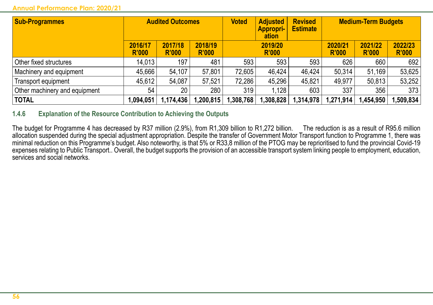| <b>Sub-Programmes</b>         | <b>Audited Outcomes</b> |                  | <b>Voted</b>     | <b>Adjusted</b><br><b>Appropri-</b><br>ation | <b>Revised</b><br><b>Estimate</b> | <b>Medium-Term Budgets</b> |                  |                  |                         |
|-------------------------------|-------------------------|------------------|------------------|----------------------------------------------|-----------------------------------|----------------------------|------------------|------------------|-------------------------|
|                               | 2016/17<br>R'000        | 2017/18<br>R'000 | 2018/19<br>R'000 | 2019/20<br>R'000                             |                                   |                            | 2020/21<br>R'000 | 2021/22<br>R'000 | 2022/23<br><b>R'000</b> |
| Other fixed structures        | 14,013                  | 197              | 481              | 593                                          | 593                               | 593                        | 626              | 660              | 692                     |
| Machinery and equipment       | 45,666                  | 54,107           | 57,801           | 72,605                                       | 46,424                            | 46,424                     | 50,314           | 51,169           | 53,625                  |
| Transport equipment           | 45,612                  | 54,087           | 57,521           | 72,286                                       | 45,296                            | 45,821                     | 49,977           | 50,813           | 53,252                  |
| Other machinery and equipment | 54                      | 20               | 280              | 319                                          | 1.128                             | 603                        | 337              | 356              | 373                     |
| <b>TOTAL</b>                  | 1,094,051               | 1,174,436        | 1,200,815        | 1,308,768                                    | 1,308,828                         | 1,314,978                  | 1,271,914        | 1,454,950        | 1,509,834               |

### **1.4.6 Explanation of the Resource Contribution to Achieving the Outputs**

The budget for Programme 4 has decreased by R37 million (2.9%), from R1,309 billion to R1,272 billion. The reduction is as a result of R95.6 million allocation suspended during the special adjustment appropriation. Despite the transfer of Government Motor Transport function to Programme 1, there was minimal reduction on this Programme's budget. Also noteworthy, is that 5% or R33,8 million of the PTOG may be reprioritised to fund the provincial Covid-19 expenses relating to Public Transport.. Overall, the budget supports the provision of an accessible transport system linking people to employment, education, services and social networks.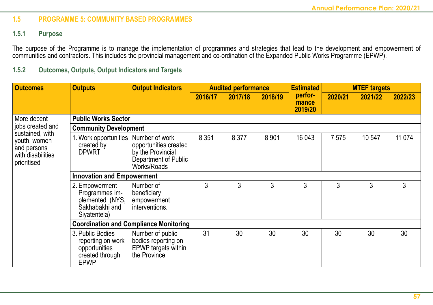## **1.5 PROGRAMME 5: COMMUNITY BASED PROGRAMMES**

### **1.5.1 Purpose**

The purpose of the Programme is to manage the implementation of programmes and strategies that lead to the development and empowerment of communities and contractors. This includes the provincial management and co-ordination of the Expanded Public Works Programme (EPWP).

## **1.5.2 Outcomes, Outputs, Output Indicators and Targets**

| <b>Outcomes</b>                                                                    | <b>Outputs</b>                                                                           | <b>Output Indicators</b>                                                          |         | <b>Audited performance</b> |         | <b>Estimated</b>            | <b>MTEF targets</b> |         |         |  |  |  |
|------------------------------------------------------------------------------------|------------------------------------------------------------------------------------------|-----------------------------------------------------------------------------------|---------|----------------------------|---------|-----------------------------|---------------------|---------|---------|--|--|--|
|                                                                                    |                                                                                          |                                                                                   | 2016/17 | 2017/18                    | 2018/19 | perfor-<br>mance<br>2019/20 | 2020/21             | 2021/22 | 2022/23 |  |  |  |
| More decent                                                                        | <b>Public Works Sector</b>                                                               |                                                                                   |         |                            |         |                             |                     |         |         |  |  |  |
| jobs created and                                                                   | <b>Community Development</b>                                                             |                                                                                   |         |                            |         |                             |                     |         |         |  |  |  |
| sustained, with<br>youth, women<br>and persons<br>with disabilities<br>prioritised | 1. Work opportunities   Number of work<br>created by<br><b>DPWRT</b>                     | opportunities created<br>by the Provincial<br>Department of Public<br>Works/Roads | 8 3 5 1 | 8 3 7 7                    | 8 9 0 1 | 16 043                      | 7575                | 10 547  | 11 0 74 |  |  |  |
|                                                                                    | <b>Innovation and Empowerment</b>                                                        |                                                                                   |         |                            |         |                             |                     |         |         |  |  |  |
|                                                                                    | 2. Empowerment<br>Programmes im-<br>plemented (NYS,<br>Sakhabakhi and<br>Siyatentela)    | Number of<br>beneficiary<br>empowerment<br>interventions.                         | 3       | 3                          | 3       | 3                           | 3                   | 3       | 3       |  |  |  |
|                                                                                    |                                                                                          | <b>Coordination and Compliance Monitoring</b>                                     |         |                            |         |                             |                     |         |         |  |  |  |
|                                                                                    | 3. Public Bodies<br>reporting on work<br>opportunities<br>created through<br><b>EPWP</b> | Number of public<br>bodies reporting on<br>EPWP targets within<br>the Province    | 31      | 30                         | 30      | 30                          | 30                  | 30      | 30      |  |  |  |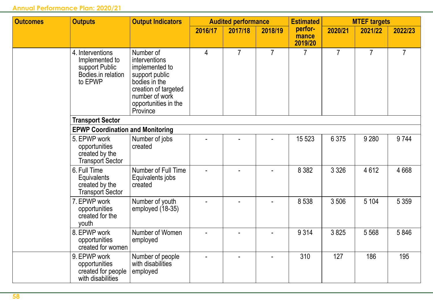| <b>Outcomes</b> | <b>Outputs</b>                                                                                                                                                                                                                                                                                                         | <b>Output Indicators</b>                                                                                                                                      |         | <b>Audited performance</b> |                | <b>Estimated</b>            |                | <b>MTEF targets</b> |                |  |
|-----------------|------------------------------------------------------------------------------------------------------------------------------------------------------------------------------------------------------------------------------------------------------------------------------------------------------------------------|---------------------------------------------------------------------------------------------------------------------------------------------------------------|---------|----------------------------|----------------|-----------------------------|----------------|---------------------|----------------|--|
|                 |                                                                                                                                                                                                                                                                                                                        |                                                                                                                                                               | 2016/17 | 2017/18                    | 2018/19        | perfor-<br>mance<br>2019/20 | 2020/21        | 2021/22             | 2022/23        |  |
|                 | 4. Interventions<br>Implemented to<br>support Public<br>Bodies.in relation<br>to EPWP                                                                                                                                                                                                                                  | Number of<br>interventions<br>implemented to<br>support public<br>bodies in the<br>creation of targeted<br>number of work<br>opportunities in the<br>Province | 4       | $\overline{7}$             | $\overline{7}$ | 7                           | $\overline{7}$ | $\overline{7}$      | $\overline{7}$ |  |
|                 | <b>Transport Sector</b>                                                                                                                                                                                                                                                                                                |                                                                                                                                                               |         |                            |                |                             |                |                     |                |  |
|                 | <b>EPWP Coordination and Monitoring</b>                                                                                                                                                                                                                                                                                |                                                                                                                                                               |         |                            |                |                             |                |                     |                |  |
|                 | 5. EPWP work<br>opportunities<br>created by the<br><b>Transport Sector</b>                                                                                                                                                                                                                                             | Number of jobs<br>created                                                                                                                                     |         |                            |                | 15 5 23                     | 6375           | 9 2 8 0             | 9744           |  |
|                 | 6. Full Time<br>Equivalents<br>created by the<br><b>Transport Sector</b>                                                                                                                                                                                                                                               | Number of Full Time<br>Equivalents jobs<br>created                                                                                                            |         |                            |                | 8 3 8 2                     | 3 3 2 6        | 4612                | 4668           |  |
|                 | 7. EPWP work<br>Number of youth<br>employed (18-35)<br>opportunities<br>created for the<br>youth<br>8. EPWP work<br>Number of Women<br>opportunities<br>employed<br>created for women<br>9. EPWP work<br>Number of people<br>with disabilities<br>opportunities<br>created for people<br>employed<br>with disabilities |                                                                                                                                                               |         |                            |                | 8 5 3 8                     | 3 5 0 6        | 5 104               | 5 3 5 9        |  |
|                 |                                                                                                                                                                                                                                                                                                                        |                                                                                                                                                               |         |                            |                | 9 3 1 4                     | 3825           | 5 5 6 8             | 5846           |  |
|                 |                                                                                                                                                                                                                                                                                                                        |                                                                                                                                                               |         |                            |                | 310                         | 127            | 186                 | 195            |  |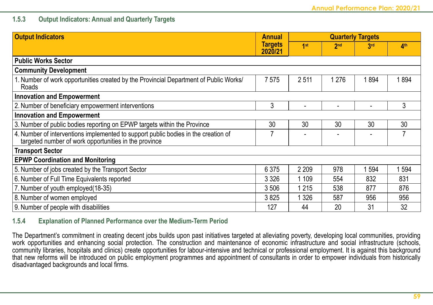## **1.5.3 Output Indicators: Annual and Quarterly Targets**

| <b>Output Indicators</b>                                                                                                                    | <b>Annual</b>             |                          |                 | <b>Quarterly Targets</b> |                 |
|---------------------------------------------------------------------------------------------------------------------------------------------|---------------------------|--------------------------|-----------------|--------------------------|-----------------|
|                                                                                                                                             | <b>Targets</b><br>2020/21 | 1st                      | 2 <sub>nd</sub> | 3 <sub>rd</sub>          | 4 <sup>th</sup> |
| <b>Public Works Sector</b>                                                                                                                  |                           |                          |                 |                          |                 |
| <b>Community Development</b>                                                                                                                |                           |                          |                 |                          |                 |
| 1. Number of work opportunities created by the Provincial Department of Public Works/<br>Roads                                              | 7575                      | 2511                     | 1 276           | 894                      | 894             |
| <b>Innovation and Empowerment</b>                                                                                                           |                           |                          |                 |                          |                 |
| 2. Number of beneficiary empowerment interventions                                                                                          | 3                         | $\overline{\phantom{0}}$ |                 |                          | 3               |
| <b>Innovation and Empowerment</b>                                                                                                           |                           |                          |                 |                          |                 |
| 3. Number of public bodies reporting on EPWP targets within the Province                                                                    | 30                        | 30                       | 30              | 30                       | 30              |
| 4. Number of interventions implemented to support public bodies in the creation of<br>targeted number of work opportunities in the province | 7                         |                          |                 |                          | 7               |
| <b>Transport Sector</b>                                                                                                                     |                           |                          |                 |                          |                 |
| <b>EPWP Coordination and Monitoring</b>                                                                                                     |                           |                          |                 |                          |                 |
| 5. Number of jobs created by the Transport Sector                                                                                           | 6 3 7 5                   | 2 2 0 9                  | 978             | 594                      | 594             |
| 6. Number of Full Time Equivalents reported                                                                                                 | 3 3 2 6                   | 1 109                    | 554             | 832                      | 831             |
| 7. Number of youth employed(18-35)                                                                                                          | 3 506                     | 1 215                    | 538             | 877                      | 876             |
| 8. Number of women employed                                                                                                                 | 3825                      | 326                      | 587             | 956                      | 956             |
| 9. Number of people with disabilities                                                                                                       | 127                       | 44                       | 20              | 31                       | 32              |

### **1.5.4 Explanation of Planned Performance over the Medium-Term Period**

The Department's commitment in creating decent jobs builds upon past initiatives targeted at alleviating poverty, developing local communities, providing work opportunities and enhancing social protection. The construction and maintenance of economic infrastructure and social infrastructure (schools, community libraries, hospitals and clinics) create opportunities for labour-intensive and technical or professional employment. It is against this background that new reforms will be introduced on public employment programmes and appointment of consultants in order to empower individuals from historically disadvantaged backgrounds and local firms.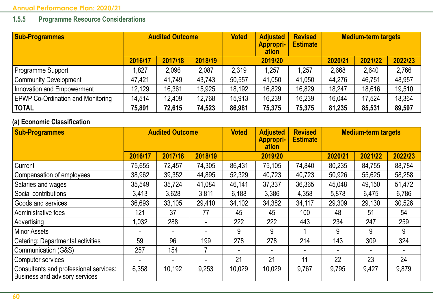# **1.5.5 Programme Resource Considerations**

| <b>Sub-Programmes</b>                    | <b>Audited Outcome</b> |         | <b>Voted</b> | <b>Adjusted</b><br><b>Appropri-</b><br>ation | <b>Revised</b><br><b>Estimate</b> | <b>Medium-term targets</b> |        |         |         |
|------------------------------------------|------------------------|---------|--------------|----------------------------------------------|-----------------------------------|----------------------------|--------|---------|---------|
|                                          | 2016/17                | 2017/18 | 2018/19      |                                              | 2019/20                           |                            |        | 2021/22 | 2022/23 |
| Programme Support                        | .827                   | 2,096   | 2,087        | 2,319                                        | ,257                              | ,257                       | 2,668  | 2,640   | 2,766   |
| Community Development                    | 47,421                 | 41,749  | 43,743       | 50,557                                       | 41,050                            | 41,050                     | 44,276 | 46,751  | 48,957  |
| Innovation and Empowerment               | 12,129                 | 16,361  | 15,925       | 18,192                                       | 16,829                            | 16,829                     | 18,247 | 18,616  | 19,510  |
| <b>EPWP Co-Ordination and Monitoring</b> | 14,514                 | 12,409  | 12,768       | 15,913                                       | 16,239                            | 16,239                     | 16,044 | 17,524  | 18,364  |
| <b>TOTAL</b>                             | 75,891                 | 72,615  | 74,523       | 86,981                                       | 75,375                            | 75.375                     | 81,235 | 85,531  | 89,597  |

# **(a) Economic Classification**

| <b>Sub-Programmes</b>                                                    | <b>Audited Outcome</b> |         | <b>Voted</b> | <b>Adjusted</b><br><b>Revised</b><br><b>Estimate</b><br><b>Appropri-</b><br>ation |         | <b>Medium-term targets</b> |         |         |         |
|--------------------------------------------------------------------------|------------------------|---------|--------------|-----------------------------------------------------------------------------------|---------|----------------------------|---------|---------|---------|
|                                                                          | 2016/17                | 2017/18 | 2018/19      |                                                                                   | 2019/20 |                            | 2020/21 | 2021/22 | 2022/23 |
| Current                                                                  | 75,655                 | 72,457  | 74,305       | 86,431                                                                            | 75,105  | 74,840                     | 80,235  | 84,755  | 88,784  |
| Compensation of employees                                                | 38,962                 | 39,352  | 44,895       | 52,329                                                                            | 40,723  | 40,723                     | 50,926  | 55,625  | 58,258  |
| Salaries and wages                                                       | 35,549                 | 35,724  | 41,084       | 46,141                                                                            | 37,337  | 36,365                     | 45,048  | 49,150  | 51,472  |
| Social contributions                                                     | 3,413                  | 3,628   | 3,811        | 6,188                                                                             | 3,386   | 4,358                      | 5,878   | 6,475   | 6,786   |
| Goods and services                                                       | 36,693                 | 33,105  | 29,410       | 34,102                                                                            | 34,382  | 34,117                     | 29,309  | 29,130  | 30,526  |
| Administrative fees                                                      | 121                    | 37      | 77           | 45                                                                                | 45      | 100                        | 48      | 51      | 54      |
| Advertising                                                              | 1,032                  | 288     |              | 222                                                                               | 222     | 443                        | 234     | 247     | 259     |
| <b>Minor Assets</b>                                                      |                        |         |              | 9                                                                                 | 9       |                            | 9       | 9       | 9       |
| Catering: Departmental activities                                        | 59                     | 96      | 199          | 278                                                                               | 278     | 214                        | 143     | 309     | 324     |
| Communication (G&S)                                                      | 257                    | 154     |              |                                                                                   |         |                            |         |         |         |
| Computer services                                                        |                        |         |              | 21                                                                                | 21      | 11                         | 22      | 23      | 24      |
| Consultants and professional services:<br>Business and advisory services | 6,358                  | 10,192  | 9,253        | 10,029                                                                            | 10,029  | 9,767                      | 9,795   | 9,427   | 9,879   |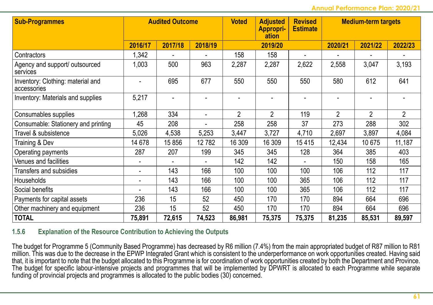| <b>Sub-Programmes</b>                            | <b>Audited Outcome</b> |         |         | <b>Voted</b>   | <b>Adjusted</b><br><b>Appropri-</b><br>ation | <b>Revised</b><br><b>Estimate</b> | <b>Medium-term targets</b> |                |                |
|--------------------------------------------------|------------------------|---------|---------|----------------|----------------------------------------------|-----------------------------------|----------------------------|----------------|----------------|
|                                                  | 2016/17                | 2017/18 | 2018/19 |                | 2019/20                                      |                                   | 2020/21                    | 2021/22        | 2022/23        |
| Contractors                                      | 1,342                  |         |         | 158            | 158                                          |                                   |                            |                |                |
| Agency and support/ outsourced<br>services       | 1,003                  | 500     | 963     | 2,287          | 2,287                                        | 2,622                             | 2,558                      | 3,047          | 3,193          |
| Inventory: Clothing: material and<br>accessories |                        | 695     | 677     | 550            | 550                                          | 550                               | 580                        | 612            | 641            |
| Inventory: Materials and supplies                | 5,217                  |         |         |                |                                              |                                   |                            |                |                |
| Consumables supplies                             | 1,268                  | 334     |         | $\overline{2}$ | $\overline{2}$                               | 119                               | 2                          | $\overline{2}$ | $\overline{2}$ |
| Consumable: Stationery and printing              | 45                     | 208     |         | 258            | 258                                          | 37                                | 273                        | 288            | 302            |
| Travel & subsistence                             | 5,026                  | 4,538   | 5,253   | 3,447          | 3,727                                        | 4,710                             | 2,697                      | 3,897          | 4,084          |
| Training & Dev                                   | 14 678                 | 15 856  | 12782   | 16 309         | 16 309                                       | 15415                             | 12,434                     | 10 675         | 11,187         |
| Operating payments                               | 287                    | 207     | 199     | 345            | 345                                          | 128                               | 364                        | 385            | 403            |
| Venues and facilities                            |                        |         |         | 142            | 142                                          |                                   | 150                        | 158            | 165            |
| <b>Transfers and subsidies</b>                   |                        | 143     | 166     | 100            | 100                                          | 100                               | 106                        | 112            | 117            |
| Households                                       |                        | 143     | 166     | 100            | 100                                          | 365                               | 106                        | 112            | 117            |
| Social benefits                                  |                        | 143     | 166     | 100            | 100                                          | 365                               | 106                        | 112            | 117            |
| Payments for capital assets                      | 236                    | 15      | 52      | 450            | 170                                          | 170                               | 894                        | 664            | 696            |
| Other machinery and equipment                    | 236                    | 15      | 52      | 450            | 170                                          | 170                               | 894                        | 664            | 696            |
| <b>TOTAL</b>                                     | 75,891                 | 72,615  | 74,523  | 86,981         | 75,375                                       | 75,375                            | 81,235                     | 85,531         | 89,597         |

### **1.5.6 Explanation of the Resource Contribution to Achieving the Outputs**

The budget for Programme 5 (Community Based Programme) has decreased by R6 million (7.4%) from the main appropriated budget of R87 million to R81 million. This was due to the decrease in the EPWP Integrated Grant which is consistent to the underperformance on work opportunities created. Having said that, it is important to note that the budget allocated to this Programme is for coordination of work opportunities created by both the Department and Province. The budget for specific labour-intensive projects and programmes that will be implemented by DPWRT is allocated to each Programme while separate funding of provincial projects and programmes is allocated to the public bodies (30) concerned.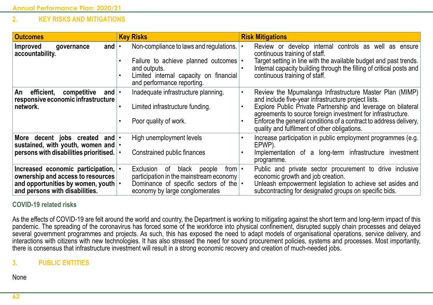### **2. KEY RISKS AND MITIGATIONS**

| <b>Outcomes</b>                                                                                                                                       | <b>Key Risks</b>                                                                                                                                                                  | <b>Risk Mitigations</b>                                                                                                                                                                                                                                                                                                                                            |
|-------------------------------------------------------------------------------------------------------------------------------------------------------|-----------------------------------------------------------------------------------------------------------------------------------------------------------------------------------|--------------------------------------------------------------------------------------------------------------------------------------------------------------------------------------------------------------------------------------------------------------------------------------------------------------------------------------------------------------------|
| and $\cdot$<br><b>Improved</b><br>governance<br>accountability.                                                                                       | Non-compliance to laws and regulations.<br>Failure to achieve planned outcomes $\cdot$<br>and outputs.<br>Limited internal capacity on financial<br>and performance reporting.    | Review or develop internal controls as well as ensure<br>$\bullet$<br>continuous training of staff.<br>Target setting in line with the available budget and past trends.<br>Internal capacity building through the filling of critical posts and<br>$\bullet$<br>continuous training of staff.                                                                     |
| competitive<br>efficient.<br>An<br>and  <br>responsive economic infrastructure<br>network.                                                            | Inadequate infrastructure planning.<br>Limited infrastructure funding.<br>Poor quality of work.                                                                                   | Review the Mpumalanga Infrastructure Master Plan (MIMP)<br>and include five-year infrastructure project lists.<br>Explore Public Private Partnership and leverage on bilateral<br>agreements to source foreign investment for infrastructure.<br>Enforce the general conditions of a contract to address delivery,<br>quality and fulfilment of other obligations. |
| More decent jobs created<br>and I ∙<br>sustained, with youth, women and   .<br>persons with disabilities prioritised.                                 | High unemployment levels<br>Constrained public finances                                                                                                                           | Increase participation in public employment programmes (e.g.<br>٠<br>EPWP).<br>Implementation of a long-term infrastructure investment<br>programme.                                                                                                                                                                                                               |
| Increased economic participation,<br>ownership and access to resources<br>and opportunities by women, youth $\cdot$<br>and persons with disabilities. | 0f<br>Exclusion<br>black<br>from $ \cdot $<br>people<br>participation in the mainstream economy<br>Dominance of specific sectors of the $\cdot$<br>economy by large conglomerates | Public and private sector procurement to drive inclusive<br>economic growth and job creation.<br>Unleash empowerment legislation to achieve set asides and<br>subcontracting for designated groups on specific bids.                                                                                                                                               |

### **COVID-19 related risks**

As the effects of COVID-19 are felt around the world and country, the Department is working to mitigating against the short term and long-term impact of this pandemic. The spreading of the coronavirus has forced some of the workforce into physical confinement, disrupted supply chain processes and delayed several government programmes and projects. As such, this has exposed the need to adapt models of organisational operations, service delivery, and interactions with citizens with new technologies. It has also stressed the need for sound procurement policies, systems and processes. Most importantly, there is consensus that infrastructure investment will result in a strong economic recovery and creation of much-needed jobs.

### **3. PUBLIC ENTITIES**

None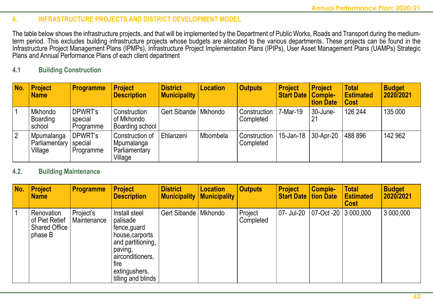### **4. INFRASTRUCTURE PROJECTS AND DISTRICT DEVELOPMENT MODEL**

The table below shows the infrastructure projects, and that will be implemented by the Department of Public Works, Roads and Transport during the mediumterm period. This excludes building infrastructure projects whose budgets are allocated to the various departments. These projects can be found in the Infrastructure Project Management Plans (IPMPs), Infrastructure Project Implementation Plans (IPIPs), User Asset Management Plans (UAMPs) Strategic Plans and Annual Performance Plans of each client department

## **4.1 Building Construction**

| No. | <b>Project</b><br><b>Name</b>              | <b>Programme</b>                             | <b>Project</b><br><b>Description</b>                      | <b>District</b><br><b>Municipality</b> | <b>Location</b> | <b>Outputs</b>            | <b>Project</b><br><b>Start Date   Comple-</b> | <b>Project</b><br>tion Date | <b>Total</b><br><b>Estimated</b><br>Cost | <b>Budget</b><br>2020/2021 |
|-----|--------------------------------------------|----------------------------------------------|-----------------------------------------------------------|----------------------------------------|-----------------|---------------------------|-----------------------------------------------|-----------------------------|------------------------------------------|----------------------------|
|     | Mkhondo<br>Boarding<br>school              | DPWRT's<br>special<br><sub>l</sub> Programme | Construction<br>of Mkhondo<br>Boarding school             | Gert Sibande   Mkhondo                 |                 | Construction<br>Completed | 7-Mar-19                                      | 30-June-<br>21              | 126 244                                  | 135 000                    |
| 12  | Mpumalanga<br>  Parliamentary  <br>Village | DPWRT's<br>l special<br>  Programme          | Construction of<br>Mpumalanga<br>Parliamentary<br>Village | Ehlanzeni                              | Mbombela        | Construction<br>Completed | 15-Jan-18                                     | 30-Apr-20                   | 488 896                                  | 142 962                    |

#### **4.2. Building Maintenance**

| No. | <b>Project</b><br><b>Name</b>                                   | <b>Programme</b>         | <b>Project</b><br><b>Description</b>                                                                                                                           | <b>District</b>        | <b>Location</b><br><b>Municipality Municipality</b> | <b>Outputs</b>       | <b>Project</b><br><b>Start Date</b> | Comple-<br>tion Date   | <b>Total</b><br><b>Estimated</b><br>Cost | <b>Budget</b><br>2020/2021 |
|-----|-----------------------------------------------------------------|--------------------------|----------------------------------------------------------------------------------------------------------------------------------------------------------------|------------------------|-----------------------------------------------------|----------------------|-------------------------------------|------------------------|------------------------------------------|----------------------------|
|     | Renovation<br>of Piet Retief<br><b>Shared Office</b><br>phase B | Project's<br>Maintenance | Install steel<br>palisade<br>tence, guard<br>house,carports<br>and partitioning.<br>paving,<br>airconditioners,<br>fire<br>extingushers,<br>tilling and blinds | Gert Sibande   Mkhondo |                                                     | Project<br>Completed | 07- Jul-20                          | 07-Oct -20   3 000,000 |                                          | 3 000,000                  |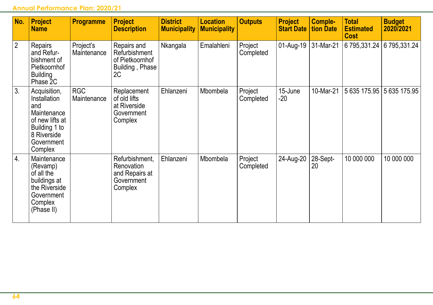| No.            | <b>Project</b><br><b>Name</b>                                                                                                  | <b>Programme</b>          | <b>Project</b><br><b>Description</b>                                     | <b>District</b><br><b>Municipality</b> | <b>Location</b><br><b>Municipality</b> | <b>Outputs</b>       | <b>Project</b><br><b>Start Date</b> | Comple-<br>tion Date | <b>Total</b><br><b>Estimated</b><br><b>Cost</b> | <b>Budget</b><br>2020/2021  |
|----------------|--------------------------------------------------------------------------------------------------------------------------------|---------------------------|--------------------------------------------------------------------------|----------------------------------------|----------------------------------------|----------------------|-------------------------------------|----------------------|-------------------------------------------------|-----------------------------|
| $\overline{2}$ | Repairs<br>and Refur-<br>bishment of<br>Pietkoornhof<br><b>Building</b><br>Phase 2C                                            | Project's<br>Maintenance  | Repairs and<br>Refurbishment<br>of Pietkoornhof<br>Building, Phase<br>2C | Nkangala                               | Emalahleni                             | Project<br>Completed | 01-Aug-19                           | 31-Mar-21            |                                                 | 6 795,331.24   6 795,331.24 |
| 3.             | Acquisition,<br>Installation<br>and<br>Maintenance<br>of new lifts at<br>Building 1 to<br>8 Riverside<br>Government<br>Complex | <b>RGC</b><br>Maintenance | Replacement<br>of old lifts<br>at Riverside<br>Government<br>Complex     | Ehlanzeni                              | Mbombela                               | Project<br>Completed | 15-June<br>$-20$                    | 10-Mar-21            |                                                 | 5 635 175.95 5 635 175.95   |
| 4.             | Maintenance<br>(Revamp)<br>of all the<br>buildings at<br>the Riverside<br>Government<br>Complex<br>(Phase II)                  |                           | Refurbishment,<br>Renovation<br>and Repairs at<br>Government<br>Complex  | Ehlanzeni                              | Mbombela                               | Project<br>Completed | 24-Aug-20                           | 28-Sept-<br>20       | 10 000 000                                      | 10 000 000                  |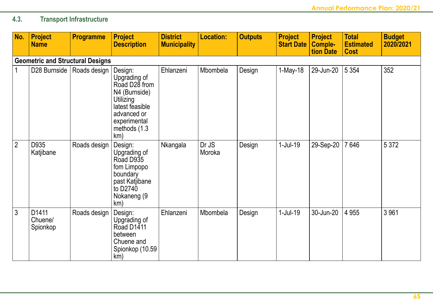# **4.3. Transport Infrastructure**

| No.            | <b>Project</b><br><b>Name</b>           | <b>Programme</b> | <b>Project</b><br><b>Description</b>                                                                                                                        | <b>District</b><br><b>Municipality</b> | <b>Location:</b> | <b>Outputs</b> | <b>Project</b><br><b>Start Date</b> | <b>Project</b><br>Comple-<br>tion Date | <b>Total</b><br><b>Estimated</b><br><b>Cost</b> | <b>Budget</b><br>2020/2021 |  |  |
|----------------|-----------------------------------------|------------------|-------------------------------------------------------------------------------------------------------------------------------------------------------------|----------------------------------------|------------------|----------------|-------------------------------------|----------------------------------------|-------------------------------------------------|----------------------------|--|--|
|                | <b>Geometric and Structural Designs</b> |                  |                                                                                                                                                             |                                        |                  |                |                                     |                                        |                                                 |                            |  |  |
| $\mathbf{1}$   | D28 Burnside                            | Roads design     | Design:<br>Upgrading of<br>Road D <sub>28</sub> from<br>N4 (Burnside)<br>Utilizing<br>latest feasible<br>advanced or<br>experimental<br>methods (1.3<br>km) | Ehlanzeni                              | Mbombela         | Design         | 1-May-18                            | 29-Jun-20                              | 5 3 5 4                                         | 352                        |  |  |
| $\overline{2}$ | D935<br>Katjibane                       | Roads design     | Design:<br>Upgrading of<br>Road D935<br>fom Limpopo<br>boundary<br>past Katjibane<br>to D2740<br>Nokaneng (9<br>km)                                         | Nkangala                               | Dr JS<br>Moroka  | Design         | 1-Jul-19                            | 29-Sep-20                              | 7646                                            | 5 3 7 2                    |  |  |
| $\mathfrak{Z}$ | D1411<br>Chuene/<br>Spionkop            | Roads design     | Design:<br>Upgrading of<br>Road D1411<br>between<br>Chuene and<br>Spionkop (10.59<br>km)                                                                    | Ehlanzeni                              | Mbombela         | Design         | 1-Jul-19                            | 30-Jun-20                              | 4 9 5 5                                         | 3 9 61                     |  |  |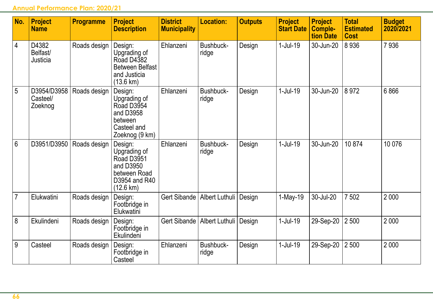| No.            | <b>Project</b><br><b>Name</b>      | <b>Programme</b> | <b>Project</b><br><b>Description</b>                                                                       | <b>District</b><br><b>Municipality</b> | Location:          | <b>Outputs</b> | <b>Project</b><br><b>Start Date</b> | <b>Project</b><br>Comple-<br><b>tion Date</b> | <b>Total</b><br><b>Estimated</b><br>Cost | <b>Budget</b><br>2020/2021 |
|----------------|------------------------------------|------------------|------------------------------------------------------------------------------------------------------------|----------------------------------------|--------------------|----------------|-------------------------------------|-----------------------------------------------|------------------------------------------|----------------------------|
| 4              | D4382<br>Belfast/<br>Justicia      | Roads design     | Design:<br>Upgrading of<br>Road D4382<br>Between Belfast<br>and Justicia<br>$(13.6 \text{ km})$            | Ehlanzeni                              | Bushbuck-<br>ridge | Design         | 1-Jul-19                            | 30-Jun-20                                     | 8936                                     | 7936                       |
| 5              | D3954/D3958<br>Casteel/<br>Zoeknog | Roads design     | Design:<br>Upgrading of<br>Road D3954<br>and D3958<br>between<br>Casteel and<br>Zoeknog (9 km)             | Ehlanzeni                              | Bushbuck-<br>ridge | Design         | 1-Jul-19                            | 30-Jun-20                                     | 8972                                     | 6866                       |
| 6              | D3951/D3950                        | Roads design     | Design:<br>Upgrading of<br>Road D3951<br>and D3950<br>between Road<br>D3954 and R40<br>$(12.6 \text{ km})$ | Ehlanzeni                              | Bushbuck-<br>ridge | Design         | 1-Jul-19                            | 30-Jun-20                                     | 10874                                    | 10 0 76                    |
| $\overline{7}$ | Elukwatini                         | Roads design     | Design:<br>Footbridge in<br>Elukwatini                                                                     | Gert Sibande                           | Albert Luthuli     | Design         | 1-May-19                            | 30-Jul-20                                     | 7 502                                    | 2 0 0 0                    |
| 8              | Ekulindeni                         | Roads design     | Design:<br>Footbridge in<br>Ekulindeni                                                                     | Gert Sibande                           | Albert Luthuli     | Design         | 1-Jul-19                            | 29-Sep-20                                     | 2 500                                    | 2 0 0 0                    |
| 9              | Casteel                            | Roads design     | Design:<br>Footbridge in<br>Casteel                                                                        | Ehlanzeni                              | Bushbuck-<br>ridge | Design         | 1-Jul-19                            | 29-Sep-20                                     | 2 500                                    | 2 0 0 0                    |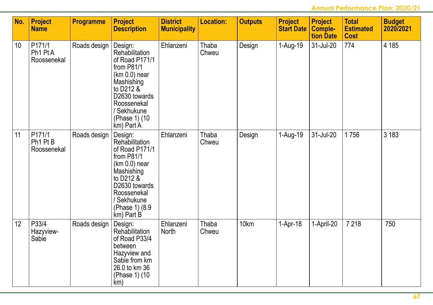| No. | <b>Project</b><br><b>Name</b>     | <b>Programme</b> | <b>Project</b><br><b>Description</b>                                                                                                                                                  | <b>District</b><br><b>Municipality</b> | <b>Location:</b> | <b>Outputs</b> | <b>Project</b><br><b>Start Date</b> | <b>Project</b><br><b>Comple-</b><br>tion Date | <b>Total</b><br><b>Estimated</b><br><b>Cost</b> | <b>Budget</b><br>2020/2021 |
|-----|-----------------------------------|------------------|---------------------------------------------------------------------------------------------------------------------------------------------------------------------------------------|----------------------------------------|------------------|----------------|-------------------------------------|-----------------------------------------------|-------------------------------------------------|----------------------------|
| 10  | P171/1<br>Ph1 PtA<br>Roossenekal  | Roads design     | Design:<br>Rehabilitation<br>of Road P171/1<br>from P81/1<br>(km 0.0) near<br>Mashishing<br>to D212 &<br>D2630 towards<br>Roossenekal<br>'Sekhukune<br>(Phase 1) (10<br>km) Part A    | Ehlanzeni                              | Thaba<br>Chweu   | Design         | 1-Aug-19                            | 31-Jul-20                                     | 774                                             | 4 185                      |
| 11  | P171/1<br>Ph1 Pt B<br>Roossenekal | Roads design     | Design:<br>Rehabilitation<br>of Road P171/1<br>from P81/1<br>$(km 0.0)$ near<br>Mashishing<br>to D212 &<br>D2630 towards<br>Roossenekal<br>'Sekhukune<br>(Phase 1) (8.9<br>km) Part B | Ehlanzeni                              | Thaba<br>Chweu   | Design         | 1-Aug-19                            | 31-Jul-20                                     | 1756                                            | 3 1 8 3                    |
| 12  | P33/4<br>Hazyview-<br>Sabie       | Roads design     | Design:<br>Rehabilitation<br>of Road P33/4<br>between<br>Hazyview and<br>Sabie from km<br>26.0 to km 36<br>(Phase 1) (10<br>km)                                                       | Ehlanzeni<br>North                     | Thaba<br>Chweu   | 10km           | 1-Apr-18                            | 1-April-20                                    | 7 2 1 8                                         | 750                        |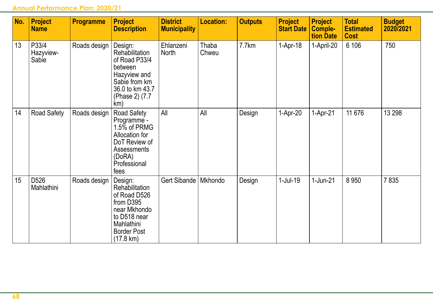| No. | <b>Project</b><br><b>Name</b> | <b>Programme</b> | <b>Project</b><br><b>Description</b>                                                                                                              | <b>District</b><br><b>Municipality</b> | <b>Location:</b> | <b>Outputs</b> | <b>Project</b><br><b>Start Date</b> | <b>Project</b><br><b>Comple-</b><br>tion Date | <b>Total</b><br><b>Estimated</b><br><b>Cost</b> | <b>Budget</b><br>2020/2021 |
|-----|-------------------------------|------------------|---------------------------------------------------------------------------------------------------------------------------------------------------|----------------------------------------|------------------|----------------|-------------------------------------|-----------------------------------------------|-------------------------------------------------|----------------------------|
| 13  | P33/4<br>Hazyview-<br>Sabie   | Roads design     | Design:<br>Rehabilitation<br>of Road P33/4<br>between<br>Hazyview and<br>Sabie from km<br>36.0 to km 43.7<br>(Phase 2) (7.7)<br>km)               | Ehlanzeni<br>North                     | Thaba<br>Chweu   | 7.7km          | 1-Apr-18                            | 1-April-20                                    | 6 10 6                                          | 750                        |
| 14  | Road Safety                   | Roads design     | Road Safety<br>Programme -<br>1.5% of PRMG<br>Allocation for<br>DoT Review of<br>Assessments<br>(DoRA)<br>Professional<br>fees                    | All                                    | All              | Design         | 1-Apr-20                            | 1-Apr-21                                      | 11 676                                          | 13 298                     |
| 15  | D526<br>Mahlathini            | Roads design     | Design:<br>Rehabilitation<br>of Road D526<br>from D395<br>near Mkhondo<br>to D518 near<br>Mahlathini<br><b>Border Post</b><br>$(17.8 \text{ km})$ | Gert Sibande                           | Mkhondo          | Design         | 1-Jul-19                            | 1-Jun-21                                      | 8 9 5 0                                         | 7835                       |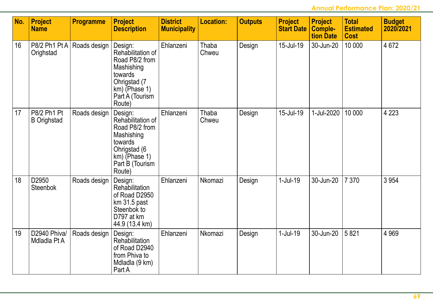| No. | <b>Project</b><br><b>Name</b>     | <b>Programme</b> | <b>Project</b><br><b>Description</b>                                                                                                  | <b>District</b><br><b>Municipality</b> | <b>Location:</b> | <b>Outputs</b> | <b>Project</b><br><b>Start Date</b> | <b>Project</b><br>Comple-<br><b>tion Date</b> | <b>Total</b><br><b>Estimated</b><br><b>Cost</b> | <b>Budget</b><br>2020/2021 |
|-----|-----------------------------------|------------------|---------------------------------------------------------------------------------------------------------------------------------------|----------------------------------------|------------------|----------------|-------------------------------------|-----------------------------------------------|-------------------------------------------------|----------------------------|
| 16  | P8/2 Ph1 Pt A<br>Orighstad        | Roads design     | Design:<br>Rehabilitation of<br>Road P8/2 from<br>Mashishing<br>towards<br>Ohrigstad (7<br>km) (Phase 1)<br>Part A (Tourism<br>Route) | Ehlanzeni                              | Thaba<br>Chweu   | Design         | 15-Jul-19                           | 30-Jun-20                                     | 10 000                                          | 4672                       |
| 17  | P8/2 Ph1 Pt<br><b>B</b> Orighstad | Roads design     | Design:<br>Rehabilitation of<br>Road P8/2 from<br>Mashishing<br>towards<br>Ohrigstad (6<br>km) (Phase 1)<br>Part B (Tourism<br>Route) | Ehlanzeni                              | Thaba<br>Chweu   | Design         | 15-Jul-19                           | 1-Jul-2020                                    | 10 000                                          | 4 2 2 3                    |
| 18  | D2950<br>Steenbok                 | Roads design     | Design:<br>Rehabilitation<br>of Road D2950<br>km 31.5 past<br>Steenbok to<br>D797 at km<br>44.9 (13.4 km)                             | Ehlanzeni                              | Nkomazi          | Design         | 1-Jul-19                            | 30-Jun-20                                     | 7 3 7 0                                         | 3 9 5 4                    |
| 19  | D2940 Phiva/<br>Mdladla Pt A      | Roads design     | Design:<br>Rehabilitation<br>of Road D2940<br>from Phiva to<br>Mdladla (9 km)<br>Part A                                               | Ehlanzeni                              | Nkomazi          | Design         | 1-Jul-19                            | 30-Jun-20                                     | 5821                                            | 4 9 6 9                    |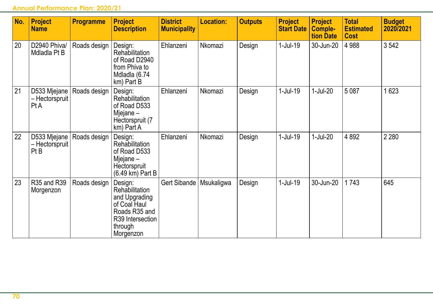| No. | <b>Project</b><br><b>Name</b>                | <b>Programme</b> | <b>Project</b><br><b>Description</b>                                                                                                | <b>District</b><br><b>Municipality</b> | <b>Location:</b> | <b>Outputs</b> | <b>Project</b><br><b>Start Date</b> | <b>Project</b><br>Comple-<br>tion Date | <b>Total</b><br><b>Estimated</b><br>Cost | <b>Budget</b><br>2020/2021 |
|-----|----------------------------------------------|------------------|-------------------------------------------------------------------------------------------------------------------------------------|----------------------------------------|------------------|----------------|-------------------------------------|----------------------------------------|------------------------------------------|----------------------------|
| 20  | D2940 Phiva/<br>Mdladla Pt B                 | Roads design     | Design:<br>Rehabilitation<br>of Road D2940<br>from Phiva to<br>Mdladla (6.74<br>km) Part B                                          | Ehlanzeni                              | Nkomazi          | Design         | 1-Jul-19                            | 30-Jun-20                              | 4 9 8 8                                  | 3542                       |
| 21  | D533 Mjejane<br>– Hectorspruit<br><b>PtA</b> | Roads design     | Design:<br>Rehabilitation<br>of Road D533<br>Mjejane $-$<br>Hectorspruit (7<br>km) Part A                                           | Ehlanzeni                              | Nkomazi          | Design         | 1-Jul-19                            | 1-Jul-20                               | 5 0 8 7                                  | 1623                       |
| 22  | D533 Mjejane<br>- Hectorspruit<br>Pt B       | Roads design     | Design:<br>Rehabilitation<br>of Road D533<br>Mjejane-<br>Hectorspruit<br>(6.49 km) Part B                                           | Ehlanzeni                              | Nkomazi          | Design         | 1-Jul-19                            | 1-Jul-20                               | 4 8 9 2                                  | 2 2 8 0                    |
| 23  | R35 and R39<br>Morgenzon                     | Roads design     | Design:<br>Rehabilitation<br>and Upgrading<br>of Coal Haul<br>Roads R35 and<br>R <sub>39</sub> Intersection<br>through<br>Morgenzon | Gert Sibande                           | Msukaligwa       | Design         | 1-Jul-19                            | 30-Jun-20                              | 1743                                     | 645                        |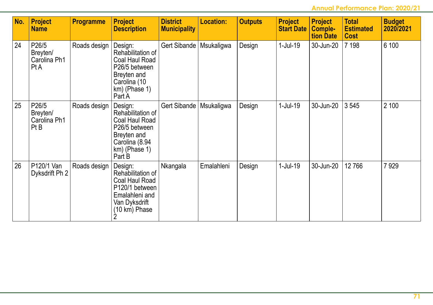| No. | <b>Project</b><br><b>Name</b>                   | <b>Programme</b> | <b>Project</b><br><b>Description</b>                                                                                        | <b>District</b><br><b>Municipality</b> | <b>Location:</b> | <b>Outputs</b> | <b>Project</b><br><b>Start Date</b> | <b>Project</b><br>Comple-<br><b>tion Date</b> | <b>Total</b><br><b>Estimated</b><br><b>Cost</b> | <b>Budget</b><br>2020/2021 |
|-----|-------------------------------------------------|------------------|-----------------------------------------------------------------------------------------------------------------------------|----------------------------------------|------------------|----------------|-------------------------------------|-----------------------------------------------|-------------------------------------------------|----------------------------|
| 24  | P26/5<br>Breyten/<br>Carolina Ph1<br><b>PtA</b> | Roads design     | Design:<br>Rehabilitation of<br>Coal Haul Road<br>P26/5 between<br>Breyten and<br>Carolina (10<br>km) (Phase 1)<br>Part A   | Gert Sibande                           | Msukaligwa       | Design         | 1-Jul-19                            | 30-Jun-20                                     | 7 1 9 8                                         | 6 100                      |
| 25  | P26/5<br>Breyten/<br>Carolina Ph1<br>Pt B       | Roads design     | Design:<br>Rehabilitation of<br>Coal Haul Road<br>P26/5 between<br>Breyten and<br>Carolina (8.94<br>km) (Phase 1)<br>Part B | Gert Sibande                           | Msukaligwa       | Design         | 1-Jul-19                            | 30-Jun-20                                     | 3545                                            | 2 100                      |
| 26  | P120/1 Van<br>Dyksdrift Ph 2                    | Roads design     | Design:<br>Rehabilitation of<br>Coal Haul Road<br>P120/1 between<br>Emalahleni and<br>Van Dyksdrift<br>(10 km) Phase<br>2   | Nkangala                               | Emalahleni       | Design         | 1-Jul-19                            | 30-Jun-20                                     | 12 766                                          | 7929                       |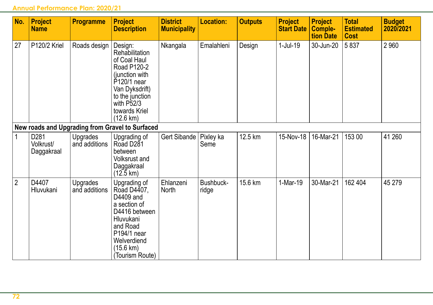| No.            | <b>Project</b><br><b>Name</b>   | <b>Programme</b>          | <b>Project</b><br><b>Description</b>                                                                                                                                                              | <b>District</b><br><b>Municipality</b> | <b>Location:</b>   | <b>Outputs</b> | <b>Project</b><br><b>Start Date</b> | <b>Project</b><br>Comple-<br><b>tion Date</b> | <b>Total</b><br><b>Estimated</b><br><b>Cost</b> | <b>Budget</b><br>2020/2021 |
|----------------|---------------------------------|---------------------------|---------------------------------------------------------------------------------------------------------------------------------------------------------------------------------------------------|----------------------------------------|--------------------|----------------|-------------------------------------|-----------------------------------------------|-------------------------------------------------|----------------------------|
| 27             | P120/2 Kriel                    | Roads design              | Design:<br>Rehabilitation<br>of Coal Haul<br>Road P120-2<br>(junction with<br>P <sub>120</sub> /1 near<br>Van Dyksdrift)<br>to the junction<br>with P52/3<br>towards Kriel<br>$(12.6 \text{ km})$ | Nkangala                               | Emalahleni         | Design         | 1-Jul-19                            | 30-Jun-20                                     | 5837                                            | 2 9 6 0                    |
|                |                                 |                           | New roads and Upgrading from Gravel to Surfaced                                                                                                                                                   |                                        |                    |                |                                     |                                               |                                                 |                            |
|                | D281<br>Volkrust/<br>Daggakraal | Upgrades<br>and additions | Upgrading of<br>Road D <sub>281</sub><br>between<br>Volksrust and<br>Daggakraal<br>$(12.5 \text{ km})$                                                                                            | Gert Sibande                           | Pixley ka<br>Seme  | 12.5 km        | 15-Nov-18                           | 16-Mar-21                                     | 153 00                                          | 41 260                     |
| $\overline{2}$ | D4407<br>Hluvukani              | Upgrades<br>and additions | Upgrading of<br>Road D4407,<br>D4409 and<br>a section of<br>D4416 between<br>Hluvukani<br>and Road<br>P194/1 near<br>Welverdiend<br>$(15.6 \text{ km})$<br>(Tourism Route)                        | Ehlanzeni<br>North                     | Bushbuck-<br>ridge | 15.6 km        | 1-Mar-19                            | 30-Mar-21                                     | 162 404                                         | 45 279                     |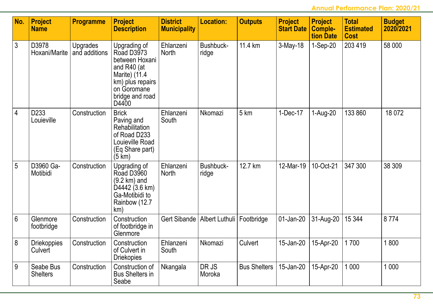| No. | <b>Project</b><br><b>Name</b> | <b>Programme</b>          | <b>Project</b><br><b>Description</b>                                                                                                        | <b>District</b><br><b>Municipality</b> | <b>Location:</b>   | <b>Outputs</b>      | <b>Project</b><br><b>Start Date</b> | <b>Project</b><br>Comple-<br><b>tion Date</b> | <b>Total</b><br><b>Estimated</b><br><b>Cost</b> | <b>Budget</b><br>2020/2021 |
|-----|-------------------------------|---------------------------|---------------------------------------------------------------------------------------------------------------------------------------------|----------------------------------------|--------------------|---------------------|-------------------------------------|-----------------------------------------------|-------------------------------------------------|----------------------------|
| 3   | D3978<br>Hoxani/Marite        | Upgrades<br>and additions | Upgrading of<br>Road D3973<br>between Hoxani<br>and R40 (at<br>Marite) (11.4<br>km) plus repairs<br>on Goromane<br>bridge and road<br>D4400 | Ehlanzeni<br>North                     | Bushbuck-<br>ridge | 11.4 km             | 3-May-18                            | 1-Sep-20                                      | 203 419                                         | 58 000                     |
| 4   | D233<br>Louieville            | Construction              | <b>Brick</b><br>Paving and<br>Rehabilitation<br>of Road D233<br>Louieville Road<br>(Eq Share part)<br>(5 km)                                | Ehlanzeni<br>South                     | Nkomazi            | 5 km                | 1-Dec-17                            | 1-Aug-20                                      | 133 860                                         | 18 072                     |
| 5   | D3960 Ga-<br>Motibidi         | Construction              | Upgrading of<br>Road D3960<br>$(9.2 \text{ km})$ and<br>D4442 (3.6 km)<br>Ga-Motibidi to<br>Rainbow (12.7<br>km)                            | Ehlanzeni<br>North                     | Bushbuck-<br>ridge | 12.7 km             | 12-Mar-19                           | 10-Oct-21                                     | 347 300                                         | 38 309                     |
| 6   | Glenmore<br>footbridge        | Construction              | Construction<br>of footbridge in<br>Glenmore                                                                                                | Gert Sibande                           | Albert Luthuli     | Footbridge          | 01-Jan-20                           | 31-Aug-20                                     | 15 344                                          | 8774                       |
| 8   | <b>Driekoppies</b><br>Culvert | Construction              | Construction<br>of Culvert in<br><b>Driekopies</b>                                                                                          | Ehlanzeni<br>South                     | Nkomazi            | Culvert             | 15-Jan-20                           | 15-Apr-20                                     | 1700                                            | 1800                       |
| 9   | Seabe Bus<br><b>Shelters</b>  | Construction              | Construction of<br><b>Bus Shelters in</b><br>Seabe                                                                                          | Nkangala                               | DR JS<br>Moroka    | <b>Bus Shelters</b> | 15-Jan-20                           | 15-Apr-20                                     | 1 0 0 0                                         | 1 0 0 0                    |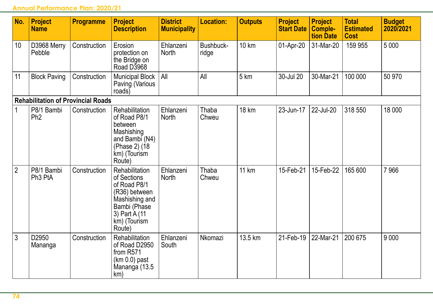| No.            | <b>Project</b><br><b>Name</b>             | <b>Programme</b> | <b>Project</b><br><b>Description</b>                                                                                                        | <b>District</b><br><b>Municipality</b> | <b>Location:</b>   | <b>Outputs</b> | <b>Project</b><br><b>Start Date</b> | <b>Project</b><br>Comple-<br>tion Date | <b>Total</b><br><b>Estimated</b><br>Cost | <b>Budget</b><br>2020/2021 |
|----------------|-------------------------------------------|------------------|---------------------------------------------------------------------------------------------------------------------------------------------|----------------------------------------|--------------------|----------------|-------------------------------------|----------------------------------------|------------------------------------------|----------------------------|
| 10             | D3968 Merry<br>Pebble                     | Construction     | Erosion<br>protection on<br>the Bridge on<br>Road D3968                                                                                     | Ehlanzeni<br>North                     | Bushbuck-<br>ridge | <b>10 km</b>   | 01-Apr-20                           | 31-Mar-20                              | 159 955                                  | 5 000                      |
| 11             | <b>Block Paving</b>                       | Construction     | Municipal Block<br>Paving (Various<br>roads)                                                                                                | All                                    | All                | 5 km           | 30-Jul 20                           | 30-Mar-21                              | 100 000                                  | 50 970                     |
|                | <b>Rehabilitation of Provincial Roads</b> |                  |                                                                                                                                             |                                        |                    |                |                                     |                                        |                                          |                            |
|                | P8/1 Bambi<br>Ph <sub>2</sub>             | Construction     | Rehabilitation<br>of Road P8/1<br>between<br>Mashishing<br>and Bambi (N4)<br>(Phase 2) (18<br>km) (Tourism<br>Route)                        | Ehlanzeni<br>North                     | Thaba<br>Chweu     | 18 km          | 23-Jun-17                           | 22-Jul-20                              | 318 550                                  | 18 000                     |
| $\overline{2}$ | P8/1 Bambi<br>Ph <sub>3</sub> PtA         | Construction     | Rehabilitation<br>of Sections<br>of Road P8/1<br>(R36) between<br>Mashishing and<br>Bambi (Phase<br>3) Part A (11<br>km) (Tourism<br>Route) | Ehlanzeni<br>North                     | Thaba<br>Chweu     | <b>11 km</b>   | 15-Feb-21                           | 15-Feb-22                              | 165 600                                  | 7966                       |
| 3              | D2950<br>Mananga                          | Construction     | Rehabilitation<br>of Road D2950<br>from R571<br>(km 0.0) past<br>Mananga (13.5<br>km)                                                       | Ehlanzeni<br>South                     | Nkomazi            | 13.5 km        | 21-Feb-19                           | 22-Mar-21                              | 200 675                                  | 9 0 0 0                    |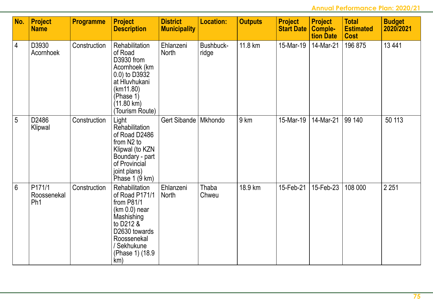| No. | <b>Project</b><br><b>Name</b>            | <b>Programme</b> | <b>Project</b><br><b>Description</b>                                                                                                                                | <b>District</b><br><b>Municipality</b> | <b>Location:</b>   | <b>Outputs</b> | <b>Project</b><br><b>Start Date</b> | <b>Project</b><br><b>Comple-</b><br>tion Date | <b>Total</b><br><b>Estimated</b><br>Cost | <b>Budget</b><br>2020/2021 |
|-----|------------------------------------------|------------------|---------------------------------------------------------------------------------------------------------------------------------------------------------------------|----------------------------------------|--------------------|----------------|-------------------------------------|-----------------------------------------------|------------------------------------------|----------------------------|
| 4   | D3930<br>Acornhoek                       | Construction     | Rehabilitation<br>of Road<br>D3930 from<br>Acornhoek (km<br>0.0) to D3932<br>at Hluvhukani<br>(km11.80)<br>(Phase 1)<br>(11.80 km)<br>(Tourism Route)               | Ehlanzeni<br>North                     | Bushbuck-<br>ridge | 11.8 km        | 15-Mar-19                           | 14-Mar-21                                     | 196 875                                  | 13 4 41                    |
| 5   | D2486<br>Klipwal                         | Construction     | Light<br>Rehabilitation<br>of Road D2486<br>from N2 to<br>Klipwal (to KZN<br>Boundary - part<br>of Provincial<br>joint plans)<br>Phase 1 (9 km)                     | Gert Sibande   Mkhondo                 |                    | 9 km           | 15-Mar-19                           | 14-Mar-21                                     | 99 140                                   | 50 113                     |
| 6   | P171/1<br>Roossenekal<br>Ph <sub>1</sub> | Construction     | Rehabilitation<br>of Road P171/1<br>from P81/1<br>$(km 0.0)$ near<br>Mashishing<br>to D212 &<br>D2630 towards<br>Roossenekal<br>Sekhukune<br>(Phase 1) (18.9<br>km) | Ehlanzeni<br>North                     | Thaba<br>Chweu     | 18.9 km        | 15-Feb-21                           | 15-Feb-23                                     | 108 000                                  | 2 2 5 1                    |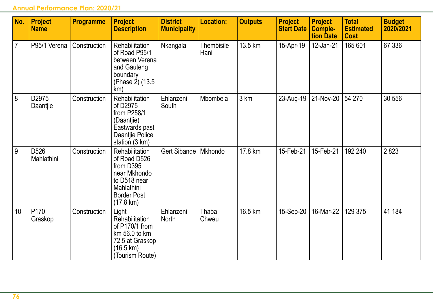| No. | <b>Project</b><br><b>Name</b> | <b>Programme</b> | <b>Project</b><br><b>Description</b>                                                                                                   | <b>District</b><br><b>Municipality</b> | <b>Location:</b>   | <b>Outputs</b> | <b>Project</b><br><b>Start Date</b> | <b>Project</b><br>Comple-<br>tion Date | <b>Total</b><br><b>Estimated</b><br>Cost | <b>Budget</b><br>2020/2021 |
|-----|-------------------------------|------------------|----------------------------------------------------------------------------------------------------------------------------------------|----------------------------------------|--------------------|----------------|-------------------------------------|----------------------------------------|------------------------------------------|----------------------------|
|     | P95/1 Verena                  | Construction     | Rehabilitation<br>of Road P95/1<br>between Verena<br>and Gauteng<br>boundary<br>(Phase 2) (13.5)<br>km)                                | Nkangala                               | Thembisile<br>Hani | 13.5 km        | 15-Apr-19                           | 12-Jan-21                              | 165 601                                  | 67 336                     |
| 8   | D2975<br>Daantjie             | Construction     | Rehabilitation<br>of D2975<br>from P258/1<br>(Daantjie)<br>Eastwards past<br>Daantjie Police<br>station (3 km)                         | Ehlanzeni<br>South                     | Mbombela           | 3 km           | 23-Aug-19                           | 21-Nov-20                              | 54 270                                   | 30 556                     |
| 9   | D526<br>Mahlathini            | Construction     | Rehabilitation<br>of Road D526<br>from D395<br>near Mkhondo<br>to D518 near<br>Mahlathini<br><b>Border Post</b><br>$(17.8 \text{ km})$ | Gert Sibande                           | Mkhondo            | 17.8 km        | 15-Feb-21                           | 15-Feb-21                              | 192 240                                  | 2823                       |
| 10  | P170<br>Graskop               | Construction     | Light<br>Rehabilitation<br>of P170/1 from<br>km 56.0 to km<br>72.5 at Graskop<br>$(16.5 \text{ km})$<br>(Tourism Route)                | Ehlanzeni<br>North                     | Thaba<br>Chweu     | 16.5 km        | 15-Sep-20                           | 16-Mar-22                              | 129 375                                  | 41 184                     |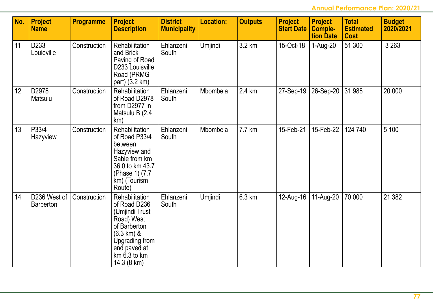| No. | <b>Project</b><br><b>Name</b> | <b>Programme</b> | <b>Project</b><br><b>Description</b>                                                                                                                                               | <b>District</b><br><b>Municipality</b> | <b>Location:</b> | <b>Outputs</b> | <b>Project</b><br><b>Start Date</b> | <b>Project</b><br>Comple-<br><b>tion Date</b> | <b>Total</b><br><b>Estimated</b><br>Cost | <b>Budget</b><br>2020/2021 |
|-----|-------------------------------|------------------|------------------------------------------------------------------------------------------------------------------------------------------------------------------------------------|----------------------------------------|------------------|----------------|-------------------------------------|-----------------------------------------------|------------------------------------------|----------------------------|
| 11  | D233<br>Louieville            | Construction     | Rehabilitation<br>and Brick<br>Paving of Road<br>D233 Louisville<br>Road (PRMG<br>part) $(3.2 \text{ km})$                                                                         | Ehlanzeni<br>South                     | Umjindi          | 3.2 km         | 15-Oct-18                           | 1-Aug-20                                      | 51 300                                   | 3 2 6 3                    |
| 12  | D2978<br>Matsulu              | Construction     | Rehabilitation<br>of Road D2978<br>from D2977 in<br>Matsulu B (2.4<br>km)                                                                                                          | Ehlanzeni<br>South                     | Mbombela         | 2.4 km         | 27-Sep-19                           | 26-Sep-20                                     | 31 988                                   | 20 000                     |
| 13  | P33/4<br>Hazyview             | Construction     | Rehabilitation<br>of Road P33/4<br>between<br>Hazyview and<br>Sabie from km<br>36.0 to km 43.7<br>(Phase 1) (7.7<br>km) (Tourism<br>Route)                                         | Ehlanzeni<br>South                     | Mbombela         | 7.7 km         | 15-Feb-21                           | 15-Feb-22                                     | 124 740                                  | 5 100                      |
| 14  | D236 West of<br>Barberton     | Construction     | Rehabilitation<br>of Road D236<br>(Umjindi Trust<br>Road) West<br>of Barberton<br>$(6.3 \text{ km})$ &<br><b>Upgrading from</b><br>end paved at<br>$km$ 6.3 to $km$<br>14.3 (8 km) | Ehlanzeni<br>South                     | Umjindi          | 6.3 km         | 12-Aug-16                           | 11-Aug-20                                     | 70 000                                   | 21 3 8 2                   |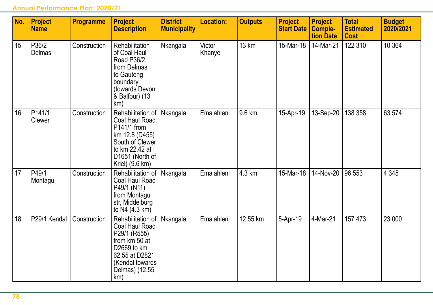| No. | <b>Project</b><br><b>Name</b> | <b>Programme</b> | <b>Project</b><br><b>Description</b>                                                                                                                                 | <b>District</b><br><b>Municipality</b> | <b>Location:</b> | <b>Outputs</b> | <b>Project</b><br><b>Start Date</b> | <b>Project</b><br>Comple-<br>tion Date | <b>Total</b><br><b>Estimated</b><br>Cost | <b>Budget</b><br>2020/2021 |
|-----|-------------------------------|------------------|----------------------------------------------------------------------------------------------------------------------------------------------------------------------|----------------------------------------|------------------|----------------|-------------------------------------|----------------------------------------|------------------------------------------|----------------------------|
| 15  | P36/2<br>Delmas               | Construction     | Rehabilitation<br>of Coal Haul<br>Road P36/2<br>from Delmas<br>to Gauteng<br>boundary<br>(towards Devon<br>& Balfour) (13<br>km)                                     | Nkangala                               | Victor<br>Khanye | 13 km          | 15-Mar-18                           | 14-Mar-21                              | 122 310                                  | 10 3 64                    |
| 16  | P141/1<br>Clewer              | Construction     | Rehabilitation of   Nkangala<br>Coal Haul Road<br>P141/1 from<br>km 12.8 (D455)<br>South of Clewer<br>to km 22.42 at<br>D1651 (North of<br>Kriel) $(9.6 \text{ km})$ |                                        | Emalahleni       | 9.6 km         | 15-Apr-19                           | 13-Sep-20                              | 138 358                                  | 63 574                     |
| 17  | P49/1<br>Montagu              | Construction     | Rehabilitation of   Nkangala<br>Coal Haul Road<br>P49/1 (N11)<br>from Montagu<br>str, Middelburg<br>to N4 $(4.3 \text{ km})$                                         |                                        | Emalahleni       | 4.3 km         | 15-Mar-18                           | 14-Nov-20                              | 96 553                                   | 4 3 4 5                    |
| 18  | P29/1 Kendal                  | Construction     | Rehabilitation of<br>Coal Haul Road<br>P29/1 (R555)<br>from km 50 at<br>D2669 to km<br>62.55 at D2821<br>(Kendal towards<br>Delmas) (12.55<br>km)                    | Nkangala                               | Emalahleni       | 12.55 km       | 5-Apr-19                            | 4-Mar-21                               | 157 473                                  | 23 000                     |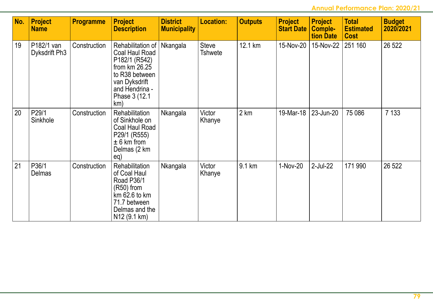| No. | <b>Project</b><br><b>Name</b> | <b>Programme</b> | <b>Project</b><br><b>Description</b>                                                                                                                 | <b>District</b><br><b>Municipality</b> | <b>Location:</b> | <b>Outputs</b> | <b>Project</b><br><b>Start Date</b> | <b>Project</b><br>Comple-<br>tion Date | <b>Total</b><br><b>Estimated</b><br><b>Cost</b> | <b>Budget</b><br>2020/2021 |
|-----|-------------------------------|------------------|------------------------------------------------------------------------------------------------------------------------------------------------------|----------------------------------------|------------------|----------------|-------------------------------------|----------------------------------------|-------------------------------------------------|----------------------------|
| 19  | P182/1 van<br>Dyksdrift Ph3   | Construction     | Rehabilitation of<br>Coal Haul Road<br>P182/1 (R542)<br>from $km$ 26.25<br>to R38 between<br>van Dyksdrift<br>and Hendrina -<br>Phase 3 (12.1<br>km) | Nkangala                               | Steve<br>Tshwete | 12.1 km        | 15-Nov-20                           | 15-Nov-22                              | 251 160                                         | 26 5 22                    |
| 20  | P29/1<br>Sinkhole             | Construction     | Rehabilitation<br>of Sinkhole on<br>Coal Haul Road<br>P29/1 (R555)<br>$\pm$ 6 km from<br>Delmas (2 km<br>eq)                                         | Nkangala                               | Victor<br>Khanye | 2 km           | 19-Mar-18                           | 23-Jun-20                              | 75 086                                          | 7 1 3 3                    |
| 21  | P36/1<br>Delmas               | Construction     | Rehabilitation<br>of Coal Haul<br>Road P36/1<br>(R50) from<br>$km$ 62.6 to $km$<br>71.7 between<br>Delmas and the<br>N12 (9.1 km)                    | Nkangala                               | Victor<br>Khanye | 9.1 km         | 1-Nov-20                            | 2-Jul-22                               | 171 990                                         | 26 5 22                    |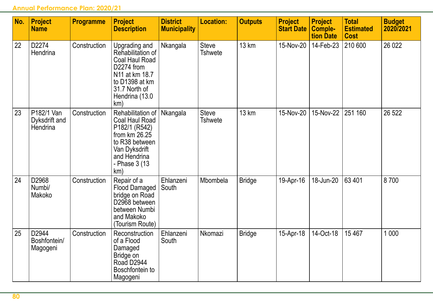| No. | <b>Project</b><br><b>Name</b>           | <b>Programme</b> | <b>Project</b><br><b>Description</b>                                                                                                               | <b>District</b><br><b>Municipality</b> | Location:                      | <b>Outputs</b> | <b>Project</b><br><b>Start Date</b> | <b>Project</b><br>Comple-<br><b>tion Date</b> | <b>Total</b><br><b>Estimated</b><br><b>Cost</b> | <b>Budget</b><br>2020/2021 |
|-----|-----------------------------------------|------------------|----------------------------------------------------------------------------------------------------------------------------------------------------|----------------------------------------|--------------------------------|----------------|-------------------------------------|-----------------------------------------------|-------------------------------------------------|----------------------------|
| 22  | D2274<br>Hendrina                       | Construction     | Upgrading and<br>Rehabilitation of<br>Coal Haul Road<br>D2274 from<br>N11 at km 18.7<br>to D1398 at km<br>31.7 North of<br>Hendrina (13.0<br>km)   | Nkangala                               | Steve<br>Tshwete               | 13 km          | 15-Nov-20                           | 14-Feb-23                                     | 210 600                                         | 26 0 22                    |
| 23  | P182/1 Van<br>Dyksdrift and<br>Hendrina | Construction     | Rehabilitation of<br>Coal Haul Road<br>P182/1 (R542)<br>from $km$ 26.25<br>to R38 between<br>Van Dyksdrift<br>and Hendrina<br>- Phase 3 (13<br>km) | Nkangala                               | <b>Steve</b><br><b>Tshwete</b> | 13 km          | 15-Nov-20                           | 15-Nov-22                                     | 251 160                                         | 26 522                     |
| 24  | D2968<br>Numbi/<br>Makoko               | Construction     | Repair of a<br>Flood Damaged<br>bridge on Road<br>D2968 between<br>between Numbi<br>and Makoko<br>(Tourism Route)                                  | Ehlanzeni<br>South                     | Mbombela                       | <b>Bridge</b>  | 19-Apr-16                           | 18-Jun-20                                     | 63 401                                          | 8700                       |
| 25  | D2944<br>Boshfontein/<br>Magogeni       | Construction     | Reconstruction<br>of a Flood<br>Damaged<br>Bridge on<br>Road D2944<br>Boschfontein to<br>Magogeni                                                  | Ehlanzeni<br>South                     | Nkomazi                        | <b>Bridge</b>  | 15-Apr-18                           | 14-Oct-18                                     | 15 4 67                                         | 1 0 0 0                    |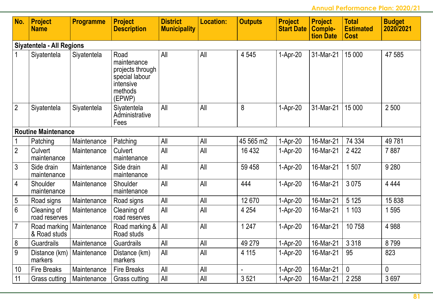| No.             | <b>Project</b><br><b>Name</b> | <b>Programme</b> | <b>Project</b><br><b>Description</b>                                                        | <b>District</b><br><b>Municipality</b> | <b>Location:</b> | <b>Outputs</b> | <b>Project</b><br><b>Start Date</b> | <b>Project</b><br>Comple-<br>tion Date | <b>Total</b><br><b>Estimated</b><br><b>Cost</b> | <b>Budget</b><br>2020/2021 |
|-----------------|-------------------------------|------------------|---------------------------------------------------------------------------------------------|----------------------------------------|------------------|----------------|-------------------------------------|----------------------------------------|-------------------------------------------------|----------------------------|
|                 | Siyatentela - All Regions     |                  |                                                                                             |                                        |                  |                |                                     |                                        |                                                 |                            |
|                 | Siyatentela                   | Siyatentela      | Road<br>maintenance<br>projects through<br>special labour<br>intensive<br>methods<br>(EPWP) | All                                    | All              | 4 5 4 5        | 1-Apr-20                            | 31-Mar-21                              | 15 000                                          | 47 585                     |
| $\overline{2}$  | Siyatentela                   | Siyatentela      | Siyatentela<br>Administrative<br>Fees                                                       | All                                    | All              | 8              | 1-Apr-20                            | 31-Mar-21                              | 15 000                                          | 2 500                      |
|                 | <b>Routine Maintenance</b>    |                  |                                                                                             |                                        |                  |                |                                     |                                        |                                                 |                            |
|                 | Patching                      | Maintenance      | Patching                                                                                    | All                                    | All              | 45 565 m2      | 1-Apr-20                            | 16-Mar-21                              | 74 334                                          | 49 781                     |
| $\overline{2}$  | Culvert<br>maintenance        | Maintenance      | Culvert<br>maintenance                                                                      | All                                    | All              | 16 432         | 1-Apr-20                            | 16-Mar-21                              | 2 4 2 2                                         | 7887                       |
| 3               | Side drain<br>maintenance     | Maintenance      | Side drain<br>maintenance                                                                   | All                                    | All              | 59 458         | 1-Apr-20                            | 16-Mar-21                              | 1507                                            | 9 2 8 0                    |
| $\overline{4}$  | Shoulder<br>maintenance       | Maintenance      | Shoulder<br>maintenance                                                                     | All                                    | All              | 444            | 1-Apr-20                            | 16-Mar-21                              | 3 0 7 5                                         | 4 4 4 4                    |
| $\sqrt{5}$      | Road signs                    | Maintenance      | Road signs                                                                                  | All                                    | All              | 12 670         | 1-Apr-20                            | 16-Mar-21                              | 5 1 2 5                                         | 15838                      |
| $6\phantom{1}6$ | Cleaning of<br>road reserves  | Maintenance      | Cleaning of<br>road reserves                                                                | All                                    | All              | 4 2 5 4        | 1-Apr-20                            | 16-Mar-21                              | 1 1 0 3                                         | 1595                       |
| $\overline{7}$  | Road marking<br>& Road studs  | Maintenance      | Road marking &<br>Road studs                                                                | All                                    | All              | 1 2 4 7        | 1-Apr-20                            | 16-Mar-21                              | 10758                                           | 4 9 8 8                    |
| 8               | Guardrails                    | Maintenance      | Guardrails                                                                                  | All                                    | All              | 49 279         | 1-Apr-20                            | 16-Mar-21                              | 3 3 1 8                                         | 8799                       |
| 9               | Distance (km)<br>markers      | Maintenance      | Distance (km)<br>markers                                                                    | All                                    | All              | 4 1 1 5        | 1-Apr-20                            | 16-Mar-21                              | 95                                              | 823                        |
| 10              | <b>Fire Breaks</b>            | Maintenance      | <b>Fire Breaks</b>                                                                          | All                                    | All              |                | 1-Apr-20                            | 16-Mar-21                              | 0                                               | 0                          |
| 11              | Grass cutting                 | Maintenance      | Grass cutting                                                                               | All                                    | All              | 3521           | 1-Apr-20                            | 16-Mar-21                              | 2 2 5 8                                         | 3697                       |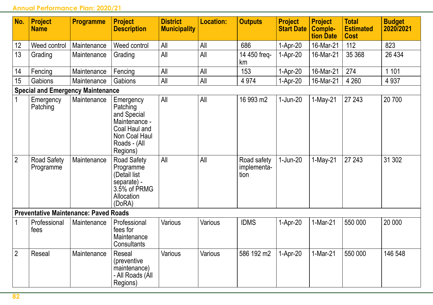| No.            | <b>Project</b><br><b>Name</b>                | <b>Programme</b> | <b>Project</b><br><b>Description</b>                                                                                | <b>District</b><br><b>Municipality</b> | <b>Location:</b> | <b>Outputs</b>                     | <b>Project</b><br><b>Start Date</b> | <b>Project</b><br><b>Comple-</b><br><b>tion Date</b> | <b>Total</b><br><b>Estimated</b><br><b>Cost</b> | <b>Budget</b><br>2020/2021 |
|----------------|----------------------------------------------|------------------|---------------------------------------------------------------------------------------------------------------------|----------------------------------------|------------------|------------------------------------|-------------------------------------|------------------------------------------------------|-------------------------------------------------|----------------------------|
| 12             | Weed control                                 | Maintenance      | Weed control                                                                                                        | All                                    | All              | 686                                | 1-Apr-20                            | 16-Mar-21                                            | 112                                             | 823                        |
| 13             | Grading                                      | Maintenance      | Grading                                                                                                             | All                                    | All              | 14 450 freq-<br>km                 | 1-Apr-20                            | 16-Mar-21                                            | 35 368                                          | 26 434                     |
| 14             | Fencing                                      | Maintenance      | Fencing                                                                                                             | All                                    | All              | 153                                | 1-Apr-20                            | 16-Mar-21                                            | 274                                             | 1 1 0 1                    |
| 15             | Gabions                                      | Maintenance      | Gabions                                                                                                             | All                                    | All              | 4 9 7 4                            | 1-Apr-20                            | 16-Mar-21                                            | 4 2 6 0                                         | 4 9 3 7                    |
|                | <b>Special and Emergency Maintenance</b>     |                  |                                                                                                                     |                                        |                  |                                    |                                     |                                                      |                                                 |                            |
|                | Emergency<br>Patching                        | Maintenance      | Emergency<br>Patching<br>and Special<br>Maintenance -<br>Coal Haul and<br>Non Coal Haul<br>Roads - (All<br>Regions) | All                                    | All              | 16 993 m2                          | 1-Jun-20                            | $1-May-21$                                           | 27 243                                          | 20 700                     |
| $\overline{2}$ | Road Safety<br>Programme                     | Maintenance      | Road Safety<br>Programme<br>(Detail list<br>separate) -<br>3.5% of PRMG<br>Allocation<br>(DoRA)                     | All                                    | All              | Road safety<br>implementa-<br>tion | 1-Jun-20                            | 1-May-21                                             | 27 243                                          | 31 302                     |
|                | <b>Preventative Maintenance: Paved Roads</b> |                  |                                                                                                                     |                                        |                  |                                    |                                     |                                                      |                                                 |                            |
|                | Professional<br>fees                         | Maintenance      | Professional<br>fees for<br>Maintenance<br>Consultants                                                              | Various                                | Various          | <b>IDMS</b>                        | 1-Apr-20                            | 1-Mar-21                                             | 550 000                                         | 20 000                     |
| $\overline{2}$ | Reseal                                       | Maintenance      | Reseal<br>(preventive<br>maintenance)<br>- All Roads (Áll<br>Regions)                                               | Various                                | Various          | 586 192 m2                         | 1-Apr-20                            | 1-Mar-21                                             | 550 000                                         | 146 548                    |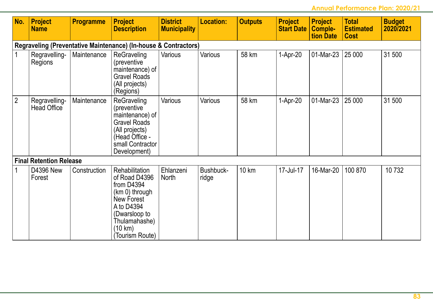| No.            | <b>Project</b><br><b>Name</b>  | <b>Programme</b> | <b>Project</b><br><b>Description</b>                                                                                                                        | <b>District</b><br><b>Municipality</b> | <b>Location:</b>   | <b>Outputs</b> | <b>Project</b><br><b>Start Date</b> | <b>Project</b><br>Comple-<br>tion Date | <b>Total</b><br><b>Estimated</b><br><b>Cost</b> | <b>Budget</b><br>2020/2021 |
|----------------|--------------------------------|------------------|-------------------------------------------------------------------------------------------------------------------------------------------------------------|----------------------------------------|--------------------|----------------|-------------------------------------|----------------------------------------|-------------------------------------------------|----------------------------|
|                |                                |                  | Regraveling (Preventative Maintenance) (In-house & Contractors)                                                                                             |                                        |                    |                |                                     |                                        |                                                 |                            |
|                | Regravelling-<br>Regions       | Maintenance      | ReGraveling<br>(preventive<br>maintenance) of<br>Gravel Roads<br>(All projects)<br>(Regions)                                                                | Various                                | Various            | 58 km          | 1-Apr-20                            | 01-Mar-23                              | 25 000                                          | 31 500                     |
| $\overline{2}$ | Regravelling-<br>Head Office   | Maintenance      | ReGraveling<br>(preventive<br>maintenance) of<br><b>Gravel Roads</b><br>(All projects)<br>Head Office -<br>small Contractor<br>Development)                 | Various                                | Various            | 58 km          | 1-Apr-20                            | 01-Mar-23                              | 25 000                                          | 31 500                     |
|                | <b>Final Retention Release</b> |                  |                                                                                                                                                             |                                        |                    |                |                                     |                                        |                                                 |                            |
|                | <b>D4396 New</b><br>Forest     | Construction     | Rehabilitation<br>of Road D4396<br>from D4394<br>(km 0) through<br>New Forest<br>A to D4394<br>(Dwarsloop to<br>Thulamahashe)<br>(10 km)<br>(Tourism Route) | Ehlanzeni<br>North                     | Bushbuck-<br>ridge | 10 km          | 17-Jul-17                           | 16-Mar-20                              | 100 870                                         | 10732                      |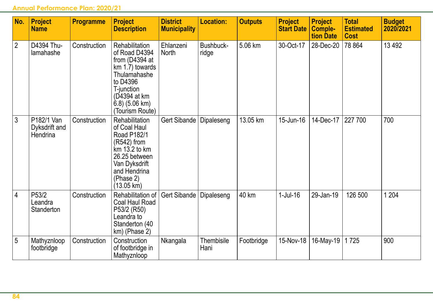| No.            | <b>Project</b><br><b>Name</b>           | <b>Programme</b> | <b>Project</b><br><b>Description</b>                                                                                                                                      | <b>District</b><br><b>Municipality</b> | <b>Location:</b>   | <b>Outputs</b> | <b>Project</b><br><b>Start Date</b> | <b>Project</b><br>Comple-<br>tion Date | <b>Total</b><br><b>Estimated</b><br><b>Cost</b> | <b>Budget</b><br>2020/2021 |
|----------------|-----------------------------------------|------------------|---------------------------------------------------------------------------------------------------------------------------------------------------------------------------|----------------------------------------|--------------------|----------------|-------------------------------------|----------------------------------------|-------------------------------------------------|----------------------------|
| $\overline{2}$ | D4394 Thu-<br>lamahashe                 | Construction     | Rehabilitation<br>of Road D4394<br>from (D4394 at<br>$km 1.7$ ) towards<br>Thulamahashe<br>to D4396<br>T-junction<br>(D4394 at km<br>$6.8$ ) (5.06 km)<br>(Tourism Route) | Ehlanzeni<br>North                     | Bushbuck-<br>ridge | 5.06 km        | 30-Oct-17                           | 28-Dec-20                              | 78 864                                          | 13 4 9 2                   |
| 3              | P182/1 Van<br>Dyksdrift and<br>Hendrina | Construction     | Rehabilitation<br>of Coal Haul<br>Road P182/1<br>(R542) from<br>$km$ 13.2 to $km$<br>26.25 between<br>Van Dyksdrift<br>and Hendrina<br>(Phase 2)<br>(13.05 km)            | Gert Sibande                           | Dipaleseng         | 13.05 km       | 15-Jun-16                           | 14-Dec-17                              | 227 700                                         | 700                        |
| 4              | P53/2<br>Leandra<br>Standerton          | Construction     | Rehabilitation of<br>Coal Haul Road<br>P53/2 (R50)<br>Leandra to<br>Standerton (40<br>km) (Phase 2)                                                                       | Gert Sibande                           | Dipaleseng         | 40 km          | $1$ -Jul-16                         | 29-Jan-19                              | 126 500                                         | 1 204                      |
| 5              | Mathyznloop<br>footbridge               | Construction     | Construction<br>of footbridge in<br>Mathyznloop                                                                                                                           | Nkangala                               | Thembisile<br>Hani | Footbridge     | 15-Nov-18                           | 16-May-19                              | 1725                                            | 900                        |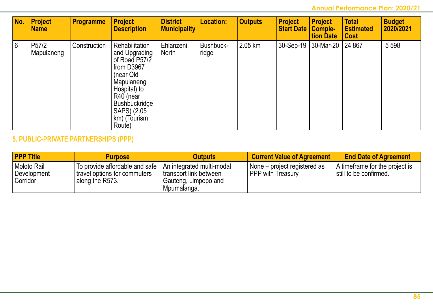| No. | <b>Project</b><br><b>Name</b> | <b>Programme</b> | <b>Project</b><br><b>Description</b>                                                                                                                                                    | <b>District</b><br><b>Municipality</b> | Location:          | <b>Outputs</b> | <b>Project</b><br><b>Start Date</b> | <b>Project</b><br>Comple-<br>tion Date | <b>Total</b><br><b>Estimated</b><br><b>Cost</b> | <b>Budget</b><br>2020/2021 |
|-----|-------------------------------|------------------|-----------------------------------------------------------------------------------------------------------------------------------------------------------------------------------------|----------------------------------------|--------------------|----------------|-------------------------------------|----------------------------------------|-------------------------------------------------|----------------------------|
| 16  | P57/2<br>Mapulaneng           | Construction     | Rehabilitation<br>and Upgrading<br>of Road P57/2<br>from D3967<br>(near Old<br>Mapulaneng<br>Hospital) to<br>R40 (near<br><b>Bushbuckridge</b><br>SAPS) (2.05<br>km) (Tourism<br>Route) | Ehlanzeni<br>North                     | Bushbuck-<br>ridge | 2.05 km        | 30-Sep-19                           | 30-Mar-20                              | 24 867                                          | 5 5 9 8                    |

### **5. PUBLIC-PRIVATE PARTNERSHIPS (PPP)**

| <b>PPP Title</b>                       | <b>Purpose</b>                                                                                                  | <b>Outputs</b>                                                    | <b>Current Value of Agreement</b>                 | <b>End Date of Agreement</b>                               |
|----------------------------------------|-----------------------------------------------------------------------------------------------------------------|-------------------------------------------------------------------|---------------------------------------------------|------------------------------------------------------------|
| Moloto Rail<br>Development<br>Corridor | To provide affordable and safe   An integrated multi-modal<br>I travel options for commuters<br>along the R573. | I transport link between<br>Gauteng, Limpopo and<br>' Mpumalanga. | None – project registered as<br>PPP with Treasurv | A timeframe for the project is<br>l still to be confirmed. |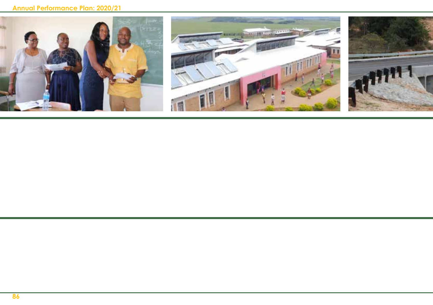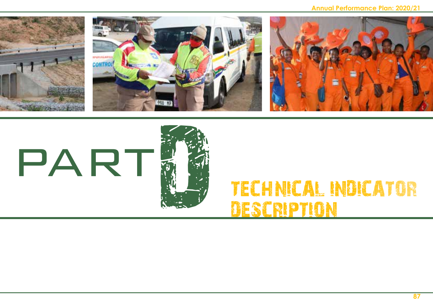

# PART



## TECHNICAL INDICATOR **DESCRIPTION**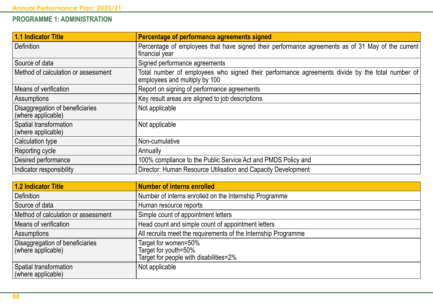#### **PROGRAMME 1: ADMINISTRATION**

| 1.1 Indicator Title                                   | Percentage of performance agreements signed                                                                                      |
|-------------------------------------------------------|----------------------------------------------------------------------------------------------------------------------------------|
| Definition                                            | Percentage of employees that have signed their performance agreements as of 31 May of the current<br>financial year              |
| Source of data                                        | Signed performance agreements                                                                                                    |
| Method of calculation or assessment                   | Total number of employees who signed their performance agreements divide by the total number of<br>employees and multiply by 100 |
| Means of verification                                 | Report on signing of performance agreements                                                                                      |
| Assumptions                                           | Key result areas are aligned to job descriptions                                                                                 |
| Disaggregation of beneficiaries<br>(where applicable) | Not applicable                                                                                                                   |
| Spatial transformation<br>(where applicable)          | Not applicable                                                                                                                   |
| Calculation type                                      | Non-cumulative                                                                                                                   |
| Reporting cycle                                       | Annually                                                                                                                         |
| Desired performance                                   | 100% compliance to the Public Service Act and PMDS Policy and                                                                    |
| Indicator responsibility                              | Director: Human Resource Utilisation and Capacity Development                                                                    |

| 1.2 Indicator Title                                   | <b>Number of interns enrolled</b>                                                      |
|-------------------------------------------------------|----------------------------------------------------------------------------------------|
| Definition                                            | Number of interns enrolled on the Internship Programme                                 |
| Source of data                                        | Human resource reports                                                                 |
| Method of calculation or assessment                   | Simple count of appointment letters                                                    |
| Means of verification                                 | Head count and simple count of appointment letters                                     |
| Assumptions                                           | All recruits meet the requirements of the Internship Programme                         |
| Disaggregation of beneficiaries<br>(where applicable) | Target for women=50%<br>Target for youth=50%<br>Target for people with disabilities=2% |
| Spatial transformation<br>(where applicable)          | Not applicable                                                                         |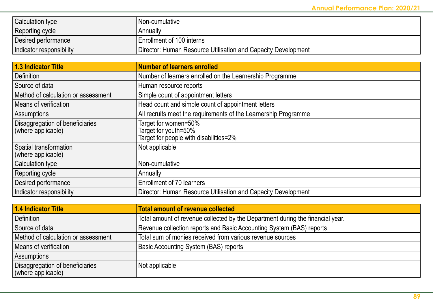| Calculation type         | l Non-cumulative                                              |
|--------------------------|---------------------------------------------------------------|
| Reporting cycle          | Annuallv                                                      |
| Desired performance      | Enrollment of 100 interns                                     |
| Indicator responsibility | Director: Human Resource Utilisation and Capacity Development |

| <b>1.3 Indicator Title</b>                            | <b>Number of learners enrolled</b>                                                                             |
|-------------------------------------------------------|----------------------------------------------------------------------------------------------------------------|
| <b>Definition</b>                                     | Number of learners enrolled on the Learnership Programme                                                       |
| Source of data                                        | Human resource reports                                                                                         |
| Method of calculation or assessment                   | Simple count of appointment letters                                                                            |
| Means of verification                                 | Head count and simple count of appointment letters                                                             |
| Assumptions                                           | All recruits meet the requirements of the Learnership Programme                                                |
| Disaggregation of beneficiaries<br>(where applicable) | Target for women=50%<br>Target for youth=50%<br>Target for youth=50%<br>Target for people with disabilities=2% |
| Spatial transformation<br>(where applicable)          | Not applicable                                                                                                 |
| Calculation type                                      | Non-cumulative                                                                                                 |
| Reporting cycle                                       | Annually                                                                                                       |
| Desired performance                                   | Enrollment of 70 learners                                                                                      |
| Indicator responsibility                              | Director: Human Resource Utilisation and Capacity Development                                                  |

| 1.4 Indicator Title                                   | <b>Total amount of revenue collected</b>                                       |
|-------------------------------------------------------|--------------------------------------------------------------------------------|
| Definition                                            | Total amount of revenue collected by the Department during the financial year. |
| Source of data                                        | Revenue collection reports and Basic Accounting System (BAS) reports           |
| Method of calculation or assessment                   | Total sum of monies received from various revenue sources                      |
| Means of verification                                 | Basic Accounting System (BAS) reports                                          |
| Assumptions                                           |                                                                                |
| Disaggregation of beneficiaries<br>(where applicable) | Not applicable                                                                 |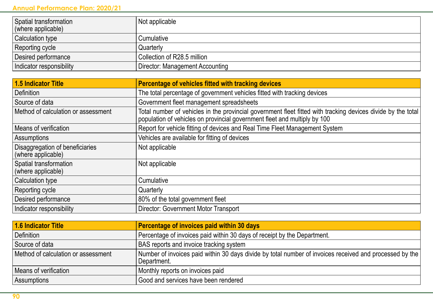| Spatial transformation<br>(where applicable) | Not applicable                  |
|----------------------------------------------|---------------------------------|
| Calculation type                             | Cumulative                      |
| Reporting cycle                              | Quarterly                       |
| Desired performance                          | Collection of R28.5 million     |
| Indicator responsibility                     | Director: Management Accounting |

| 1.5 Indicator Title                                   | Percentage of vehicles fitted with tracking devices                                                                                                                                       |
|-------------------------------------------------------|-------------------------------------------------------------------------------------------------------------------------------------------------------------------------------------------|
| Definition                                            | The total percentage of government vehicles fitted with tracking devices                                                                                                                  |
| Source of data                                        | Government fleet management spreadsheets                                                                                                                                                  |
| Method of calculation or assessment                   | Total number of vehicles in the provincial government fleet fitted with tracking devices divide by the total<br>population of vehicles on provincial government fleet and multiply by 100 |
| Means of verification                                 | Report for vehicle fitting of devices and Real Time Fleet Management System                                                                                                               |
| Assumptions                                           | Vehicles are available for fitting of devices                                                                                                                                             |
| Disaggregation of beneficiaries<br>(where applicable) | Not applicable                                                                                                                                                                            |
| Spatial transformation<br>(where applicable)          | Not applicable                                                                                                                                                                            |
| Calculation type                                      | Cumulative                                                                                                                                                                                |
| Reporting cycle                                       | Quarterly                                                                                                                                                                                 |
| Desired performance                                   | 80% of the total government fleet                                                                                                                                                         |
| Indicator responsibility                              | Director: Government Motor Transport                                                                                                                                                      |

| 1.6 Indicator Title                 | Percentage of invoices paid within 30 days                                                                             |
|-------------------------------------|------------------------------------------------------------------------------------------------------------------------|
| Definition                          | Percentage of invoices paid within 30 days of receipt by the Department.                                               |
| Source of data                      | BAS reports and invoice tracking system                                                                                |
| Method of calculation or assessment | Number of invoices paid within 30 days divide by total number of invoices received and processed by the<br>Department. |
| Means of verification               | Monthly reports on invoices paid                                                                                       |
| Assumptions                         | Good and services have been rendered                                                                                   |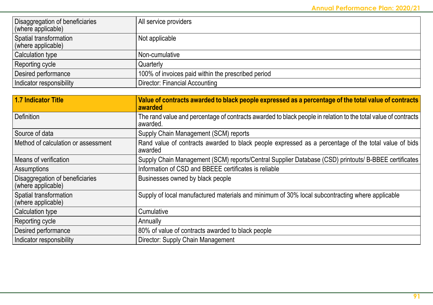| Disaggregation of beneficiaries<br>(where applicable) | All service providers                              |
|-------------------------------------------------------|----------------------------------------------------|
| Spatial transformation<br>(where applicable)          | Not applicable                                     |
| Calculation type                                      | l Non-cumulative                                   |
| Reporting cycle                                       | Quarterly                                          |
| Desired performance                                   | 100% of invoices paid within the prescribed period |
| Indicator responsibility                              | Director: Financial Accounting                     |

| 1.7 Indicator Title                                   | Value of contracts awarded to black people expressed as a percentage of the total value of contracts<br>awarded            |
|-------------------------------------------------------|----------------------------------------------------------------------------------------------------------------------------|
| Definition                                            | The rand value and percentage of contracts awarded to black people in relation to the total value of contracts<br>awarded. |
| Source of data                                        | Supply Chain Management (SCM) reports                                                                                      |
| Method of calculation or assessment                   | Rand value of contracts awarded to black people expressed as a percentage of the total value of bids<br>awarded            |
| Means of verification                                 | Supply Chain Management (SCM) reports/Central Supplier Database (CSD) printouts/ B-BBEE certificates                       |
| Assumptions                                           | Information of CSD and BBEEE certificates is reliable                                                                      |
| Disaggregation of beneficiaries<br>(where applicable) | Businesses owned by black people                                                                                           |
| Spatial transformation<br>(where applicable)          | Supply of local manufactured materials and minimum of 30% local subcontracting where applicable                            |
| Calculation type                                      | Cumulative                                                                                                                 |
| Reporting cycle                                       | Annually                                                                                                                   |
| Desired performance                                   | 80% of value of contracts awarded to black people                                                                          |
| Indicator responsibility                              | Director: Supply Chain Management                                                                                          |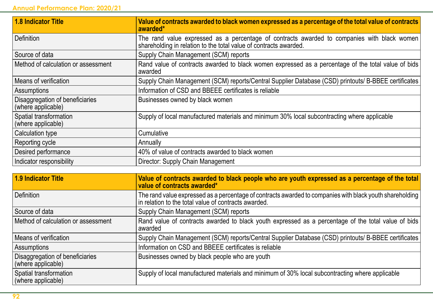| 1.8 Indicator Title                                   | Value of contracts awarded to black women expressed as a percentage of the total value of contracts<br>awarded*                                                  |
|-------------------------------------------------------|------------------------------------------------------------------------------------------------------------------------------------------------------------------|
| Definition                                            | The rand value expressed as a percentage of contracts awarded to companies with black women<br>shareholding in relation to the total value of contracts awarded. |
| Source of data                                        | Supply Chain Management (SCM) reports                                                                                                                            |
| Method of calculation or assessment                   | Rand value of contracts awarded to black women expressed as a percentage of the total value of bids<br>awarded                                                   |
| l Means of verification                               | Supply Chain Management (SCM) reports/Central Supplier Database (CSD) printouts/ B-BBEE certificates                                                             |
| Assumptions                                           | Information of CSD and BBEEE certificates is reliable                                                                                                            |
| Disaggregation of beneficiaries<br>(where applicable) | Businesses owned by black women                                                                                                                                  |
| Spatial transformation<br>(where applicable)          | Supply of local manufactured materials and minimum 30% local subcontracting where applicable                                                                     |
| Calculation type                                      | Cumulative                                                                                                                                                       |
| Reporting cycle                                       | Annually                                                                                                                                                         |
| Desired performance                                   | 40% of value of contracts awarded to black women                                                                                                                 |
| Indicator responsibility                              | Director: Supply Chain Management                                                                                                                                |

| 1.9 Indicator Title                                   | Value of contracts awarded to black people who are youth expressed as a percentage of the total<br>value of contracts awarded*                                   |
|-------------------------------------------------------|------------------------------------------------------------------------------------------------------------------------------------------------------------------|
| Definition                                            | The rand value expressed as a percentage of contracts awarded to companies with black youth shareholding<br>in relation to the total value of contracts awarded. |
| Source of data                                        | Supply Chain Management (SCM) reports                                                                                                                            |
| Method of calculation or assessment                   | Rand value of contracts awarded to black youth expressed as a percentage of the total value of bids<br>awarded                                                   |
| Means of verification                                 | Supply Chain Management (SCM) reports/Central Supplier Database (CSD) printouts/ B-BBEE certificates                                                             |
| Assumptions                                           | Information on CSD and BBEEE certificates is reliable                                                                                                            |
| Disaggregation of beneficiaries<br>(where applicable) | Businesses owned by black people who are youth                                                                                                                   |
| Spatial transformation<br>(where applicable)          | Supply of local manufactured materials and minimum of 30% local subcontracting where applicable                                                                  |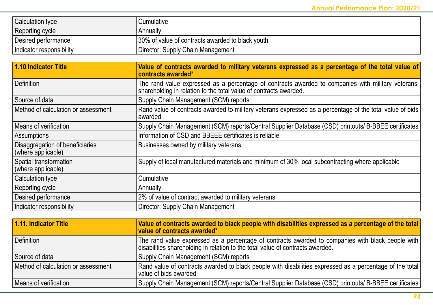| Calculation type         | Cumulative                                       |
|--------------------------|--------------------------------------------------|
| Reporting cycle          | Annually                                         |
| Desired performance      | 30% of value of contracts awarded to black youth |
| Indicator responsibility | Director: Supply Chain Management                |

| 1.10 Indicator Title                                  | Value of contracts awarded to military veterans expressed as a percentage of the total value of<br>contracts awarded*                                                |
|-------------------------------------------------------|----------------------------------------------------------------------------------------------------------------------------------------------------------------------|
| Definition                                            | The rand value expressed as a percentage of contracts awarded to companies with military veterans' shareholding in relation to the total value of contracts awarded. |
| Source of data                                        | Supply Chain Management (SCM) reports                                                                                                                                |
| Method of calculation or assessment                   | Rand value of contracts awarded to military veterans expressed as a percentage of the total value of bids<br>awarded                                                 |
| Means of verification                                 | Supply Chain Management (SCM) reports/Central Supplier Database (CSD) printouts/ B-BBEE certificates                                                                 |
| Assumptions                                           | Information of CSD and BBEEE certificates is reliable                                                                                                                |
| Disaggregation of beneficiaries<br>(where applicable) | Businesses owned by military veterans                                                                                                                                |
| Spatial transformation<br>(where applicable)          | Supply of local manufactured materials and minimum of 30% local subcontracting where applicable                                                                      |
| Calculation type                                      | Cumulative                                                                                                                                                           |
| Reporting cycle                                       | Annually                                                                                                                                                             |
| Desired performance                                   | 2% of value of contract awarded to military veterans                                                                                                                 |
| Indicator responsibility                              | Director: Supply Chain Management                                                                                                                                    |

| 1.11. Indicator Title               | Value of contracts awarded to black people with disabilities expressed as a percentage of the total<br>value of contracts awarded*                                                  |
|-------------------------------------|-------------------------------------------------------------------------------------------------------------------------------------------------------------------------------------|
| Definition                          | The rand value expressed as a percentage of contracts awarded to companies with black people with<br>disabilities shareholding in relation to the total value of contracts awarded. |
| Source of data                      | Supply Chain Management (SCM) reports                                                                                                                                               |
| Method of calculation or assessment | Rand value of contracts awarded to black people with disabilities expressed as a percentage of the total<br>value of bids awarded                                                   |
| Means of verification               | Supply Chain Management (SCM) reports/Central Supplier Database (CSD) printouts/ B-BBEE certificates                                                                                |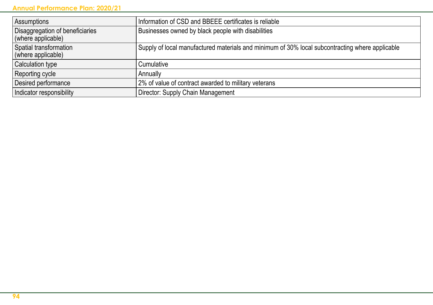| Assumptions                                           | Information of CSD and BBEEE certificates is reliable                                           |
|-------------------------------------------------------|-------------------------------------------------------------------------------------------------|
| Disaggregation of beneficiaries<br>(where applicable) | Businesses owned by black people with disabilities                                              |
| Spatial transformation<br>(where applicable)          | Supply of local manufactured materials and minimum of 30% local subcontracting where applicable |
| Calculation type                                      | Cumulative                                                                                      |
| Reporting cycle                                       | Annually                                                                                        |
| Desired performance                                   | 2% of value of contract awarded to military veterans                                            |
| Indicator responsibility                              | Director: Supply Chain Management                                                               |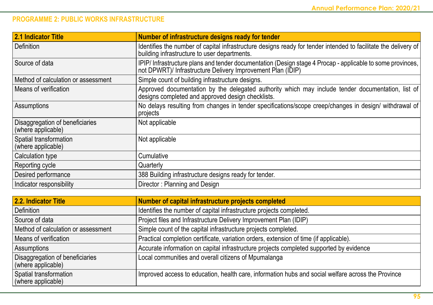#### **PROGRAMME 2: PUBLIC WORKS INFRASTRUCTURE**

| 2.1 Indicator Title                                   | Number of infrastructure designs ready for tender                                                                                                                        |
|-------------------------------------------------------|--------------------------------------------------------------------------------------------------------------------------------------------------------------------------|
| Definition                                            | Identifies the number of capital infrastructure designs ready for tender intended to facilitate the delivery of<br>building infrastructure to user departments.          |
| Source of data                                        | IPIP/Infrastructure plans and tender documentation (Design stage 4 Procap - applicable to some provinces,<br>not DPWRT)/ Infrastructure Delivery Improvement Plan (IDIP) |
| Method of calculation or assessment                   | Simple count of building infrastructure designs.                                                                                                                         |
| Means of verification                                 | Approved documentation by the delegated authority which may include tender documentation, list of<br>designs completed and approved design checklists.                   |
| Assumptions                                           | No delays resulting from changes in tender specifications/scope creep/changes in design/ withdrawal of<br>projects                                                       |
| Disaggregation of beneficiaries<br>(where applicable) | Not applicable                                                                                                                                                           |
| Spatial transformation<br>(where applicable)          | Not applicable                                                                                                                                                           |
| Calculation type                                      | Cumulative                                                                                                                                                               |
| Reporting cycle                                       | Quarterly                                                                                                                                                                |
| Desired performance                                   | 388 Building infrastructure designs ready for tender.                                                                                                                    |
| Indicator responsibility                              | Director: Planning and Design                                                                                                                                            |

| 2.2. Indicator Title                                  | Number of capital infrastructure projects completed                                                |
|-------------------------------------------------------|----------------------------------------------------------------------------------------------------|
| Definition                                            | Identifies the number of capital infrastructure projects completed.                                |
| Source of data                                        | Project files and Infrastructure Delivery Improvement Plan (IDIP)                                  |
| Method of calculation or assessment                   | Simple count of the capital infrastructure projects completed.                                     |
| Means of verification                                 | Practical completion certificate, variation orders, extension of time (if applicable).             |
| Assumptions                                           | Accurate information on capital infrastructure projects completed supported by evidence            |
| Disaggregation of beneficiaries<br>(where applicable) | Local communities and overall citizens of Mpumalanga                                               |
| Spatial transformation<br>(where applicable)          | Improved access to education, health care, information hubs and social welfare across the Province |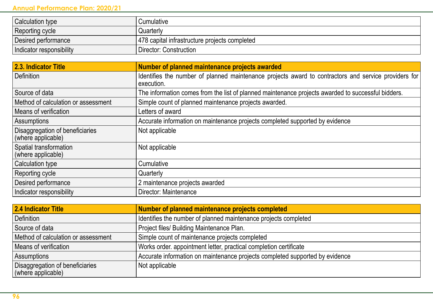| Calculation type         | Cumulative                                    |
|--------------------------|-----------------------------------------------|
| Reporting cycle          | Quarterlv                                     |
| Desired performance      | 478 capital infrastructure projects completed |
| Indicator responsibility | Director: Construction                        |

| 2.3. Indicator Title                                  | Number of planned maintenance projects awarded                                                                     |
|-------------------------------------------------------|--------------------------------------------------------------------------------------------------------------------|
| <b>Definition</b>                                     | Identifies the number of planned maintenance projects award to contractors and service providers for<br>execution. |
| Source of data                                        | The information comes from the list of planned maintenance projects awarded to successful bidders.                 |
| Method of calculation or assessment                   | Simple count of planned maintenance projects awarded.                                                              |
| Means of verification                                 | Letters of award                                                                                                   |
| Assumptions                                           | Accurate information on maintenance projects completed supported by evidence                                       |
| Disaggregation of beneficiaries<br>(where applicable) | Not applicable                                                                                                     |
| Spatial transformation<br>(where applicable)          | Not applicable                                                                                                     |
| Calculation type                                      | Cumulative                                                                                                         |
| Reporting cycle                                       | Quarterly                                                                                                          |
| Desired performance                                   | 2 maintenance projects awarded                                                                                     |
| Indicator responsibility                              | Director: Maintenance                                                                                              |

| 2.4 Indicator Title                                   | Number of planned maintenance projects completed                             |
|-------------------------------------------------------|------------------------------------------------------------------------------|
| Definition                                            | Identifies the number of planned maintenance projects completed              |
| Source of data                                        | Project files/ Building Maintenance Plan.                                    |
| Method of calculation or assessment                   | Simple count of maintenance projects completed                               |
| Means of verification                                 | Works order. appointment letter, practical completion certificate            |
| Assumptions                                           | Accurate information on maintenance projects completed supported by evidence |
| Disaggregation of beneficiaries<br>(where applicable) | Not applicable                                                               |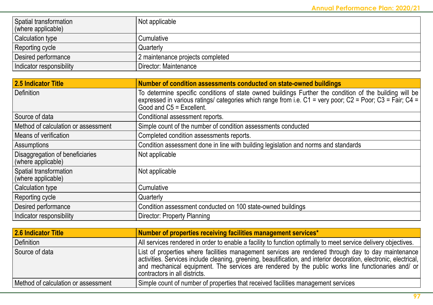| Spatial transformation<br>(where applicable) | Not applicable                   |
|----------------------------------------------|----------------------------------|
| Calculation type                             | Cumulative                       |
| Reporting cycle                              | Quarterly                        |
| Desired performance                          | 2 maintenance projects completed |
| Indicator responsibility                     | Director: Maintenance            |

| 2.5 Indicator Title                                   | Number of condition assessments conducted on state-owned buildings                                                                                                                                                                               |
|-------------------------------------------------------|--------------------------------------------------------------------------------------------------------------------------------------------------------------------------------------------------------------------------------------------------|
| Definition                                            | To determine specific conditions of state owned buildings Further the condition of the building will be<br>expressed in various ratings/ categories which range from i.e. C1 = very poor; C2 = Poor; C3 = Fair; C4 =<br>Good and C5 = Excellent. |
| Source of data                                        | Conditional assessment reports.                                                                                                                                                                                                                  |
| Method of calculation or assessment                   | Simple count of the number of condition assessments conducted                                                                                                                                                                                    |
| Means of verification                                 | Completed condition assessments reports.                                                                                                                                                                                                         |
| Assumptions                                           | Condition assessment done in line with building legislation and norms and standards                                                                                                                                                              |
| Disaggregation of beneficiaries<br>(where applicable) | Not applicable                                                                                                                                                                                                                                   |
| Spatial transformation<br>(where applicable)          | Not applicable                                                                                                                                                                                                                                   |
| Calculation type                                      | Cumulative                                                                                                                                                                                                                                       |
| Reporting cycle                                       | Quarterly                                                                                                                                                                                                                                        |
| Desired performance                                   | Condition assessment conducted on 100 state-owned buildings                                                                                                                                                                                      |
| Indicator responsibility                              | Director: Property Planning                                                                                                                                                                                                                      |

| 2.6 Indicator Title                 | Number of properties receiving facilities management services*                                                                                                                                                                                                                                                                                                    |
|-------------------------------------|-------------------------------------------------------------------------------------------------------------------------------------------------------------------------------------------------------------------------------------------------------------------------------------------------------------------------------------------------------------------|
| Definition                          | All services rendered in order to enable a facility to function optimally to meet service delivery objectives.                                                                                                                                                                                                                                                    |
| Source of data                      | List of properties where facilities management services are rendered through day to day maintenance<br>activities. Services include cleaning, greening, beautification, and interior decoration, electronic, electrical,<br>and mechanical equipment. The services are rendered by the public works line functionaries and/ or<br>l contractors in all districts. |
| Method of calculation or assessment | Simple count of number of properties that received facilities management services                                                                                                                                                                                                                                                                                 |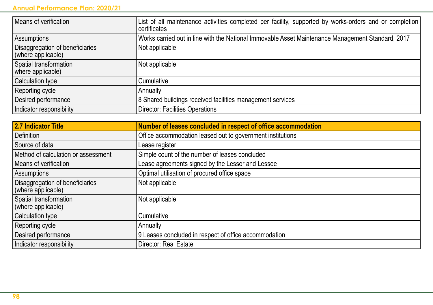| Means of verification                                 | List of all maintenance activities completed per facility, supported by works-orders and or completion<br>certificates |
|-------------------------------------------------------|------------------------------------------------------------------------------------------------------------------------|
| Assumptions                                           | Works carried out in line with the National Immovable Asset Maintenance Management Standard, 2017                      |
| Disaggregation of beneficiaries<br>(where applicable) | Not applicable                                                                                                         |
| Spatial transformation<br>where applicable)           | Not applicable                                                                                                         |
| Calculation type                                      | Cumulative                                                                                                             |
| Reporting cycle                                       | Annually                                                                                                               |
| Desired performance                                   | 8 Shared buildings received facilities management services                                                             |
| Indicator responsibility                              | <b>Director: Facilities Operations</b>                                                                                 |

| 2.7 Indicator Title                                   | Number of leases concluded in respect of office accommodation |
|-------------------------------------------------------|---------------------------------------------------------------|
| Definition                                            | Office accommodation leased out to government institutions    |
| Source of data                                        | Lease register                                                |
| Method of calculation or assessment                   | Simple count of the number of leases concluded                |
| Means of verification                                 | Lease agreements signed by the Lessor and Lessee              |
| Assumptions                                           | Optimal utilisation of procured office space                  |
| Disaggregation of beneficiaries<br>(where applicable) | Not applicable                                                |
| Spatial transformation<br>(where applicable)          | Not applicable                                                |
| Calculation type                                      | Cumulative                                                    |
| Reporting cycle                                       | Annually                                                      |
| Desired performance                                   | 9 Leases concluded in respect of office accommodation         |
| Indicator responsibility                              | Director: Real Estate                                         |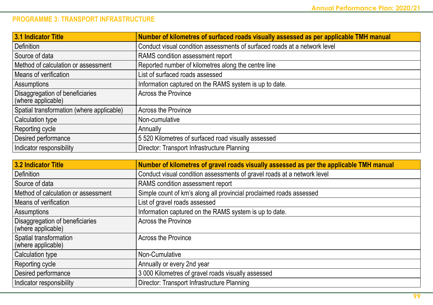#### **PROGRAMME 3: TRANSPORT INFRASTRUCTURE**

| 3.1 Indicator Title                                   | Number of kilometres of surfaced roads visually assessed as per applicable TMH manual |
|-------------------------------------------------------|---------------------------------------------------------------------------------------|
| Definition                                            | Conduct visual condition assessments of surfaced roads at a network level             |
| Source of data                                        | RAMS condition assessment report                                                      |
| Method of calculation or assessment                   | Reported number of kilometres along the centre line                                   |
| Means of verification                                 | List of surfaced roads assessed                                                       |
| Assumptions                                           | Information captured on the RAMS system is up to date.                                |
| Disaggregation of beneficiaries<br>(where applicable) | Across the Province                                                                   |
| Spatial transformation (where applicable)             | Across the Province                                                                   |
| Calculation type                                      | Non-cumulative                                                                        |
| Reporting cycle                                       | Annually                                                                              |
| Desired performance                                   | 5 520 Kilometres of surfaced road visually assessed                                   |
| Indicator responsibility                              | Director: Transport Infrastructure Planning                                           |

| 3.2 Indicator Title                                   | Number of kilometres of gravel roads visually assessed as per the applicable TMH manual |
|-------------------------------------------------------|-----------------------------------------------------------------------------------------|
| Definition                                            | Conduct visual condition assessments of gravel roads at a network level                 |
| Source of data                                        | RAMS condition assessment report                                                        |
| Method of calculation or assessment                   | Simple count of km's along all provincial proclaimed roads assessed                     |
| Means of verification                                 | List of gravel roads assessed                                                           |
| Assumptions                                           | Information captured on the RAMS system is up to date.                                  |
| Disaggregation of beneficiaries<br>(where applicable) | Across the Province                                                                     |
| Spatial transformation<br>(where applicable)          | Across the Province                                                                     |
| Calculation type                                      | Non-Cumulative                                                                          |
| Reporting cycle                                       | Annually or every 2nd year                                                              |
| Desired performance                                   | 3 000 Kilometres of gravel roads visually assessed                                      |
| Indicator responsibility                              | Director: Transport Infrastructure Planning                                             |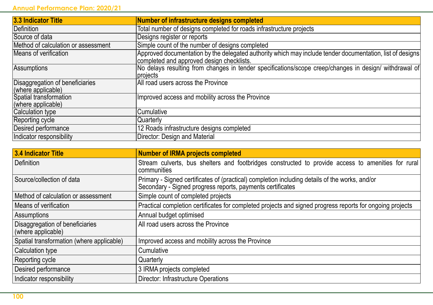| 3.3 Indicator Title                                   | Number of infrastructure designs completed                                                                                                             |
|-------------------------------------------------------|--------------------------------------------------------------------------------------------------------------------------------------------------------|
| Definition                                            | Total number of designs completed for roads infrastructure projects                                                                                    |
| Source of data                                        | Designs register or reports                                                                                                                            |
| Method of calculation or assessment                   | Simple count of the number of designs completed                                                                                                        |
| Means of verification                                 | Approved documentation by the delegated authority which may include tender documentation, list of designs<br>completed and approved design checklists. |
| Assumptions                                           | No delays resulting from changes in tender specifications/scope creep/changes in design/ withdrawal of<br><b>Iprojects</b>                             |
| Disaggregation of beneficiaries<br>(where applicable) | All road users across the Province                                                                                                                     |
| Spatial transformation<br>(where applicable)          | Improved access and mobility across the Province                                                                                                       |
| Calculation type                                      | lCumulative                                                                                                                                            |
| Reporting cycle                                       | <b>Quarterly</b>                                                                                                                                       |
| Desired performance                                   | 12 Roads infrastructure designs completed                                                                                                              |
| Indicator responsibility                              | Director: Design and Material                                                                                                                          |

| 3.4 Indicator Title                                   | <b>Number of IRMA projects completed</b>                                                                                                                     |
|-------------------------------------------------------|--------------------------------------------------------------------------------------------------------------------------------------------------------------|
| Definition                                            | Stream culverts, bus shelters and footbridges constructed to provide access to amenities for rural<br>communities                                            |
| Source/collection of data                             | Primary - Signed certificates of (practical) completion including details of the works, and/or<br>Secondary - Signed progress reports, payments certificates |
| Method of calculation or assessment                   | Simple count of completed projects                                                                                                                           |
| Means of verification                                 | Practical completion certificates for completed projects and signed progress reports for ongoing projects                                                    |
| Assumptions                                           | Annual budget optimised                                                                                                                                      |
| Disaggregation of beneficiaries<br>(where applicable) | All road users across the Province                                                                                                                           |
| Spatial transformation (where applicable)             | Improved access and mobility across the Province                                                                                                             |
| Calculation type                                      | Cumulative                                                                                                                                                   |
| Reporting cycle                                       | Quarterly                                                                                                                                                    |
| Desired performance                                   | 3 IRMA projects completed                                                                                                                                    |
| Indicator responsibility                              | Director: Infrastructure Operations                                                                                                                          |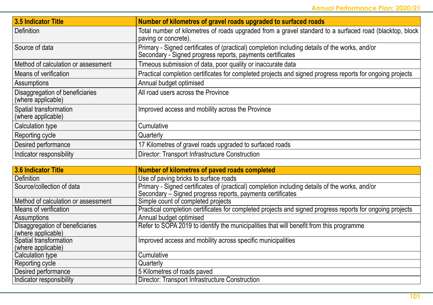| 3.5 Indicator Title                                   | Number of kilometres of gravel roads upgraded to surfaced roads                                                                                              |
|-------------------------------------------------------|--------------------------------------------------------------------------------------------------------------------------------------------------------------|
| Definition                                            | Total number of kilometres of roads upgraded from a gravel standard to a surfaced road (blacktop, block<br>paving or concrete).                              |
| Source of data                                        | Primary - Signed certificates of (practical) completion including details of the works, and/or<br>Secondary - Signed progress reports, payments certificates |
| Method of calculation or assessment                   | Timeous submission of data, poor quality or inaccurate data                                                                                                  |
| Means of verification                                 | Practical completion certificates for completed projects and signed progress reports for ongoing projects                                                    |
| <b>Assumptions</b>                                    | Annual budget optimised                                                                                                                                      |
| Disaggregation of beneficiaries<br>(where applicable) | All road users across the Province                                                                                                                           |
| Spatial transformation<br>(where applicable)          | Improved access and mobility across the Province                                                                                                             |
| <b>Calculation type</b>                               | Cumulative                                                                                                                                                   |
| Reporting cycle                                       | Quarterly                                                                                                                                                    |
| Desired performance                                   | 17 Kilometres of gravel roads upgraded to surfaced roads                                                                                                     |
| Indicator responsibility                              | Director: Transport Infrastructure Construction                                                                                                              |

| 3.6 Indicator Title                 | Number of kilometres of paved roads completed                                                             |
|-------------------------------------|-----------------------------------------------------------------------------------------------------------|
| Definition                          | Use of paving bricks to surface roads                                                                     |
| Source/collection of data           | Primary - Signed certificates of (practical) completion including details of the works, and/or            |
|                                     | Secondary - Signed progress reports, payments certificates                                                |
| Method of calculation or assessment | Simple count of completed projects                                                                        |
| Means of verification               | Practical completion certificates for completed projects and signed progress reports for ongoing projects |
| Assumptions                         | Annual budget optimised                                                                                   |
| Disaggregation of beneficiaries     | Refer to SOPA 2019 to identify the municipalities that will benefit from this programme                   |
| (where applicable)                  |                                                                                                           |
| Spatial transformation              | Improved access and mobility across specific municipalities                                               |
| (where applicable)                  |                                                                                                           |
| Calculation type                    | Cumulative                                                                                                |
| Reporting cycle                     | Quarterly                                                                                                 |
| Desired performance                 | 5 Kilometres of roads paved                                                                               |
| Indicator responsibility            | Director: Transport Infrastructure Construction                                                           |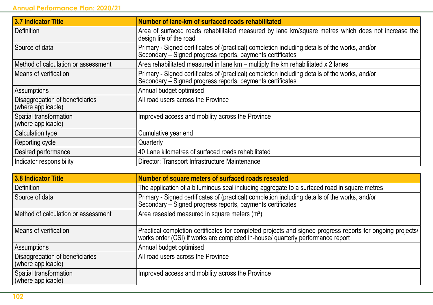| <b>3.7 Indicator Title</b>                            | Number of lane-km of surfaced roads rehabilitated                                                                                                            |
|-------------------------------------------------------|--------------------------------------------------------------------------------------------------------------------------------------------------------------|
| <b>Definition</b>                                     | Area of surfaced roads rehabilitated measured by lane km/square metres which does not increase the<br>design life of the road                                |
| Source of data                                        | Primary - Signed certificates of (practical) completion including details of the works, and/or<br>Secondary – Signed progress reports, payments certificates |
| Method of calculation or assessment                   | Area rehabilitated measured in lane $km -$ multiply the $km$ rehabilitated $x$ 2 lanes                                                                       |
| Means of verification                                 | Primary - Signed certificates of (practical) completion including details of the works, and/or<br>Secondary – Signed progress reports, payments certificates |
| Assumptions                                           | Annual budget optimised                                                                                                                                      |
| Disaggregation of beneficiaries<br>(where applicable) | All road users across the Province                                                                                                                           |
| Spatial transformation<br>(where applicable)          | Improved access and mobility across the Province                                                                                                             |
| Calculation type                                      | Cumulative year end                                                                                                                                          |
| Reporting cycle                                       | Quarterly                                                                                                                                                    |
| Desired performance                                   | 40 Lane kilometres of surfaced roads rehabilitated                                                                                                           |
| Indicator responsibility                              | Director: Transport Infrastructure Maintenance                                                                                                               |

| 3.8 Indicator Title                                   | Number of square meters of surfaced roads resealed                                                                                                                                            |
|-------------------------------------------------------|-----------------------------------------------------------------------------------------------------------------------------------------------------------------------------------------------|
| Definition                                            | The application of a bituminous seal including aggregate to a surfaced road in square metres                                                                                                  |
| Source of data                                        | Primary - Signed certificates of (practical) completion including details of the works, and/or<br>Secondary – Signed progress reports, payments certificates                                  |
| Method of calculation or assessment                   | Area resealed measured in square meters (m <sup>2</sup> )                                                                                                                                     |
| Means of verification                                 | Practical completion certificates for completed projects and signed progress reports for ongoing projects/<br>works order (CSI) if works are completed in-house/ quarterly performance report |
| Assumptions                                           | Annual budget optimised                                                                                                                                                                       |
| Disaggregation of beneficiaries<br>(where applicable) | All road users across the Province                                                                                                                                                            |
| Spatial transformation<br>(where applicable)          | Improved access and mobility across the Province                                                                                                                                              |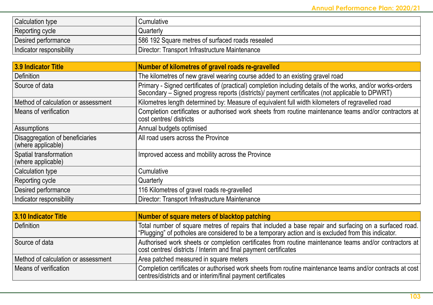| Calculation type         | Cumulative                                       |
|--------------------------|--------------------------------------------------|
| Reporting cycle          | Quarterlv                                        |
| Desired performance      | 586 192 Square metres of surfaced roads resealed |
| Indicator responsibility | Director: Transport Infrastructure Maintenance   |

| <b>3.9 Indicator Title</b>                            | Number of kilometres of gravel roads re-gravelled                                                                                                                                                              |
|-------------------------------------------------------|----------------------------------------------------------------------------------------------------------------------------------------------------------------------------------------------------------------|
| Definition                                            | The kilometres of new gravel wearing course added to an existing gravel road                                                                                                                                   |
| Source of data                                        | Primary - Signed certificates of (practical) completion including details of the works, and/or works-orders<br>Secondary – Signed progress reports (districts)/ payment certificates (not applicable to DPWRT) |
| Method of calculation or assessment                   | Kilometres length determined by: Measure of equivalent full width kilometers of regravelled road                                                                                                               |
| Means of verification                                 | Completion certificates or authorised work sheets from routine maintenance teams and/or contractors at<br>cost centres/ districts                                                                              |
| Assumptions                                           | Annual budgets optimised                                                                                                                                                                                       |
| Disaggregation of beneficiaries<br>(where applicable) | All road users across the Province                                                                                                                                                                             |
| Spatial transformation<br>(where applicable)          | Improved access and mobility across the Province                                                                                                                                                               |
| Calculation type                                      | Cumulative                                                                                                                                                                                                     |
| Reporting cycle                                       | Quarterly                                                                                                                                                                                                      |
| Desired performance                                   | 116 Kilometres of gravel roads re-gravelled                                                                                                                                                                    |
| Indicator responsibility                              | Director: Transport Infrastructure Maintenance                                                                                                                                                                 |

| 3.10 Indicator Title                | Number of square meters of blacktop patching                                                                                                                                                                  |
|-------------------------------------|---------------------------------------------------------------------------------------------------------------------------------------------------------------------------------------------------------------|
| Definition                          | Total number of square metres of repairs that included a base repair and surfacing on a surfaced road.<br>"Plugging" of potholes are considered to be a temporary action and is excluded from this indicator. |
| l Source of data                    | Authorised work sheets or completion certificates from routine maintenance teams and/or contractors at<br>cost centres/ districts / Interim and final payment certificates                                    |
| Method of calculation or assessment | Area patched measured in square meters                                                                                                                                                                        |
| Means of verification               | Completion certificates or authorised work sheets from routine maintenance teams and/or contracts at cost<br>centres/districts and or interim/final payment certificates                                      |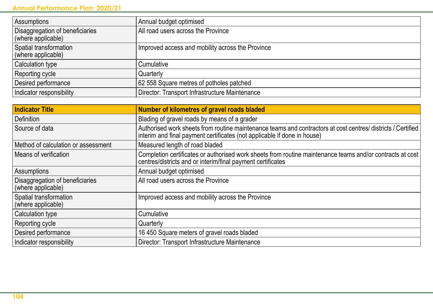| Assumptions                                           | Annual budget optimised                          |
|-------------------------------------------------------|--------------------------------------------------|
| Disaggregation of beneficiaries<br>(where applicable) | All road users across the Province               |
| Spatial transformation<br>(where applicable)          | Improved access and mobility across the Province |
| Calculation type                                      | Cumulative                                       |
| Reporting cycle                                       | Quarterly                                        |
| Desired performance                                   | 62 558 Square metres of potholes patched         |
| Indicator responsibility                              | Director: Transport Infrastructure Maintenance   |

| <b>Indicator Title</b>                                | Number of kilometres of gravel roads bladed                                                                                                                                              |
|-------------------------------------------------------|------------------------------------------------------------------------------------------------------------------------------------------------------------------------------------------|
| Definition                                            | Blading of gravel roads by means of a grader                                                                                                                                             |
| Source of data                                        | Authorised work sheets from routine maintenance teams and contractors at cost centres/ districts / Certified<br>interim and final payment certificates (not applicable if done in house) |
| Method of calculation or assessment                   | Measured length of road bladed                                                                                                                                                           |
| Means of verification                                 | Completion certificates or authorised work sheets from routine maintenance teams and/or contracts at cost<br>centres/districts and or interim/final payment certificates                 |
| Assumptions                                           | Annual budget optimised                                                                                                                                                                  |
| Disaggregation of beneficiaries<br>(where applicable) | All road users across the Province                                                                                                                                                       |
| Spatial transformation<br>(where applicable)          | Improved access and mobility across the Province                                                                                                                                         |
| Calculation type                                      | Cumulative                                                                                                                                                                               |
| Reporting cycle                                       | Quarterly                                                                                                                                                                                |
| Desired performance                                   | 16 450 Square meters of gravel roads bladed                                                                                                                                              |
| Indicator responsibility                              | Director: Transport Infrastructure Maintenance                                                                                                                                           |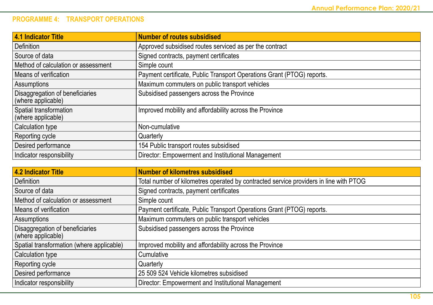#### **PROGRAMME 4: TRANSPORT OPERATIONS**

| <b>4.1 Indicator Title</b>                            | <b>Number of routes subsidised</b>                                     |
|-------------------------------------------------------|------------------------------------------------------------------------|
| <b>Definition</b>                                     | Approved subsidised routes serviced as per the contract                |
| Source of data                                        | Signed contracts, payment certificates                                 |
| Method of calculation or assessment                   | Simple count                                                           |
| Means of verification                                 | Payment certificate, Public Transport Operations Grant (PTOG) reports. |
| Assumptions                                           | Maximum commuters on public transport vehicles                         |
| Disaggregation of beneficiaries<br>(where applicable) | Subsidised passengers across the Province                              |
| Spatial transformation<br>(where applicable)          | Improved mobility and affordability across the Province                |
| Calculation type                                      | Non-cumulative                                                         |
| Reporting cycle                                       | Quarterly                                                              |
| Desired performance                                   | 154 Public transport routes subsidised                                 |
| Indicator responsibility                              | Director: Empowerment and Institutional Management                     |

| <b>4.2 Indicator Title</b>                            | <b>Number of kilometres subsidised</b>                                                |
|-------------------------------------------------------|---------------------------------------------------------------------------------------|
| <b>Definition</b>                                     | Total number of kilometres operated by contracted service providers in line with PTOG |
| Source of data                                        | Signed contracts, payment certificates                                                |
| Method of calculation or assessment                   | Simple count                                                                          |
| Means of verification                                 | Payment certificate, Public Transport Operations Grant (PTOG) reports.                |
| Assumptions                                           | Maximum commuters on public transport vehicles                                        |
| Disaggregation of beneficiaries<br>(where applicable) | Subsidised passengers across the Province                                             |
| Spatial transformation (where applicable)             | Improved mobility and affordability across the Province                               |
| Calculation type                                      | Cumulative                                                                            |
| Reporting cycle                                       | Quarterly                                                                             |
| Desired performance                                   | 25 509 524 Vehicle kilometres subsidised                                              |
| Indicator responsibility                              | Director: Empowerment and Institutional Management                                    |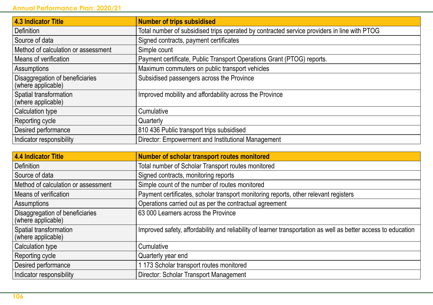| 4.3 Indicator Title                                   | <b>Number of trips subsidised</b>                                                           |
|-------------------------------------------------------|---------------------------------------------------------------------------------------------|
| Definition                                            | Total number of subsidised trips operated by contracted service providers in line with PTOG |
| Source of data                                        | Signed contracts, payment certificates                                                      |
| Method of calculation or assessment                   | Simple count                                                                                |
| Means of verification                                 | Payment certificate, Public Transport Operations Grant (PTOG) reports.                      |
| Assumptions                                           | Maximum commuters on public transport vehicles                                              |
| Disaggregation of beneficiaries<br>(where applicable) | Subsidised passengers across the Province                                                   |
| Spatial transformation<br>(where applicable)          | Improved mobility and affordability across the Province                                     |
| Calculation type                                      | Cumulative                                                                                  |
| Reporting cycle                                       | Quarterly                                                                                   |
| Desired performance                                   | 810 436 Public transport trips subsidised                                                   |
| Indicator responsibility                              | Director: Empowerment and Institutional Management                                          |

| 4.4 Indicator Title                                   | Number of scholar transport routes monitored                                                                   |
|-------------------------------------------------------|----------------------------------------------------------------------------------------------------------------|
| Definition                                            | Total number of Scholar Transport routes monitored                                                             |
| Source of data                                        | Signed contracts, monitoring reports                                                                           |
| Method of calculation or assessment                   | Simple count of the number of routes monitored                                                                 |
| Means of verification                                 | Payment certificates, scholar transport monitoring reports, other relevant registers                           |
| Assumptions                                           | Operations carried out as per the contractual agreement                                                        |
| Disaggregation of beneficiaries<br>(where applicable) | 63 000 Learners across the Province                                                                            |
| Spatial transformation<br>(where applicable)          | Improved safety, affordability and reliability of learner transportation as well as better access to education |
| Calculation type                                      | Cumulative                                                                                                     |
| Reporting cycle                                       | Quarterly year end                                                                                             |
| Desired performance                                   | 173 Scholar transport routes monitored                                                                         |
| Indicator responsibility                              | Director: Scholar Transport Management                                                                         |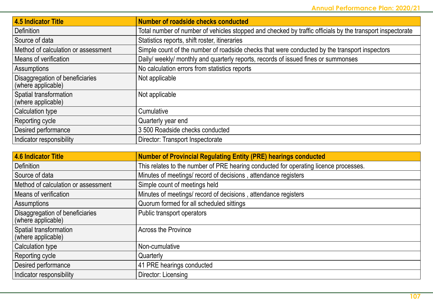| 4.5 Indicator Title                                   | Number of roadside checks conducted                                                                       |
|-------------------------------------------------------|-----------------------------------------------------------------------------------------------------------|
| Definition                                            | Total number of number of vehicles stopped and checked by traffic officials by the transport inspectorate |
| Source of data                                        | Statistics reports, shift roster, itineraries                                                             |
| Method of calculation or assessment                   | Simple count of the number of roadside checks that were conducted by the transport inspectors             |
| Means of verification                                 | Daily/ weekly/ monthly and quarterly reports, records of issued fines or summonses                        |
| Assumptions                                           | No calculation errors from statistics reports                                                             |
| Disaggregation of beneficiaries<br>(where applicable) | Not applicable                                                                                            |
| Spatial transformation<br>(where applicable)          | Not applicable                                                                                            |
| Calculation type                                      | Cumulative                                                                                                |
| Reporting cycle                                       | Quarterly year end                                                                                        |
| Desired performance                                   | 3 500 Roadside checks conducted                                                                           |
| Indicator responsibility                              | Director: Transport Inspectorate                                                                          |

| <b>4.6 Indicator Title</b>                            | <b>Number of Provincial Regulating Entity (PRE) hearings conducted</b>               |
|-------------------------------------------------------|--------------------------------------------------------------------------------------|
| <b>Definition</b>                                     | This relates to the number of PRE hearing conducted for operating licence processes. |
| Source of data                                        | Minutes of meetings/ record of decisions, attendance registers                       |
| Method of calculation or assessment                   | Simple count of meetings held                                                        |
| Means of verification                                 | Minutes of meetings/ record of decisions, attendance registers                       |
| Assumptions                                           | Quorum formed for all scheduled sittings                                             |
| Disaggregation of beneficiaries<br>(where applicable) | Public transport operators                                                           |
| Spatial transformation<br>(where applicable)          | Across the Province                                                                  |
| Calculation type                                      | Non-cumulative                                                                       |
| Reporting cycle                                       | Quarterly                                                                            |
| Desired performance                                   | 41 PRE hearings conducted                                                            |
| Indicator responsibility                              | Director: Licensing                                                                  |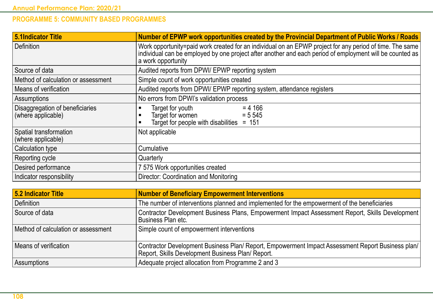#### **PROGRAMME 5: COMMUNITY BASED PROGRAMMES**

| 5.1Indicator Title                                    | Number of EPWP work opportunities created by the Provincial Department of Public Works / Roads                                                                                                                                             |
|-------------------------------------------------------|--------------------------------------------------------------------------------------------------------------------------------------------------------------------------------------------------------------------------------------------|
| Definition                                            | Work opportunity=paid work created for an individual on an EPWP project for any period of time. The same<br>individual can be employed by one project after another and each period of employment will be counted as<br>a work opportunity |
| Source of data                                        | Audited reports from DPWI/ EPWP reporting system                                                                                                                                                                                           |
| Method of calculation or assessment                   | Simple count of work opportunities created                                                                                                                                                                                                 |
| Means of verification                                 | Audited reports from DPWI/ EPWP reporting system, attendance registers                                                                                                                                                                     |
| Assumptions                                           | No errors from DPWI's validation process                                                                                                                                                                                                   |
| Disaggregation of beneficiaries<br>(where applicable) | $= 4166$<br>Target for youth<br>Target for women<br>$= 5545$<br>Target for people with disabilities = 151                                                                                                                                  |
| Spatial transformation<br>(where applicable)          | Not applicable                                                                                                                                                                                                                             |
| <b>Calculation type</b>                               | Cumulative                                                                                                                                                                                                                                 |
| Reporting cycle                                       | Quarterly                                                                                                                                                                                                                                  |
| Desired performance                                   | 7 575 Work opportunities created                                                                                                                                                                                                           |
| Indicator responsibility                              | Director: Coordination and Monitoring                                                                                                                                                                                                      |

| 5.2 Indicator Title                 | <b>Number of Beneficiary Empowerment Interventions</b>                                                                                                 |
|-------------------------------------|--------------------------------------------------------------------------------------------------------------------------------------------------------|
| Definition                          | The number of interventions planned and implemented for the empowerment of the beneficiaries                                                           |
| Source of data                      | Contractor Development Business Plans, Empowerment Impact Assessment Report, Skills Development<br>Business Plan etc.                                  |
| Method of calculation or assessment | Simple count of empowerment interventions                                                                                                              |
| Means of verification               | Contractor Development Business Plan/ Report, Empowerment Impact Assessment Report Business plan/<br>Report, Skills Development Business Plan/ Report. |
| Assumptions                         | Adequate project allocation from Programme 2 and 3                                                                                                     |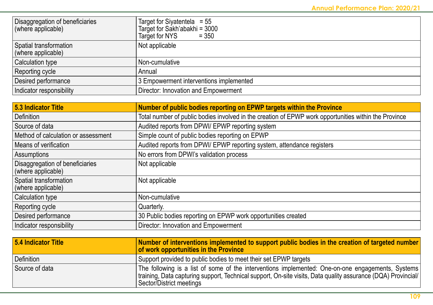| Disaggregation of beneficiaries<br>(where applicable) | Target for Siyatentela = $55$<br>Target for Sakh'abakhi = 3000<br>Target for NYS<br>$= 350$ |
|-------------------------------------------------------|---------------------------------------------------------------------------------------------|
| Spatial transformation<br>(where applicable)          | Not applicable                                                                              |
| Calculation type                                      | l Non-cumulative                                                                            |
| Reporting cycle                                       | Annual                                                                                      |
| Desired performance                                   | 3 Empowerment interventions implemented                                                     |
| Indicator responsibility                              | Director: Innovation and Empowerment                                                        |

| 5.3 Indicator Title                                   | Number of public bodies reporting on EPWP targets within the Province                                 |  |  |  |
|-------------------------------------------------------|-------------------------------------------------------------------------------------------------------|--|--|--|
| Definition                                            | Total number of public bodies involved in the creation of EPWP work opportunities within the Province |  |  |  |
| Source of data                                        | Audited reports from DPWI/ EPWP reporting system                                                      |  |  |  |
| Method of calculation or assessment                   | Simple count of public bodies reporting on EPWP                                                       |  |  |  |
| Means of verification                                 | Audited reports from DPWI/ EPWP reporting system, attendance registers                                |  |  |  |
| Assumptions                                           | No errors from DPWI's validation process                                                              |  |  |  |
| Disaggregation of beneficiaries<br>(where applicable) | Not applicable                                                                                        |  |  |  |
| Spatial transformation<br>(where applicable)          | Not applicable                                                                                        |  |  |  |
| Calculation type                                      | Non-cumulative                                                                                        |  |  |  |
| Reporting cycle                                       | Quarterly.                                                                                            |  |  |  |
| Desired performance                                   | 30 Public bodies reporting on EPWP work opportunities created                                         |  |  |  |
| Indicator responsibility                              | Director: Innovation and Empowerment                                                                  |  |  |  |

| 5.4 Indicator Title | Number of interventions implemented to support public bodies in the creation of targeted number<br>of work opportunities in the Province                                                                                                         |  |  |  |
|---------------------|--------------------------------------------------------------------------------------------------------------------------------------------------------------------------------------------------------------------------------------------------|--|--|--|
| Definition          | Support provided to public bodies to meet their set EPWP targets                                                                                                                                                                                 |  |  |  |
| Source of data      | The following is a list of some of the interventions implemented: One-on-one engagements, Systems<br>  training, Data capturing support, Technical support, On-site visits, Data quality assurance (DQA) Provincial/<br>Sector/District meetings |  |  |  |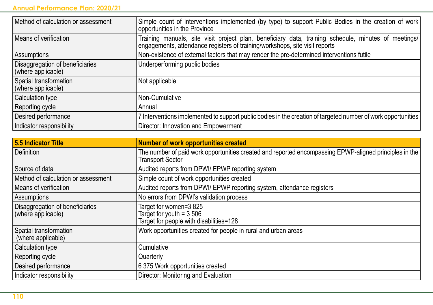| Method of calculation or assessment                   | Simple count of interventions implemented (by type) to support Public Bodies in the creation of work<br>opportunities in the Province                                               |
|-------------------------------------------------------|-------------------------------------------------------------------------------------------------------------------------------------------------------------------------------------|
| Means of verification                                 | Training manuals, site visit project plan, beneficiary data, training schedule, minutes of meetings/<br>engagements, attendance registers of training/workshops, site visit reports |
| Assumptions                                           | Non-existence of external factors that may render the pre-determined interventions futile                                                                                           |
| Disaggregation of beneficiaries<br>(where applicable) | Underperforming public bodies                                                                                                                                                       |
| Spatial transformation<br>(where applicable)          | Not applicable                                                                                                                                                                      |
| Calculation type                                      | Non-Cumulative                                                                                                                                                                      |
| Reporting cycle                                       | Annual                                                                                                                                                                              |
| Desired performance                                   | 7 Interventions implemented to support public bodies in the creation of targeted number of work opportunities                                                                       |
| Indicator responsibility                              | Director: Innovation and Empowerment                                                                                                                                                |

| 5.5 Indicator Title                                   | <b>Number of work opportunities created</b>                                                                                       |
|-------------------------------------------------------|-----------------------------------------------------------------------------------------------------------------------------------|
| Definition                                            | The number of paid work opportunities created and reported encompassing EPWP-aligned principles in the<br><b>Transport Sector</b> |
| Source of data                                        | Audited reports from DPWI/ EPWP reporting system                                                                                  |
| Method of calculation or assessment                   | Simple count of work opportunities created                                                                                        |
| Means of verification                                 | Audited reports from DPWI/ EPWP reporting system, attendance registers                                                            |
| Assumptions                                           | No errors from DPWI's validation process                                                                                          |
| Disaggregation of beneficiaries<br>(where applicable) | Target for women=3 825<br>Target for youth = $3\,506$<br>Target for people with disabilities=128                                  |
| Spatial transformation<br>(where applicable)          | Work opportunities created for people in rural and urban areas                                                                    |
| <b>Calculation type</b>                               | Cumulative                                                                                                                        |
| Reporting cycle                                       | Quarterly                                                                                                                         |
| Desired performance                                   | 6 375 Work opportunities created                                                                                                  |
| Indicator responsibility                              | Director: Monitoring and Evaluation                                                                                               |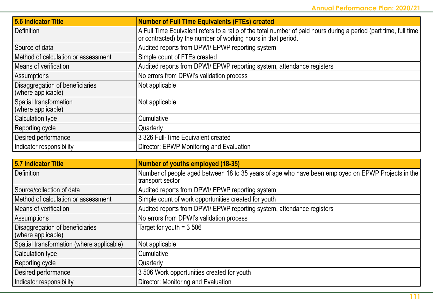| 5.6 Indicator Title                                   | <b>Number of Full Time Equivalents (FTEs) created</b>                                                                                                                             |
|-------------------------------------------------------|-----------------------------------------------------------------------------------------------------------------------------------------------------------------------------------|
| Definition                                            | A Full Time Equivalent refers to a ratio of the total number of paid hours during a period (part time, full time<br>or contracted) by the number of working hours in that period. |
| Source of data                                        | Audited reports from DPWI/ EPWP reporting system                                                                                                                                  |
| Method of calculation or assessment                   | Simple count of FTEs created                                                                                                                                                      |
| Means of verification                                 | Audited reports from DPWI/ EPWP reporting system, attendance registers                                                                                                            |
| Assumptions                                           | No errors from DPWI's validation process                                                                                                                                          |
| Disaggregation of beneficiaries<br>(where applicable) | Not applicable                                                                                                                                                                    |
| Spatial transformation<br>(where applicable)          | Not applicable                                                                                                                                                                    |
| Calculation type                                      | Cumulative                                                                                                                                                                        |
| Reporting cycle                                       | Quarterly                                                                                                                                                                         |
| Desired performance                                   | 3 326 Full-Time Equivalent created                                                                                                                                                |
| Indicator responsibility                              | Director: EPWP Monitoring and Evaluation                                                                                                                                          |

| 5.7 Indicator Title                                   | <b>Number of youths employed (18-35)</b>                                                                               |
|-------------------------------------------------------|------------------------------------------------------------------------------------------------------------------------|
| <b>Definition</b>                                     | Number of people aged between 18 to 35 years of age who have been employed on EPWP Projects in the<br>transport sector |
| Source/collection of data                             | Audited reports from DPWI/ EPWP reporting system                                                                       |
| Method of calculation or assessment                   | Simple count of work opportunities created for youth                                                                   |
| Means of verification                                 | Audited reports from DPWI/ EPWP reporting system, attendance registers                                                 |
| Assumptions                                           | No errors from DPWI's validation process                                                                               |
| Disaggregation of beneficiaries<br>(where applicable) | Target for youth = $3,506$                                                                                             |
| Spatial transformation (where applicable)             | Not applicable                                                                                                         |
| Calculation type                                      | Cumulative                                                                                                             |
| Reporting cycle                                       | Quarterly                                                                                                              |
| Desired performance                                   | 3 506 Work opportunities created for youth                                                                             |
| Indicator responsibility                              | Director: Monitoring and Evaluation                                                                                    |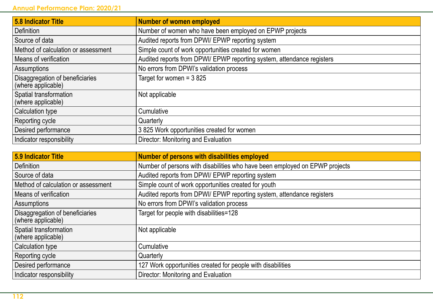| 5.8 Indicator Title                                   | <b>Number of women employed</b>                                        |
|-------------------------------------------------------|------------------------------------------------------------------------|
| Definition                                            | Number of women who have been employed on EPWP projects                |
| Source of data                                        | Audited reports from DPWI/ EPWP reporting system                       |
| Method of calculation or assessment                   | Simple count of work opportunities created for women                   |
| Means of verification                                 | Audited reports from DPWI/ EPWP reporting system, attendance registers |
| Assumptions                                           | No errors from DPWI's validation process                               |
| Disaggregation of beneficiaries<br>(where applicable) | Target for women = $3825$                                              |
| Spatial transformation<br>(where applicable)          | Not applicable                                                         |
| Calculation type                                      | Cumulative                                                             |
| Reporting cycle                                       | Quarterly                                                              |
| Desired performance                                   | 3 825 Work opportunities created for women                             |
| Indicator responsibility                              | Director: Monitoring and Evaluation                                    |

| 5.9 Indicator Title                                   | <b>Number of persons with disabilities employed</b>                         |  |  |
|-------------------------------------------------------|-----------------------------------------------------------------------------|--|--|
| Definition                                            | Number of persons with disabilities who have been employed on EPWP projects |  |  |
| Source of data                                        | Audited reports from DPWI/ EPWP reporting system                            |  |  |
| Method of calculation or assessment                   | Simple count of work opportunities created for youth                        |  |  |
| Means of verification                                 | Audited reports from DPWI/ EPWP reporting system, attendance registers      |  |  |
| Assumptions                                           | No errors from DPWI's validation process                                    |  |  |
| Disaggregation of beneficiaries<br>(where applicable) | Target for people with disabilities=128                                     |  |  |
| Spatial transformation<br>(where applicable)          | Not applicable                                                              |  |  |
| Calculation type                                      | Cumulative                                                                  |  |  |
| Reporting cycle                                       | Quarterly                                                                   |  |  |
| Desired performance                                   | 127 Work opportunities created for people with disabilities                 |  |  |
| Indicator responsibility                              | Director: Monitoring and Evaluation                                         |  |  |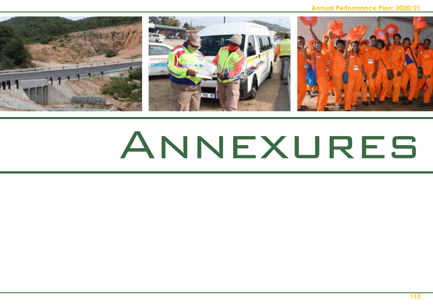

# Annexures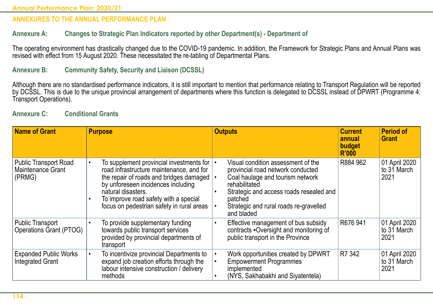### **Annual Performance Plan: 2020/21**

# **ANNEXURES TO THE ANNUAL PERFORMANCE PLAN**

# **Annexure A: Changes to Strategic Plan Indicators reported by other Department(s) - Department of**

The operating environment has drastically changed due to the COVID-19 pandemic. In addition, the Framework for Strategic Plans and Annual Plans was revised with effect from 15 August 2020. These necessitated the re-tabling of Departmental Plans.

## **Annexure B: Community Safety, Security and Liaison (DCSSL)**

Although there are no standardised performance indicators, it is still important to mention that performance relating to Transport Regulation will be reported by DCSSL. This is due to the unique provincial arrangement of departments where this function is delegated to DCSSL instead of DPWRT (Programme 4: Transport Operations).

## **Annexure C: Conditional Grants**

| Name of Grant                                        | <b>Purpose</b>                                                                                                                                                                                                                                                                    | <b>Outputs</b>                                                                                                                                                                                                                             | <b>Current</b><br>annual<br>budget<br>R'000 | <b>Period of</b><br><b>Grant</b>     |
|------------------------------------------------------|-----------------------------------------------------------------------------------------------------------------------------------------------------------------------------------------------------------------------------------------------------------------------------------|--------------------------------------------------------------------------------------------------------------------------------------------------------------------------------------------------------------------------------------------|---------------------------------------------|--------------------------------------|
| Public Transport Road<br>Maintenance Grant<br>(PRMG) | To supplement provincial investments for<br>road infrastructure maintenance, and for<br>the repair of roads and bridges damaged<br>by unforeseen incidences including<br>natural disasters.<br>To improve road safety with a special<br>focus on pedestrian safety in rural areas | Visual condition assessment of the<br>provincial road network conducted<br>Coal haulage and tourism network<br>rehabilitated<br>Strategic and access roads resealed and<br>patched<br>Strategic and rural roads re-gravelled<br>and bladed | R884 962                                    | 01 April 2020<br>to 31 March<br>2021 |
| Public Transport<br>Operations Grant (PTOG)          | To provide supplementary funding<br>towards public transport services<br>provided by provincial departments of<br>transport                                                                                                                                                       | Effective management of bus subsidy<br>contracts -Oversight and monitoring of<br>public transport in the Province                                                                                                                          | R676 941                                    | 01 April 2020<br>to 31 March<br>2021 |
| <b>Expanded Public Works</b><br>Integrated Grant     | To incentivize provincial Departments to<br>expand job creation efforts through the<br>labour intensive construction / delivery<br>methods                                                                                                                                        | Work opportunities created by DPWRT<br><b>Empowerment Programmes</b><br>implemented<br>(NYS, Sakhabakhi and Siyatentela)                                                                                                                   | R7 342                                      | 01 April 2020<br>to 31 March<br>2021 |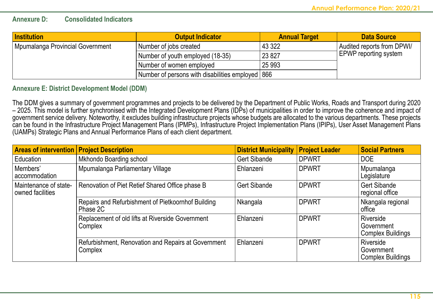### **Annexure D: Consolidated Indicators**

| <b>Institution</b>               | <b>Output Indicator</b>                          | <b>Annual Target</b> | Data Source                |
|----------------------------------|--------------------------------------------------|----------------------|----------------------------|
| Mpumalanga Provincial Government | Number of jobs created                           | . 43 322             | Audited reports from DPWI/ |
|                                  | Number of youth employed (18-35)                 | 23 827               | EPWP reporting system      |
|                                  | Number of women employed                         | 25 993               |                            |
|                                  | Number of persons with disabilities employed 866 |                      |                            |

# **Annexure E: District Development Model (DDM)**

The DDM gives a summary of government programmes and projects to be delivered by the Department of Public Works, Roads and Transport during 2020 – 2025. This model is further synchronised with the Integrated Development Plans (IDPs) of municipalities in order to improve the coherence and impact of government service delivery. Noteworthy, it excludes building infrastructure projects whose budgets are allocated to the various departments. These projects can be found in the Infrastructure Project Management Plans (IPMPs), Infrastructure Project Implementation Plans (IPIPs), User Asset Management Plans (UAMPs) Strategic Plans and Annual Performance Plans of each client department.

| <b>Areas of intervention Project Description</b> |                                                                | <b>District Municipality</b> | <b>Project Leader</b> | <b>Social Partners</b>                              |
|--------------------------------------------------|----------------------------------------------------------------|------------------------------|-----------------------|-----------------------------------------------------|
| Education                                        | Mkhondo Boarding school                                        | Gert Sibande                 | <b>DPWRT</b>          | <b>DOE</b>                                          |
| Members'<br>accommodation                        | Mpumalanga Parliamentary Village                               | Ehlanzeni                    | <b>DPWRT</b>          | Mpumalanga<br>Legislature                           |
| Maintenance of state-<br>owned facilities        | Renovation of Piet Retief Shared Office phase B                | Gert Sibande                 | <b>DPWRT</b>          | Gert Sibande<br>regional office                     |
|                                                  | Repairs and Refurbishment of Pietkoornhof Building<br>Phase 2C | Nkangala                     | <b>DPWRT</b>          | Nkangala regional<br>office                         |
|                                                  | Replacement of old lifts at Riverside Government<br>Complex    | Ehlanzeni                    | <b>DPWRT</b>          | Riverside<br>Government<br><b>Complex Buildings</b> |
|                                                  | Refurbishment, Renovation and Repairs at Government<br>Complex | <b>Ehlanzeni</b>             | <b>DPWRT</b>          | Riverside<br>Government<br><b>Complex Buildings</b> |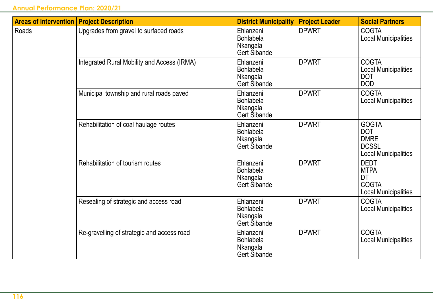| <b>Areas of intervention Project Description</b> |                                             | <b>District Municipality</b>                              | <b>Project Leader</b> | <b>Social Partners</b>                                                            |
|--------------------------------------------------|---------------------------------------------|-----------------------------------------------------------|-----------------------|-----------------------------------------------------------------------------------|
| Roads                                            | Upgrades from gravel to surfaced roads      | Ehlanzeni<br>Bohlabela<br>Nkangala<br>Gert Šibande        | <b>DPWRT</b>          | <b>COGTA</b><br>Local Municipalities                                              |
|                                                  | Integrated Rural Mobility and Access (IRMA) | Ehlanzeni<br>Bohlabela<br>Nkangala<br>Gert Sibande        | <b>DPWRT</b>          | <b>COGTA</b><br>Local Municipalities<br><b>DOT</b><br><b>DOD</b>                  |
|                                                  | Municipal township and rural roads paved    | Ehlanzeni<br>Bohlabela<br>Nkangala<br>Gert Šibande        | <b>DPWRT</b>          | <b>COGTA</b><br>Local Municipalities                                              |
|                                                  | Rehabilitation of coal haulage routes       | Ehlanzeni<br>Bohlabela<br>Nkangala<br>Gert Šibande        | <b>DPWRT</b>          | <b>GOGTA</b><br><b>DOT</b><br><b>DMRE</b><br><b>DCSSL</b><br>Local Municipalities |
|                                                  | Rehabilitation of tourism routes            | Ehlanzeni<br>Bohlabela<br>Nkangala<br>Gert Sibande        | <b>DPWRT</b>          | <b>DEDT</b><br><b>MTPA</b><br>DT<br><b>COGTA</b><br>Local Municipalities          |
|                                                  | Resealing of strategic and access road      | Ehlanzeni<br><b>Bohlabela</b><br>Nkangala<br>Gert Sibande | <b>DPWRT</b>          | <b>COGTA</b><br><b>Local Municipalities</b>                                       |
|                                                  | Re-gravelling of strategic and access road  | Ehlanzeni<br>Bohlabela<br>Nkangala<br>Gert Sibande        | <b>DPWRT</b>          | <b>COGTA</b><br>Local Municipalities                                              |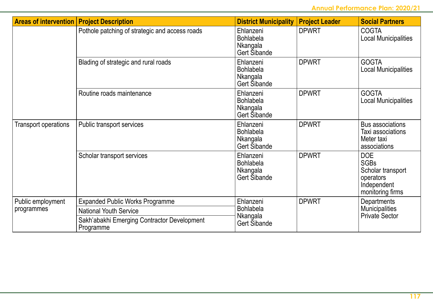| <b>Areas of intervention Project Description</b> |                                                          | <b>District Municipality</b>                              | <b>Project Leader</b> | <b>Social Partners</b>                                                                         |
|--------------------------------------------------|----------------------------------------------------------|-----------------------------------------------------------|-----------------------|------------------------------------------------------------------------------------------------|
|                                                  | Pothole patching of strategic and access roads           | Ehlanzeni<br>Bohlabela<br>Nkangala<br>Gert Sibande        | <b>DPWRT</b>          | <b>COGTA</b><br><b>Local Municipalities</b>                                                    |
|                                                  | Blading of strategic and rural roads                     | Ehlanzeni<br>Bohlabela<br>Nkangala<br>Gert Šibande        | <b>DPWRT</b>          | <b>GOGTA</b><br>Local Municipalities                                                           |
|                                                  | Routine roads maintenance                                | Ehlanzeni<br><b>Bohlabela</b><br>Nkangala<br>Gert Sibande | <b>DPWRT</b>          | <b>GOGTA</b><br><b>Local Municipalities</b>                                                    |
| Transport operations                             | Public transport services                                | Ehlanzeni<br><b>Bohlabela</b><br>Nkangala<br>Gert Sibande | <b>DPWRT</b>          | Bus associations<br>Taxi associations<br>Meter taxi<br>associations                            |
|                                                  | Scholar transport services                               | Ehlanzeni<br>Bohlabela<br>Nkangala<br>Gert Sibande        | <b>DPWRT</b>          | <b>DOE</b><br><b>SGBs</b><br>Scholar transport<br>operators<br>Independent<br>monitoring firms |
| Public employment<br>programmes                  | Expanded Public Works Programme                          | Ehlanzeni<br><b>Bohlabela</b><br>Nkangala<br>Gert Sibande | <b>DPWRT</b>          | Departments<br>Municipalities<br><b>Private Sector</b>                                         |
|                                                  | <b>National Youth Service</b>                            |                                                           |                       |                                                                                                |
|                                                  | Sakh'abakhi Emerging Contractor Development<br>Programme |                                                           |                       |                                                                                                |